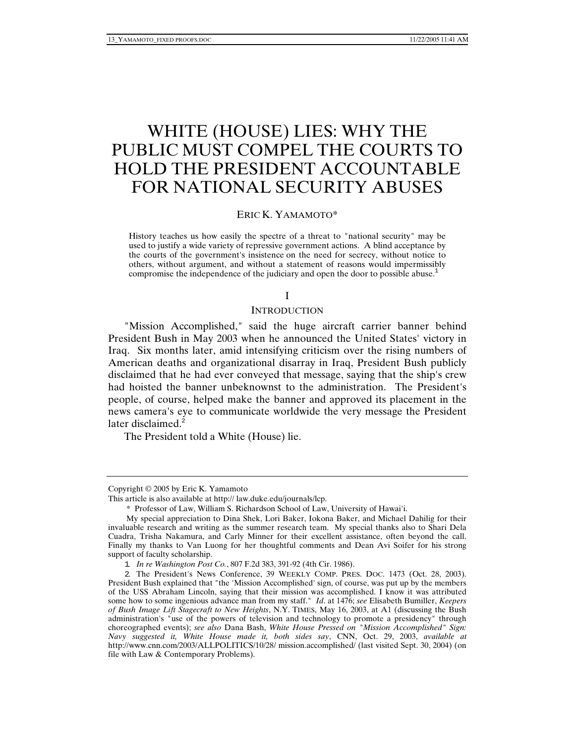# WHITE (HOUSE) LIES: WHY THE PUBLIC MUST COMPEL THE COURTS TO HOLD THE PRESIDENT ACCOUNTABLE FOR NATIONAL SECURITY ABUSES

#### ERIC K. YAMAMOTO\*

History teaches us how easily the spectre of a threat to "national security" may be used to justify a wide variety of repressive government actions. A blind acceptance by the courts of the government's insistence on the need for secrecy, without notice to others, without argument, and without a statement of reasons would impermissibly compromise the independence of the judiciary and open the door to possible abuse.<sup>1</sup>

#### I

#### **INTRODUCTION**

"Mission Accomplished," said the huge aircraft carrier banner behind President Bush in May 2003 when he announced the United States' victory in Iraq. Six months later, amid intensifying criticism over the rising numbers of American deaths and organizational disarray in Iraq, President Bush publicly disclaimed that he had ever conveyed that message, saying that the ship's crew had hoisted the banner unbeknownst to the administration. The President's people, of course, helped make the banner and approved its placement in the news camera's eye to communicate worldwide the very message the President later disclaimed. $2$ 

The President told a White (House) lie.

Copyright © 2005 by Eric K. Yamamoto

This article is also available at http:// law.duke.edu/journals/lcp.

<sup>\*</sup> Professor of Law, William S. Richardson School of Law, University of Hawai'i.

My special appreciation to Dina Shek, Lori Baker, Iokona Baker, and Michael Dahilig for their invaluable research and writing as the summer research team. My special thanks also to Shari Dela Cuadra, Trisha Nakamura, and Carly Minner for their excellent assistance, often beyond the call. Finally my thanks to Van Luong for her thoughtful comments and Dean Avi Soifer for his strong support of faculty scholarship.

<sup>1</sup>*. In re Washington Post Co.*, 807 F.2d 383, 391-92 (4th Cir. 1986).

<sup>2</sup>. The President's News Conference, 39 WEEKLY COMP. PRES. DOC. 1473 (Oct. 28, 2003). President Bush explained that "the 'Mission Accomplished' sign, of course, was put up by the members of the USS Abraham Lincoln, saying that their mission was accomplished. I know it was attributed some how to some ingenious advance man from my staff." *Id*. at 1476; *see* Elisabeth Bumiller, *Keepers of Bush Image Lift Stagecraft to New Heights*, N.Y. TIMES, May 16, 2003, at A1 (discussing the Bush administration's "use of the powers of television and technology to promote a presidency" through choreographed events); *see also* Dana Bash, *White House Pressed on "Mission Accomplished" Sign: Navy suggested it, White House made it, both sides say*, CNN, Oct. 29, 2003, *available at* http://www.cnn.com/2003/ALLPOLITICS/10/28/ mission.accomplished/ (last visited Sept. 30, 2004) (on file with Law & Contemporary Problems).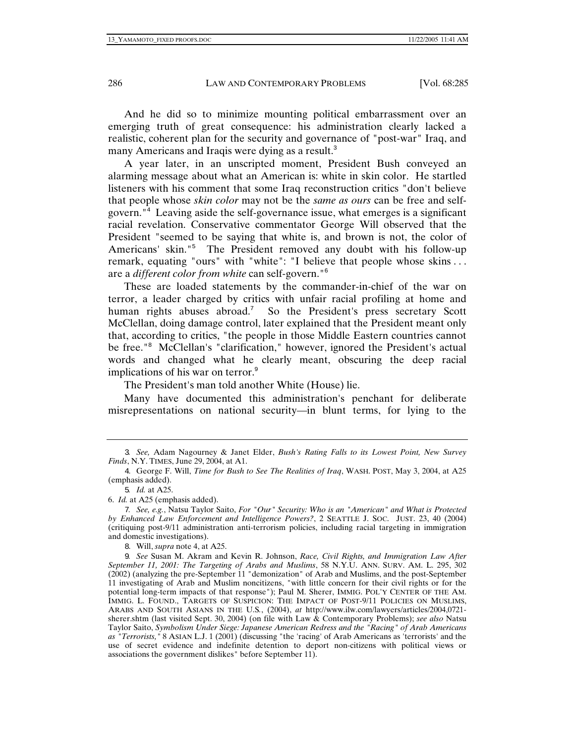And he did so to minimize mounting political embarrassment over an emerging truth of great consequence: his administration clearly lacked a realistic, coherent plan for the security and governance of "post-war" Iraq, and many Americans and Iraqis were dying as a result.<sup>3</sup>

A year later, in an unscripted moment, President Bush conveyed an alarming message about what an American is: white in skin color. He startled listeners with his comment that some Iraq reconstruction critics "don't believe that people whose *skin color* may not be the *same as ours* can be free and selfgovern."<sup>4</sup> Leaving aside the self-governance issue, what emerges is a significant racial revelation. Conservative commentator George Will observed that the President "seemed to be saying that white is, and brown is not, the color of Americans' skin."<sup>5</sup> The President removed any doubt with his follow-up remark, equating "ours" with "white": "I believe that people whose skins . . . are a *different color from white* can self-govern."<sup>6</sup>

These are loaded statements by the commander-in-chief of the war on terror, a leader charged by critics with unfair racial profiling at home and human rights abuses abroad.<sup>7</sup> So the President's press secretary Scott McClellan, doing damage control, later explained that the President meant only that, according to critics, "the people in those Middle Eastern countries cannot be free."<sup>8</sup> McClellan's "clarification," however, ignored the President's actual words and changed what he clearly meant, obscuring the deep racial implications of his war on terror.<sup>9</sup>

The President's man told another White (House) lie.

Many have documented this administration's penchant for deliberate misrepresentations on national security—in blunt terms, for lying to the

8. Will, *supra* note 4, at A25.

<sup>3</sup>*. See,* Adam Nagourney & Janet Elder, *Bush's Rating Falls to its Lowest Point, New Survey Finds*, N.Y. TIMES, June 29, 2004, at A1.

<sup>4</sup>. George F. Will, *Time for Bush to See The Realities of Iraq*, WASH. POST, May 3, 2004, at A25 (emphasis added).

<sup>5</sup>*. Id.* at A25.

<sup>6.</sup> *Id.* at A25 (emphasis added).

<sup>7</sup>*. See, e.g.*, Natsu Taylor Saito, *For "Our" Security: Who is an "American" and What is Protected by Enhanced Law Enforcement and Intelligence Powers?*, 2 SEATTLE J. SOC. JUST. 23, 40 (2004) (critiquing post-9/11 administration anti-terrorism policies, including racial targeting in immigration and domestic investigations).

<sup>9</sup>*. See* Susan M. Akram and Kevin R. Johnson, *Race, Civil Rights, and Immigration Law After September 11, 2001: The Targeting of Arabs and Muslims*, 58 N.Y.U. ANN. SURV. AM. L. 295, 302 (2002) (analyzing the pre-September 11 "demonization" of Arab and Muslims, and the post-September 11 investigating of Arab and Muslim noncitizens, "with little concern for their civil rights or for the potential long-term impacts of that response"); Paul M. Sherer, IMMIG. POL'Y CENTER OF THE AM. IMMIG. L. FOUND., TARGETS OF SUSPICION: THE IMPACT OF POST-9/11 POLICIES ON MUSLIMS, ARABS AND SOUTH ASIANS IN THE U.S*.*, (2004), *at* http://www.ilw.com/lawyers/articles/2004,0721 sherer.shtm (last visited Sept. 30, 2004) (on file with Law & Contemporary Problems); *see also* Natsu Taylor Saito, *Symbolism Under Siege: Japanese American Redress and the "Racing" of Arab Americans as "Terrorists,"* 8 ASIAN L.J. 1 (2001) (discussing "the 'racing' of Arab Americans as 'terrorists' and the use of secret evidence and indefinite detention to deport non-citizens with political views or associations the government dislikes" before September 11).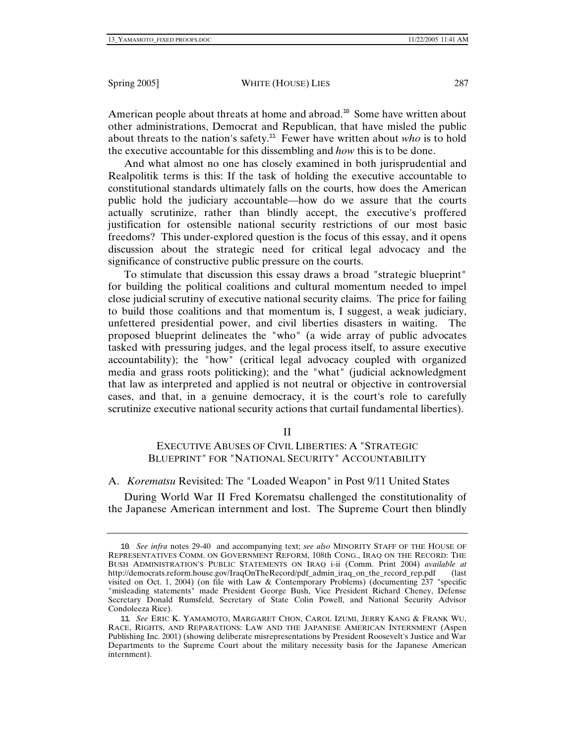American people about threats at home and abroad.<sup>10</sup> Some have written about other administrations, Democrat and Republican, that have misled the public about threats to the nation's safety.<sup>11</sup> Fewer have written about *who* is to hold the executive accountable for this dissembling and *how* this is to be done.

And what almost no one has closely examined in both jurisprudential and Realpolitik terms is this: If the task of holding the executive accountable to constitutional standards ultimately falls on the courts, how does the American public hold the judiciary accountable—how do we assure that the courts actually scrutinize, rather than blindly accept, the executive's proffered justification for ostensible national security restrictions of our most basic freedoms? This under-explored question is the focus of this essay, and it opens discussion about the strategic need for critical legal advocacy and the significance of constructive public pressure on the courts.

To stimulate that discussion this essay draws a broad "strategic blueprint" for building the political coalitions and cultural momentum needed to impel close judicial scrutiny of executive national security claims. The price for failing to build those coalitions and that momentum is, I suggest, a weak judiciary, unfettered presidential power, and civil liberties disasters in waiting. The proposed blueprint delineates the "who" (a wide array of public advocates tasked with pressuring judges, and the legal process itself, to assure executive accountability); the "how" (critical legal advocacy coupled with organized media and grass roots politicking); and the "what" (judicial acknowledgment that law as interpreted and applied is not neutral or objective in controversial cases, and that, in a genuine democracy, it is the court's role to carefully scrutinize executive national security actions that curtail fundamental liberties).

II

# EXECUTIVE ABUSES OF CIVIL LIBERTIES: A "STRATEGIC BLUEPRINT" FOR "NATIONAL SECURITY" ACCOUNTABILITY

A. *Korematsu* Revisited: The "Loaded Weapon" in Post 9/11 United States

During World War II Fred Korematsu challenged the constitutionality of the Japanese American internment and lost. The Supreme Court then blindly

<sup>10</sup>*. See infra* notes 29-40 and accompanying text; *see also* MINORITY STAFF OF THE HOUSE OF REPRESENTATIVES COMM. ON GOVERNMENT REFORM, 108th CONG., IRAQ ON THE RECORD: THE BUSH ADMINISTRATION'S PUBLIC STATEMENTS ON IRAQ i-ii (Comm. Print 2004) *available at* http://democrats.reform.house.gov/IraqOnTheRecord/pdf\_admin\_iraq\_on\_the\_record\_rep.pdf visited on Oct. 1, 2004) (on file with Law & Contemporary Problems) (documenting 237 "specific "misleading statements" made President George Bush, Vice President Richard Cheney, Defense Secretary Donald Rumsfeld, Secretary of State Colin Powell, and National Security Advisor Condoleeza Rice).

<sup>11</sup>*. See* ERIC K. YAMAMOTO, MARGARET CHON, CAROL IZUMI, JERRY KANG & FRANK WU, RACE, RIGHTS, AND REPARATIONS: LAW AND THE JAPANESE AMERICAN INTERNMENT (Aspen Publishing Inc. 2001) (showing deliberate misrepresentations by President Roosevelt's Justice and War Departments to the Supreme Court about the military necessity basis for the Japanese American internment).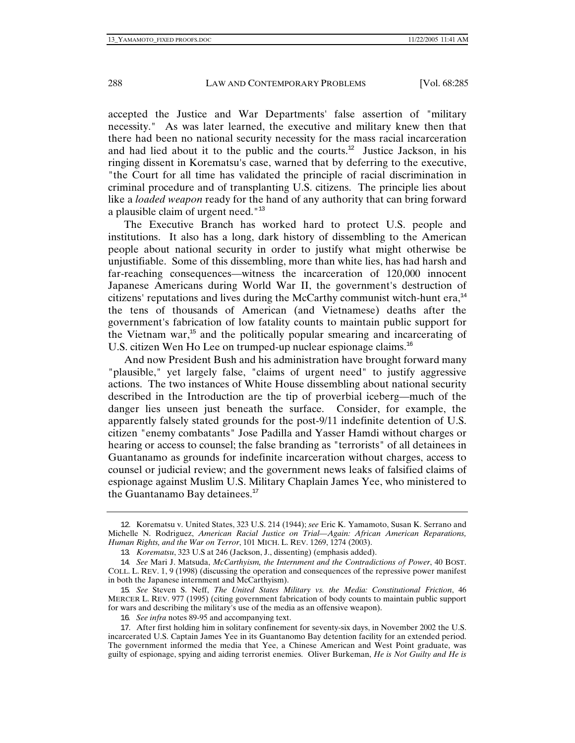accepted the Justice and War Departments' false assertion of "military necessity." As was later learned, the executive and military knew then that there had been no national security necessity for the mass racial incarceration and had lied about it to the public and the courts.<sup>12</sup> Justice Jackson, in his ringing dissent in Korematsu's case, warned that by deferring to the executive, "the Court for all time has validated the principle of racial discrimination in criminal procedure and of transplanting U.S. citizens. The principle lies about like a *loaded weapon* ready for the hand of any authority that can bring forward a plausible claim of urgent need."<sup>13</sup>

The Executive Branch has worked hard to protect U.S. people and institutions. It also has a long, dark history of dissembling to the American people about national security in order to justify what might otherwise be unjustifiable. Some of this dissembling, more than white lies, has had harsh and far-reaching consequences—witness the incarceration of 120,000 innocent Japanese Americans during World War II, the government's destruction of citizens' reputations and lives during the McCarthy communist witch-hunt era,  $14$ the tens of thousands of American (and Vietnamese) deaths after the government's fabrication of low fatality counts to maintain public support for the Vietnam war,<sup>15</sup> and the politically popular smearing and incarcerating of U.S. citizen Wen Ho Lee on trumped-up nuclear espionage claims.<sup>16</sup>

And now President Bush and his administration have brought forward many "plausible," yet largely false, "claims of urgent need" to justify aggressive actions. The two instances of White House dissembling about national security described in the Introduction are the tip of proverbial iceberg—much of the danger lies unseen just beneath the surface. Consider, for example, the apparently falsely stated grounds for the post-9/11 indefinite detention of U.S. citizen "enemy combatants" Jose Padilla and Yasser Hamdi without charges or hearing or access to counsel; the false branding as "terrorists" of all detainees in Guantanamo as grounds for indefinite incarceration without charges, access to counsel or judicial review; and the government news leaks of falsified claims of espionage against Muslim U.S. Military Chaplain James Yee, who ministered to the Guantanamo Bay detainees.<sup>17</sup>

<sup>12</sup>. Korematsu v. United States, 323 U.S. 214 (1944); *see* Eric K. Yamamoto, Susan K. Serrano and Michelle N. Rodriguez, *American Racial Justice on Trial—Again: African American Reparations, Human Rights, and the War on Terror*, 101 MICH. L. REV. 1269, 1274 (2003).

<sup>13</sup>*. Korematsu*, 323 U.S at 246 (Jackson, J., dissenting) (emphasis added).

<sup>14</sup>*. See* Mari J. Matsuda, *McCarthyism, the Internment and the Contradictions of Power*, 40 BOST. COLL. L. REV. 1, 9 (1998) (discussing the operation and consequences of the repressive power manifest in both the Japanese internment and McCarthyism).

<sup>15</sup>*. See* Steven S. Neff, *The United States Military vs. the Media: Constitutional Friction*, 46 MERCER L. REV. 977 (1995) (citing government fabrication of body counts to maintain public support for wars and describing the military's use of the media as an offensive weapon).

<sup>16</sup>*. See infra* notes 89-95 and accompanying text.

<sup>17</sup>. After first holding him in solitary confinement for seventy-six days, in November 2002 the U.S. incarcerated U.S. Captain James Yee in its Guantanomo Bay detention facility for an extended period. The government informed the media that Yee, a Chinese American and West Point graduate, was guilty of espionage, spying and aiding terrorist enemies. Oliver Burkeman, *He is Not Guilty and He is*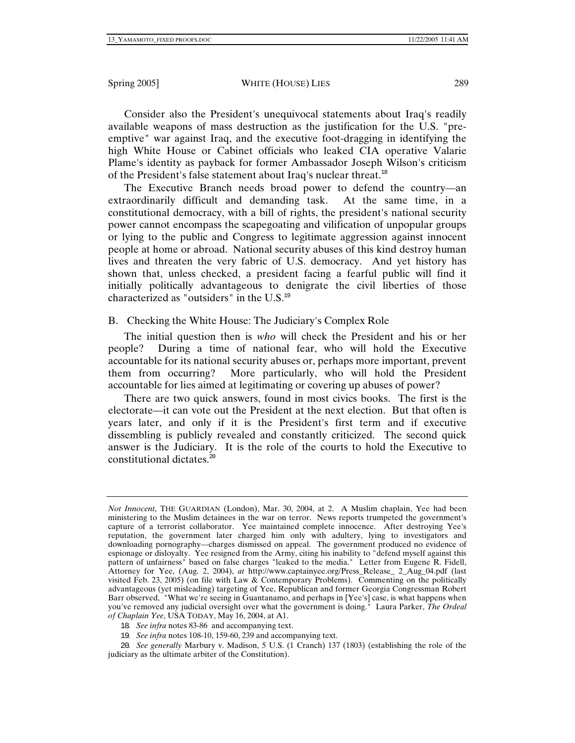Consider also the President's unequivocal statements about Iraq's readily available weapons of mass destruction as the justification for the U.S. "preemptive" war against Iraq, and the executive foot-dragging in identifying the high White House or Cabinet officials who leaked CIA operative Valarie Plame's identity as payback for former Ambassador Joseph Wilson's criticism of the President's false statement about Iraq's nuclear threat.<sup>18</sup>

The Executive Branch needs broad power to defend the country—an extraordinarily difficult and demanding task. At the same time, in a constitutional democracy, with a bill of rights, the president's national security power cannot encompass the scapegoating and vilification of unpopular groups or lying to the public and Congress to legitimate aggression against innocent people at home or abroad. National security abuses of this kind destroy human lives and threaten the very fabric of U.S. democracy. And yet history has shown that, unless checked, a president facing a fearful public will find it initially politically advantageous to denigrate the civil liberties of those characterized as "outsiders" in the  $U.S.^{19}$ 

# B. Checking the White House: The Judiciary's Complex Role

The initial question then is *who* will check the President and his or her people? During a time of national fear, who will hold the Executive accountable for its national security abuses or, perhaps more important, prevent them from occurring? More particularly, who will hold the President accountable for lies aimed at legitimating or covering up abuses of power?

There are two quick answers, found in most civics books. The first is the electorate—it can vote out the President at the next election. But that often is years later, and only if it is the President's first term and if executive dissembling is publicly revealed and constantly criticized. The second quick answer is the Judiciary. It is the role of the courts to hold the Executive to constitutional dictates.<sup>20</sup>

19*. See infra* notes 108-10, 159-60, 239 and accompanying text.

20*. See generally* Marbury v. Madison, 5 U.S. (1 Cranch) 137 (1803) (establishing the role of the judiciary as the ultimate arbiter of the Constitution).

*Not Innocent*, THE GUARDIAN (London), Mar. 30, 2004, at 2. A Muslim chaplain, Yee had been ministering to the Muslim detainees in the war on terror. News reports trumpeted the government's capture of a terrorist collaborator. Yee maintained complete innocence. After destroying Yee's reputation, the government later charged him only with adultery, lying to investigators and downloading pornography—charges dismissed on appeal. The government produced no evidence of espionage or disloyalty. Yee resigned from the Army, citing his inability to "defend myself against this pattern of unfairness" based on false charges "leaked to the media." Letter from Eugene R. Fidell, Attorney for Yee, (Aug. 2, 2004), *at* http://www.captainyee.org/Press\_Release\_ 2\_Aug\_04.pdf (last visited Feb. 23, 2005) (on file with Law & Contemporary Problems). Commenting on the politically advantageous (yet misleading) targeting of Yee, Republican and former Georgia Congressman Robert Barr observed, "What we're seeing in Guantanamo, and perhaps in [Yee's] case, is what happens when you've removed any judicial oversight over what the government is doing." Laura Parker, *The Ordeal of Chaplain Yee*, USA TODAY, May 16, 2004, at A1.

<sup>18</sup>*. See infra* notes 83-86 and accompanying text.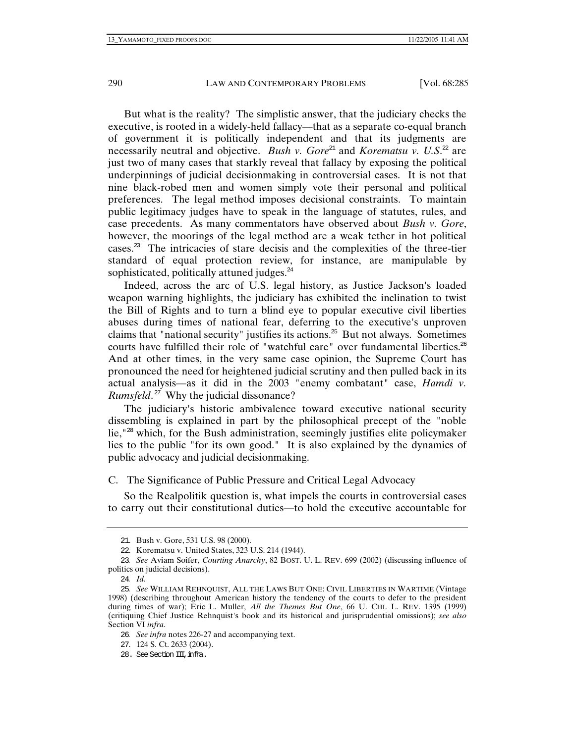But what is the reality? The simplistic answer, that the judiciary checks the executive, is rooted in a widely-held fallacy—that as a separate co-equal branch of government it is politically independent and that its judgments are necessarily neutral and objective. *Bush v. Gore*<sup>21</sup> and *Korematsu v. U.S.*<sup>22</sup> are just two of many cases that starkly reveal that fallacy by exposing the political underpinnings of judicial decisionmaking in controversial cases. It is not that nine black-robed men and women simply vote their personal and political preferences. The legal method imposes decisional constraints. To maintain public legitimacy judges have to speak in the language of statutes, rules, and case precedents. As many commentators have observed about *Bush v. Gore*, however, the moorings of the legal method are a weak tether in hot political cases.<sup>23</sup> The intricacies of stare decisis and the complexities of the three-tier standard of equal protection review, for instance, are manipulable by sophisticated, politically attuned judges.<sup>24</sup>

Indeed, across the arc of U.S. legal history, as Justice Jackson's loaded weapon warning highlights, the judiciary has exhibited the inclination to twist the Bill of Rights and to turn a blind eye to popular executive civil liberties abuses during times of national fear, deferring to the executive's unproven claims that "national security" justifies its actions.<sup>25</sup> But not always. Sometimes courts have fulfilled their role of "watchful care" over fundamental liberties.<sup>26</sup> And at other times, in the very same case opinion, the Supreme Court has pronounced the need for heightened judicial scrutiny and then pulled back in its actual analysis—as it did in the 2003 "enemy combatant" case, *Hamdi v. Rumsfeld*. <sup>27</sup> Why the judicial dissonance?

The judiciary's historic ambivalence toward executive national security dissembling is explained in part by the philosophical precept of the "noble lie,"<sup>28</sup> which, for the Bush administration, seemingly justifies elite policymaker lies to the public "for its own good." It is also explained by the dynamics of public advocacy and judicial decisionmaking.

C. The Significance of Public Pressure and Critical Legal Advocacy

So the Realpolitik question is, what impels the courts in controversial cases to carry out their constitutional duties—to hold the executive accountable for

<sup>21</sup>. Bush v. Gore, 531 U.S. 98 (2000).

<sup>22</sup>. Korematsu v. United States, 323 U.S. 214 (1944).

<sup>23</sup>*. See* Aviam Soifer, *Courting Anarchy*, 82 BOST. U. L. REV. 699 (2002) (discussing influence of politics on judicial decisions).

<sup>24</sup>*. Id.*

<sup>25</sup>*. See* WILLIAM REHNQUIST, ALL THE LAWS BUT ONE: CIVIL LIBERTIES IN WARTIME (Vintage 1998) (describing throughout American history the tendency of the courts to defer to the president during times of war); Eric L. Muller, *All the Themes But One*, 66 U. CHI. L. REV. 1395 (1999) (critiquing Chief Justice Rehnquist's book and its historical and jurisprudential omissions); *see also* Section VI *infra*.

<sup>26</sup>*. See infra* notes 226-27 and accompanying text.

<sup>27</sup>. 124 S. Ct. 2633 (2004).

<sup>28.</sup> See Section III, infra.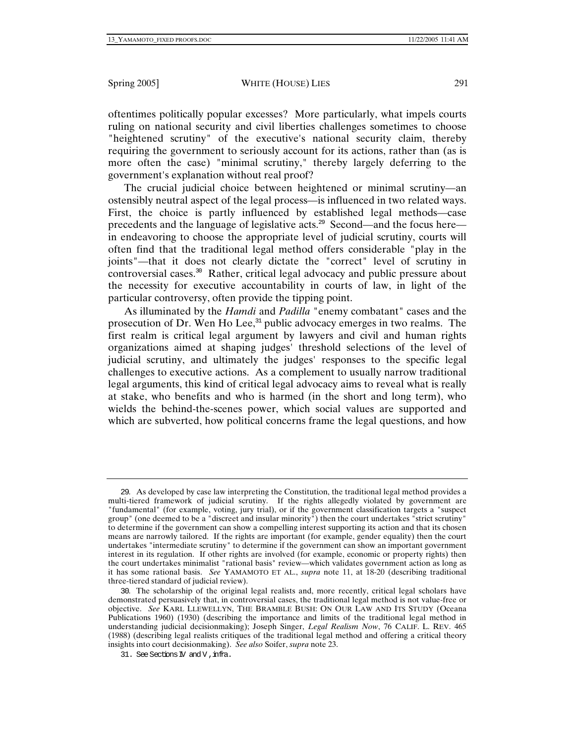oftentimes politically popular excesses? More particularly, what impels courts ruling on national security and civil liberties challenges sometimes to choose "heightened scrutiny" of the executive's national security claim, thereby requiring the government to seriously account for its actions, rather than (as is more often the case) "minimal scrutiny," thereby largely deferring to the government's explanation without real proof?

The crucial judicial choice between heightened or minimal scrutiny—an ostensibly neutral aspect of the legal process—is influenced in two related ways. First, the choice is partly influenced by established legal methods—case precedents and the language of legislative acts.<sup>29</sup> Second—and the focus here in endeavoring to choose the appropriate level of judicial scrutiny, courts will often find that the traditional legal method offers considerable "play in the joints"—that it does not clearly dictate the "correct" level of scrutiny in controversial cases.<sup>30</sup> Rather, critical legal advocacy and public pressure about the necessity for executive accountability in courts of law, in light of the particular controversy, often provide the tipping point.

As illuminated by the *Hamdi* and *Padilla* "enemy combatant" cases and the prosecution of Dr. Wen Ho Lee, $31$  public advocacy emerges in two realms. The first realm is critical legal argument by lawyers and civil and human rights organizations aimed at shaping judges' threshold selections of the level of judicial scrutiny, and ultimately the judges' responses to the specific legal challenges to executive actions. As a complement to usually narrow traditional legal arguments, this kind of critical legal advocacy aims to reveal what is really at stake, who benefits and who is harmed (in the short and long term), who wields the behind-the-scenes power, which social values are supported and which are subverted, how political concerns frame the legal questions, and how

<sup>29</sup>. As developed by case law interpreting the Constitution, the traditional legal method provides a multi-tiered framework of judicial scrutiny. If the rights allegedly violated by government are "fundamental" (for example, voting, jury trial), or if the government classification targets a "suspect group" (one deemed to be a "discreet and insular minority") then the court undertakes "strict scrutiny" to determine if the government can show a compelling interest supporting its action and that its chosen means are narrowly tailored. If the rights are important (for example, gender equality) then the court undertakes "intermediate scrutiny" to determine if the government can show an important government interest in its regulation. If other rights are involved (for example, economic or property rights) then the court undertakes minimalist "rational basis" review—which validates government action as long as it has some rational basis. *See* YAMAMOTO ET AL., *supra* note 11, at 18-20 (describing traditional three-tiered standard of judicial review).

<sup>30</sup>. The scholarship of the original legal realists and, more recently, critical legal scholars have demonstrated persuasively that, in controversial cases, the traditional legal method is not value-free or objective. *See* KARL LLEWELLYN, THE BRAMBLE BUSH: ON OUR LAW AND ITS STUDY (Oceana Publications 1960) (1930) (describing the importance and limits of the traditional legal method in understanding judicial decisionmaking); Joseph Singer, *Legal Realism Now*, 76 CALIF. L. REV. 465 (1988) (describing legal realists critiques of the traditional legal method and offering a critical theory insights into court decisionmaking). *See also* Soifer, *supra* note 23.

<sup>31.</sup> See Sections IV and V, infra.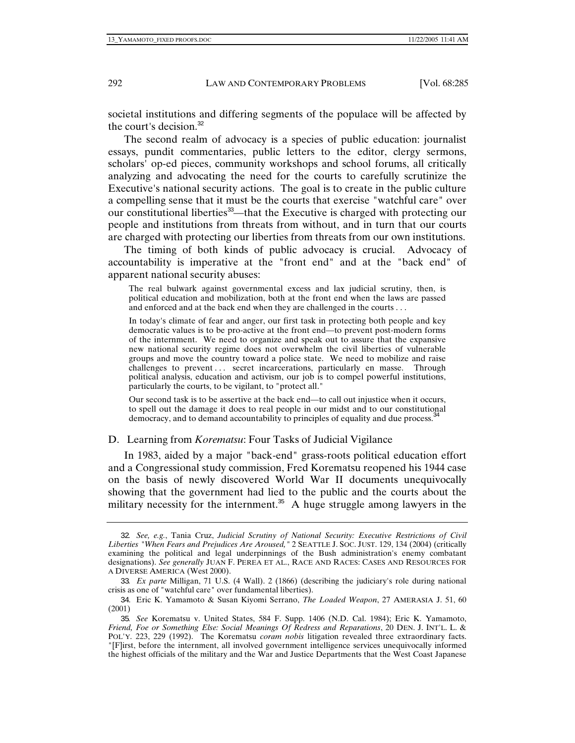societal institutions and differing segments of the populace will be affected by the court's decision.<sup>32</sup>

The second realm of advocacy is a species of public education: journalist essays, pundit commentaries, public letters to the editor, clergy sermons, scholars' op-ed pieces, community workshops and school forums, all critically analyzing and advocating the need for the courts to carefully scrutinize the Executive's national security actions. The goal is to create in the public culture a compelling sense that it must be the courts that exercise "watchful care" over our constitutional liberties<sup>33</sup>—that the Executive is charged with protecting our people and institutions from threats from without, and in turn that our courts are charged with protecting our liberties from threats from our own institutions.

The timing of both kinds of public advocacy is crucial. Advocacy of accountability is imperative at the "front end" and at the "back end" of apparent national security abuses:

The real bulwark against governmental excess and lax judicial scrutiny, then, is political education and mobilization, both at the front end when the laws are passed and enforced and at the back end when they are challenged in the courts . . .

In today's climate of fear and anger, our first task in protecting both people and key democratic values is to be pro-active at the front end—to prevent post-modern forms of the internment. We need to organize and speak out to assure that the expansive new national security regime does not overwhelm the civil liberties of vulnerable groups and move the country toward a police state. We need to mobilize and raise challenges to prevent ... secret incarcerations, particularly en masse. Through political analysis, education and activism, our job is to compel powerful institutions, particularly the courts, to be vigilant, to "protect all."

Our second task is to be assertive at the back end—to call out injustice when it occurs, to spell out the damage it does to real people in our midst and to our constitutional democracy, and to demand accountability to principles of equality and due process.<sup>34</sup>

## D. Learning from *Korematsu*: Four Tasks of Judicial Vigilance

In 1983, aided by a major "back-end" grass-roots political education effort and a Congressional study commission, Fred Korematsu reopened his 1944 case on the basis of newly discovered World War II documents unequivocally showing that the government had lied to the public and the courts about the military necessity for the internment.<sup>35</sup> A huge struggle among lawyers in the

<sup>32</sup>*. See, e.g.*, Tania Cruz, *Judicial Scrutiny of National Security: Executive Restrictions of Civil Liberties "When Fears and Prejudices Are Aroused,"* 2 SEATTLE J. SOC. JUST. 129, 134 (2004) (critically examining the political and legal underpinnings of the Bush administration's enemy combatant designations). *See generally* JUAN F. PEREA ET AL., RACE AND RACES: CASES AND RESOURCES FOR A DIVERSE AMERICA (West 2000).

<sup>33</sup>*. Ex parte* Milligan, 71 U.S. (4 Wall). 2 (1866) (describing the judiciary's role during national crisis as one of "watchful care" over fundamental liberties).

<sup>34</sup>. Eric K. Yamamoto & Susan Kiyomi Serrano, *The Loaded Weapon*, 27 AMERASIA J. 51, 60 (2001)

<sup>35</sup>*. See* Korematsu v. United States, 584 F. Supp. 1406 (N.D. Cal. 1984); Eric K. Yamamoto, *Friend, Foe or Something Else: Social Meanings Of Redress and Reparations*, 20 DEN. J. INT'L. L. & POL'Y. 223, 229 (1992). The Korematsu *coram nobis* litigation revealed three extraordinary facts. "[F]irst, before the internment, all involved government intelligence services unequivocally informed the highest officials of the military and the War and Justice Departments that the West Coast Japanese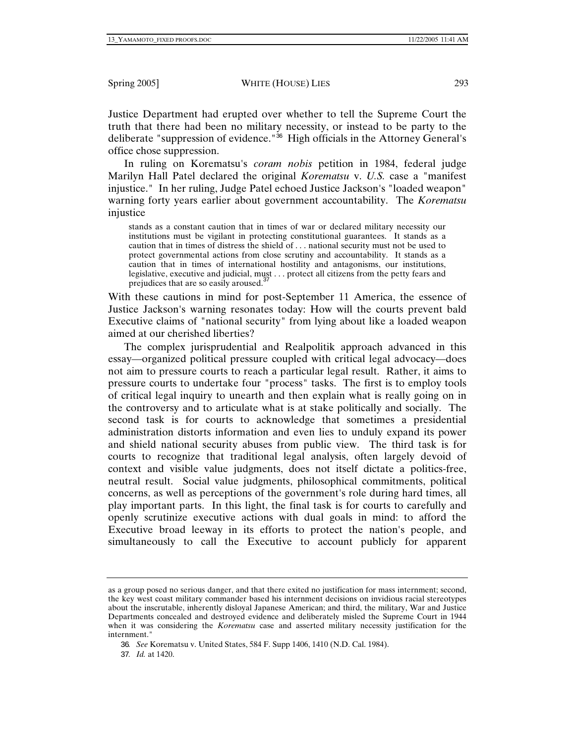Justice Department had erupted over whether to tell the Supreme Court the truth that there had been no military necessity, or instead to be party to the deliberate "suppression of evidence."<sup>36</sup> High officials in the Attorney General's office chose suppression.

In ruling on Korematsu's *coram nobis* petition in 1984, federal judge Marilyn Hall Patel declared the original *Korematsu* v. *U.S.* case a "manifest injustice." In her ruling, Judge Patel echoed Justice Jackson's "loaded weapon" warning forty years earlier about government accountability. The *Korematsu* injustice

stands as a constant caution that in times of war or declared military necessity our institutions must be vigilant in protecting constitutional guarantees. It stands as a caution that in times of distress the shield of . . . national security must not be used to protect governmental actions from close scrutiny and accountability. It stands as a caution that in times of international hostility and antagonisms, our institutions, legislative, executive and judicial, must . . . protect all citizens from the petty fears and prejudices that are so easily aroused.<sup>37</sup>

With these cautions in mind for post-September 11 America, the essence of Justice Jackson's warning resonates today: How will the courts prevent bald Executive claims of "national security" from lying about like a loaded weapon aimed at our cherished liberties?

The complex jurisprudential and Realpolitik approach advanced in this essay—organized political pressure coupled with critical legal advocacy—does not aim to pressure courts to reach a particular legal result. Rather, it aims to pressure courts to undertake four "process" tasks. The first is to employ tools of critical legal inquiry to unearth and then explain what is really going on in the controversy and to articulate what is at stake politically and socially. The second task is for courts to acknowledge that sometimes a presidential administration distorts information and even lies to unduly expand its power and shield national security abuses from public view. The third task is for courts to recognize that traditional legal analysis, often largely devoid of context and visible value judgments, does not itself dictate a politics-free, neutral result. Social value judgments, philosophical commitments, political concerns, as well as perceptions of the government's role during hard times, all play important parts. In this light, the final task is for courts to carefully and openly scrutinize executive actions with dual goals in mind: to afford the Executive broad leeway in its efforts to protect the nation's people, and simultaneously to call the Executive to account publicly for apparent

as a group posed no serious danger, and that there exited no justification for mass internment; second, the key west coast military commander based his internment decisions on invidious racial stereotypes about the inscrutable, inherently disloyal Japanese American; and third, the military, War and Justice Departments concealed and destroyed evidence and deliberately misled the Supreme Court in 1944 when it was considering the *Korematsu* case and asserted military necessity justification for the internment."

<sup>36</sup>*. See* Korematsu v. United States, 584 F. Supp 1406, 1410 (N.D. Cal. 1984).

<sup>37</sup>*. Id.* at 1420.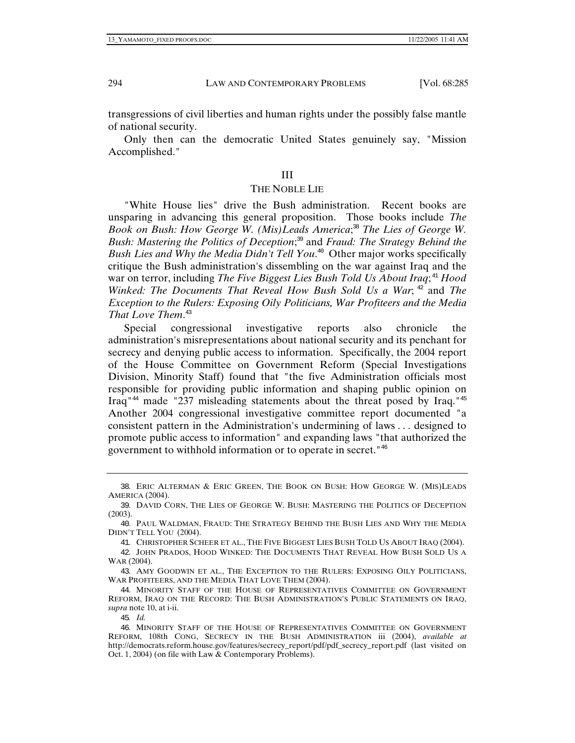transgressions of civil liberties and human rights under the possibly false mantle of national security.

Only then can the democratic United States genuinely say, "Mission Accomplished."

#### III

#### THE NOBLE LIE

"White House lies" drive the Bush administration. Recent books are unsparing in advancing this general proposition. Those books include *The*  Book on Bush: How George W. (Mis) Leads America;<sup>38</sup> The Lies of George W. *Bush: Mastering the Politics of Deception*; <sup>39</sup> and *Fraud: The Strategy Behind the Bush Lies and Why the Media Didn't Tell You*. <sup>40</sup> Other major works specifically critique the Bush administration's dissembling on the war against Iraq and the war on terror, including *The Five Biggest Lies Bush Told Us About Iraq*; <sup>41</sup> *Hood Winked: The Documents That Reveal How Bush Sold Us a War*;  $42^{\circ}$  and *The Exception to the Rulers: Exposing Oily Politicians, War Profiteers and the Media That Love Them*. 43

Special congressional investigative reports also chronicle the administration's misrepresentations about national security and its penchant for secrecy and denying public access to information. Specifically, the 2004 report of the House Committee on Government Reform (Special Investigations Division, Minority Staff) found that "the five Administration officials most responsible for providing public information and shaping public opinion on Iraq<sup>"44</sup> made "237 misleading statements about the threat posed by Iraq."<sup>45</sup> Another 2004 congressional investigative committee report documented "a consistent pattern in the Administration's undermining of laws . . . designed to promote public access to information" and expanding laws "that authorized the government to withhold information or to operate in secret."<sup>46</sup>

<sup>38</sup>. ERIC ALTERMAN & ERIC GREEN, THE BOOK ON BUSH: HOW GEORGE W. (MIS)LEADS AMERICA (2004).

<sup>39</sup>. DAVID CORN, THE LIES OF GEORGE W. BUSH: MASTERING THE POLITICS OF DECEPTION (2003).

<sup>40</sup>. PAUL WALDMAN, FRAUD: THE STRATEGY BEHIND THE BUSH LIES AND WHY THE MEDIA DIDN'T TELL YOU (2004).

<sup>41</sup>. CHRISTOPHER SCHEER ET AL., THE FIVE BIGGEST LIES BUSH TOLD US ABOUT IRAQ (2004).

<sup>42</sup>. JOHN PRADOS, HOOD WINKED: THE DOCUMENTS THAT REVEAL HOW BUSH SOLD US A WAR (2004).

<sup>43</sup>. AMY GOODWIN ET AL., THE EXCEPTION TO THE RULERS: EXPOSING OILY POLITICIANS, WAR PROFITEERS, AND THE MEDIA THAT LOVE THEM (2004).

<sup>44</sup>. MINORITY STAFF OF THE HOUSE OF REPRESENTATIVES COMMITTEE ON GOVERNMENT REFORM, IRAQ ON THE RECORD: THE BUSH ADMINISTRATION'S PUBLIC STATEMENTS ON IRAQ, *supra* note 10, at i-ii.

<sup>45</sup>*. Id.*

<sup>46</sup>. MINORITY STAFF OF THE HOUSE OF REPRESENTATIVES COMMITTEE ON GOVERNMENT REFORM, 108th CONG, SECRECY IN THE BUSH ADMINISTRATION iii (2004), *available at* http://democrats.reform.house.gov/features/secrecy\_report/pdf/pdf\_secrecy\_report.pdf (last visited on Oct. 1, 2004) (on file with Law & Contemporary Problems).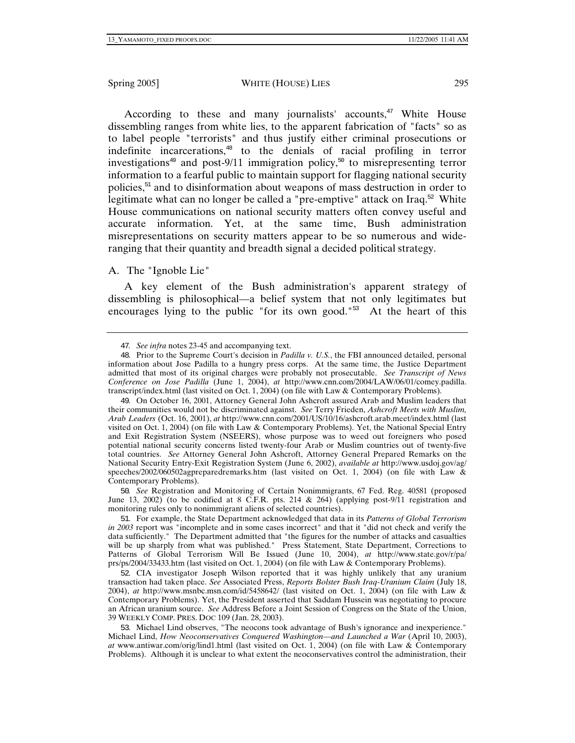According to these and many journalists' accounts,<sup>47</sup> White House dissembling ranges from white lies, to the apparent fabrication of "facts" so as to label people "terrorists" and thus justify either criminal prosecutions or indefinite incarcerations,<sup>48</sup> to the denials of racial profiling in terror investigations<sup>49</sup> and post-9/11 immigration policy,<sup>50</sup> to misrepresenting terror information to a fearful public to maintain support for flagging national security policies, $51$  and to disinformation about weapons of mass destruction in order to legitimate what can no longer be called a "pre-emptive" attack on Iraq.<sup>52</sup> White House communications on national security matters often convey useful and accurate information. Yet, at the same time, Bush administration misrepresentations on security matters appear to be so numerous and wideranging that their quantity and breadth signal a decided political strategy.

## A. The "Ignoble Lie"

A key element of the Bush administration's apparent strategy of dissembling is philosophical—a belief system that not only legitimates but encourages lying to the public "for its own good."<sup>53</sup> At the heart of this

50*. See* Registration and Monitoring of Certain Nonimmigrants, 67 Fed. Reg. 40581 (proposed June 13, 2002) (to be codified at 8 C.F.R. pts. 214 & 264) (applying post-9/11 registration and monitoring rules only to nonimmigrant aliens of selected countries).

51. For example, the State Department acknowledged that data in its *Patterns of Global Terrorism in 2003* report was "incomplete and in some cases incorrect" and that it "did not check and verify the data sufficiently." The Department admitted that "the figures for the number of attacks and casualties will be up sharply from what was published." Press Statement, State Department, Corrections to Patterns of Global Terrorism Will Be Issued (June 10, 2004), *at* http://www.state.gov/r/pa/ prs/ps/2004/33433.htm (last visited on Oct. 1, 2004) (on file with Law & Contemporary Problems).

52. CIA investigator Joseph Wilson reported that it was highly unlikely that any uranium transaction had taken place. *See* Associated Press, *Reports Bolster Bush Iraq-Uranium Claim* (July 18, 2004), *at* http://www.msnbc.msn.com/id/5458642/ (last visited on Oct. 1, 2004) (on file with Law & Contemporary Problems). Yet, the President asserted that Saddam Hussein was negotiating to procure an African uranium source. *See* Address Before a Joint Session of Congress on the State of the Union, 39 WEEKLY COMP. PRES. DOC 109 (Jan. 28, 2003).

53. Michael Lind observes, "The neocons took advantage of Bush's ignorance and inexperience." Michael Lind, *How Neoconservatives Conquered Washington—and Launched a War* (April 10, 2003), *at* www.antiwar.com/orig/lind1.html (last visited on Oct. 1, 2004) (on file with Law & Contemporary Problems). Although it is unclear to what extent the neoconservatives control the administration, their

<sup>47</sup>*. See infra* notes 23-45 and accompanying text.

<sup>48</sup>. Prior to the Supreme Court's decision in *Padilla v. U.S.*, the FBI announced detailed, personal information about Jose Padilla to a hungry press corps. At the same time, the Justice Department admitted that most of its original charges were probably not prosecutable. *See Transcript of News Conference on Jose Padilla* (June 1, 2004), *at* http://www.cnn.com/2004/LAW/06/01/comey.padilla. transcript/index.html (last visited on Oct. 1, 2004) (on file with Law & Contemporary Problems).

<sup>49</sup>. On October 16, 2001, Attorney General John Ashcroft assured Arab and Muslim leaders that their communities would not be discriminated against. *See* Terry Frieden, *Ashcroft Meets with Muslim, Arab Leaders* (Oct. 16, 2001), *at* http://www.cnn.com/2001/US/10/16/ashcroft.arab.meet/index.html (last visited on Oct. 1, 2004) (on file with Law & Contemporary Problems). Yet, the National Special Entry and Exit Registration System (NSEERS), whose purpose was to weed out foreigners who posed potential national security concerns listed twenty-four Arab or Muslim countries out of twenty-five total countries. *See* Attorney General John Ashcroft, Attorney General Prepared Remarks on the National Security Entry-Exit Registration System (June 6, 2002), *available at* http://www.usdoj.gov/ag/ speeches/2002/060502agpreparedremarks.htm (last visited on Oct. 1, 2004) (on file with Law & Contemporary Problems).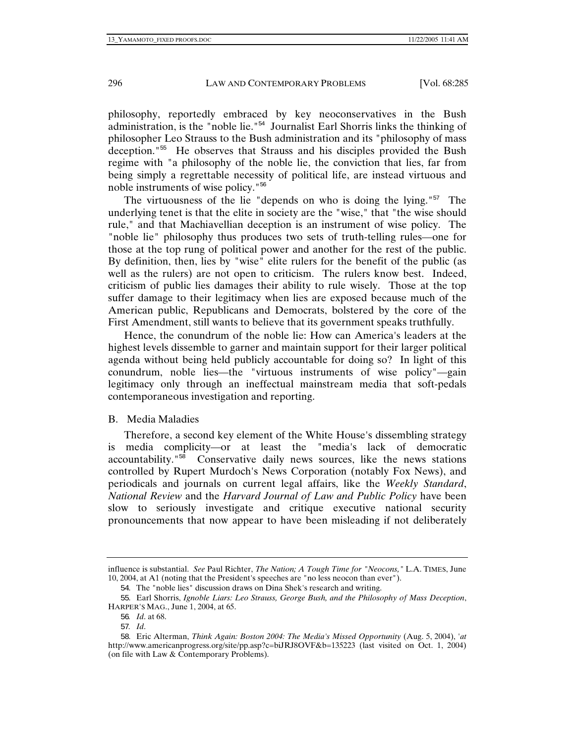philosophy, reportedly embraced by key neoconservatives in the Bush administration, is the "noble lie."<sup>54</sup> Journalist Earl Shorris links the thinking of philosopher Leo Strauss to the Bush administration and its "philosophy of mass deception."<sup>55</sup> He observes that Strauss and his disciples provided the Bush regime with "a philosophy of the noble lie, the conviction that lies, far from being simply a regrettable necessity of political life, are instead virtuous and noble instruments of wise policy."<sup>56</sup>

The virtuousness of the lie "depends on who is doing the lying."<sup>57</sup> The underlying tenet is that the elite in society are the "wise," that "the wise should rule," and that Machiavellian deception is an instrument of wise policy. The "noble lie" philosophy thus produces two sets of truth-telling rules—one for those at the top rung of political power and another for the rest of the public. By definition, then, lies by "wise" elite rulers for the benefit of the public (as well as the rulers) are not open to criticism. The rulers know best. Indeed, criticism of public lies damages their ability to rule wisely. Those at the top suffer damage to their legitimacy when lies are exposed because much of the American public, Republicans and Democrats, bolstered by the core of the First Amendment, still wants to believe that its government speaks truthfully.

Hence, the conundrum of the noble lie: How can America's leaders at the highest levels dissemble to garner and maintain support for their larger political agenda without being held publicly accountable for doing so? In light of this conundrum, noble lies—the "virtuous instruments of wise policy"—gain legitimacy only through an ineffectual mainstream media that soft-pedals contemporaneous investigation and reporting.

#### B. Media Maladies

Therefore, a second key element of the White House's dissembling strategy is media complicity—or at least the "media's lack of democratic accountability."<sup>58</sup> Conservative daily news sources, like the news stations controlled by Rupert Murdoch's News Corporation (notably Fox News), and periodicals and journals on current legal affairs, like the *Weekly Standard*, *National Review* and the *Harvard Journal of Law and Public Policy* have been slow to seriously investigate and critique executive national security pronouncements that now appear to have been misleading if not deliberately

influence is substantial. *See* Paul Richter, *The Nation; A Tough Time for "Neocons,"* L.A. TIMES, June 10, 2004, at A1 (noting that the President's speeches are "no less neocon than ever").

<sup>54</sup>. The "noble lies" discussion draws on Dina Shek's research and writing.

<sup>55</sup>. Earl Shorris, *Ignoble Liars: Leo Strauss, George Bush, and the Philosophy of Mass Deception*, HARPER'S MAG., June 1, 2004, at 65.

<sup>56</sup>*. Id*. at 68.

<sup>57</sup>*. Id*.

<sup>58</sup>. Eric Alterman, *Think Again: Boston 2004: The Media's Missed Opportunity* (Aug. 5, 2004), '*at* http://www.americanprogress.org/site/pp.asp?c=biJRJ8OVF&b=135223 (last visited on Oct. 1, 2004) (on file with Law & Contemporary Problems).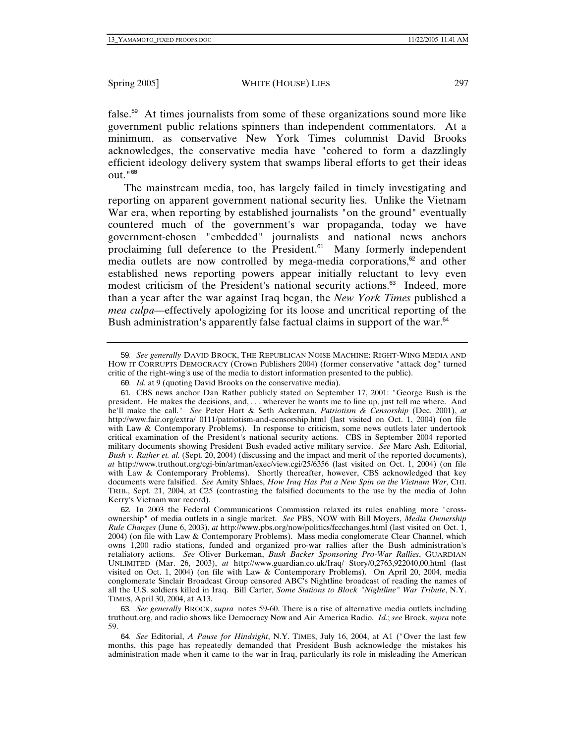false.<sup>59</sup> At times journalists from some of these organizations sound more like government public relations spinners than independent commentators. At a minimum, as conservative New York Times columnist David Brooks acknowledges, the conservative media have "cohered to form a dazzlingly efficient ideology delivery system that swamps liberal efforts to get their ideas  $\mathrm{out.}$ " $^{60}$ 

The mainstream media, too, has largely failed in timely investigating and reporting on apparent government national security lies. Unlike the Vietnam War era, when reporting by established journalists "on the ground" eventually countered much of the government's war propaganda, today we have government-chosen "embedded" journalists and national news anchors proclaiming full deference to the President.<sup>61</sup> Many formerly independent media outlets are now controlled by mega-media corporations, $62$  and other established news reporting powers appear initially reluctant to levy even modest criticism of the President's national security actions.<sup>63</sup> Indeed, more than a year after the war against Iraq began, the *New York Times* published a *mea culpa*—effectively apologizing for its loose and uncritical reporting of the Bush administration's apparently false factual claims in support of the war.<sup>64</sup>

<sup>59</sup>*. See generally* DAVID BROCK, THE REPUBLICAN NOISE MACHINE: RIGHT-WING MEDIA AND HOW IT CORRUPTS DEMOCRACY (Crown Publishers 2004) (former conservative "attack dog" turned critic of the right-wing's use of the media to distort information presented to the public).

<sup>60</sup>*. Id.* at 9 (quoting David Brooks on the conservative media).

<sup>61</sup>. CBS news anchor Dan Rather publicly stated on September 17, 2001: "George Bush is the president. He makes the decisions, and, . . . wherever he wants me to line up, just tell me where. And he'll make the call." *See* Peter Hart & Seth Ackerman, *Patriotism & Censorship* (Dec. 2001), *at* http://www.fair.org/extra/ 0111/patriotism-and-censorship.html (last visited on Oct. 1, 2004) (on file with Law & Contemporary Problems). In response to criticism, some news outlets later undertook critical examination of the President's national security actions. CBS in September 2004 reported military documents showing President Bush evaded active military service. *See* Marc Ash, Editorial, *Bush v. Rather et. al.* (Sept. 20, 2004) (discussing and the impact and merit of the reported documents), *at* http://www.truthout.org/cgi-bin/artman/exec/view.cgi/25/6356 (last visited on Oct. 1, 2004) (on file with Law & Contemporary Problems). Shortly thereafter, however, CBS acknowledged that key documents were falsified. *See* Amity Shlaes, *How Iraq Has Put a New Spin on the Vietnam War*, CHI. TRIB., Sept. 21, 2004, at C25 (contrasting the falsified documents to the use by the media of John Kerry's Vietnam war record).

<sup>62</sup>. In 2003 the Federal Communications Commission relaxed its rules enabling more "crossownership" of media outlets in a single market. *See* PBS, NOW with Bill Moyers, *Media Ownership Rule Changes* (June 6, 2003), *at* http://www.pbs.org/now/politics/fccchanges.html (last visited on Oct. 1, 2004) (on file with Law & Contemporary Problems). Mass media conglomerate Clear Channel, which owns 1,200 radio stations, funded and organized pro-war rallies after the Bush administration's retaliatory actions. *See* Oliver Burkeman, *Bush Backer Sponsoring Pro-War Rallies*, GUARDIAN UNLIMITED (Mar. 26, 2003), *at* http://www.guardian.co.uk/Iraq/ Story/0,2763,922040,00.html (last visited on Oct. 1, 2004) (on file with Law & Contemporary Problems). On April 20, 2004, media conglomerate Sinclair Broadcast Group censored ABC's Nightline broadcast of reading the names of all the U.S. soldiers killed in Iraq. Bill Carter, *Some Stations to Block "Nightline" War Tribute*, N.Y. TIMES, April 30, 2004, at A13.

<sup>63</sup>*. See generally* BROCK, *supra* notes 59-60. There is a rise of alternative media outlets including truthout.org, and radio shows like Democracy Now and Air America Radio. *Id.*; *see* Brock, *supra* note 59.

<sup>64</sup>*. See* Editorial, *A Pause for Hindsight*, N.Y. TIMES, July 16, 2004, at A1 ("Over the last few months, this page has repeatedly demanded that President Bush acknowledge the mistakes his administration made when it came to the war in Iraq, particularly its role in misleading the American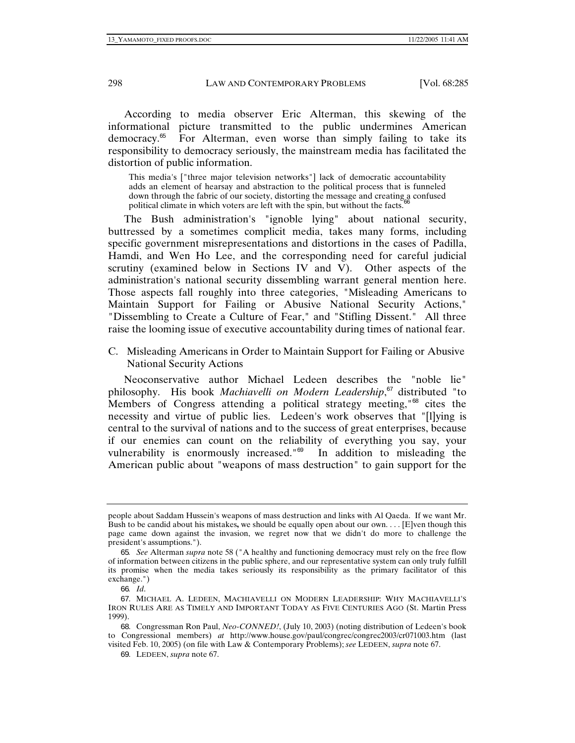According to media observer Eric Alterman, this skewing of the informational picture transmitted to the public undermines American democracy.<sup>65</sup> For Alterman, even worse than simply failing to take its responsibility to democracy seriously, the mainstream media has facilitated the distortion of public information.

This media's ["three major television networks"] lack of democratic accountability adds an element of hearsay and abstraction to the political process that is funneled down through the fabric of our society, distorting the message and creating a confused political climate in which voters are left with the spin, but without the facts. $6\frac{6}{10}$ 

The Bush administration's "ignoble lying" about national security, buttressed by a sometimes complicit media, takes many forms, including specific government misrepresentations and distortions in the cases of Padilla, Hamdi, and Wen Ho Lee, and the corresponding need for careful judicial scrutiny (examined below in Sections IV and V). Other aspects of the administration's national security dissembling warrant general mention here. Those aspects fall roughly into three categories, "Misleading Americans to Maintain Support for Failing or Abusive National Security Actions," "Dissembling to Create a Culture of Fear," and "Stifling Dissent." All three raise the looming issue of executive accountability during times of national fear.

C. Misleading Americans in Order to Maintain Support for Failing or Abusive National Security Actions

Neoconservative author Michael Ledeen describes the "noble lie" philosophy. His book *Machiavelli on Modern Leadership*, <sup>67</sup> distributed "to Members of Congress attending a political strategy meeting,"<sup>68</sup> cites the necessity and virtue of public lies. Ledeen's work observes that "[l]ying is central to the survival of nations and to the success of great enterprises, because if our enemies can count on the reliability of everything you say, your vulnerability is enormously increased."<sup>69</sup> In addition to misleading the American public about "weapons of mass destruction" to gain support for the

people about Saddam Hussein's weapons of mass destruction and links with Al Qaeda. If we want Mr. Bush to be candid about his mistakes**,** we should be equally open about our own. . . . [E]ven though this page came down against the invasion, we regret now that we didn't do more to challenge the president's assumptions.").

<sup>65</sup>*. See* Alterman *supra* note 58 ("A healthy and functioning democracy must rely on the free flow of information between citizens in the public sphere, and our representative system can only truly fulfill its promise when the media takes seriously its responsibility as the primary facilitator of this exchange.")

<sup>66</sup>*. Id*.

<sup>67</sup>. MICHAEL A. LEDEEN, MACHIAVELLI ON MODERN LEADERSHIP: WHY MACHIAVELLI'S IRON RULES ARE AS TIMELY AND IMPORTANT TODAY AS FIVE CENTURIES AGO (St. Martin Press 1999).

<sup>68</sup>. Congressman Ron Paul, *Neo-CONNED!*, (July 10, 2003) (noting distribution of Ledeen's book to Congressional members) *at* http://www.house.gov/paul/congrec/congrec2003/cr071003.htm (last visited Feb. 10, 2005) (on file with Law & Contemporary Problems); *see* LEDEEN, *supra* note 67.

<sup>69</sup>. LEDEEN, *supra* note 67.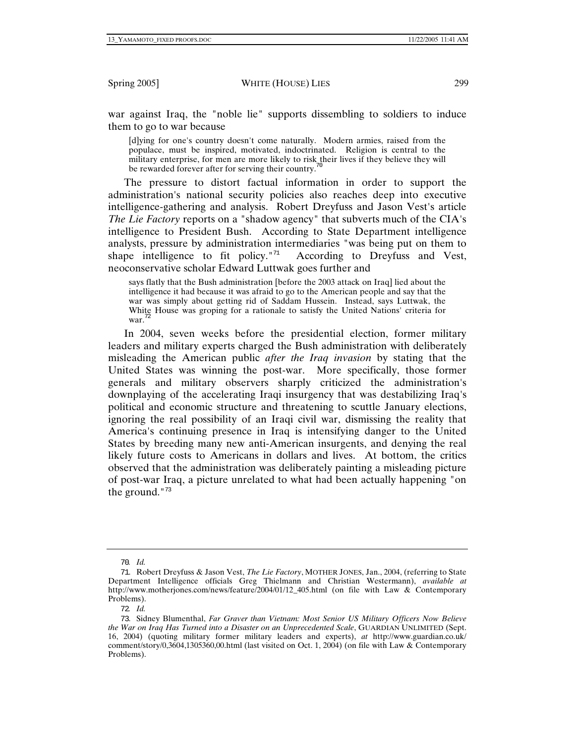war against Iraq, the "noble lie" supports dissembling to soldiers to induce them to go to war because

[d]ying for one's country doesn't come naturally. Modern armies, raised from the populace, must be inspired, motivated, indoctrinated. Religion is central to the military enterprise, for men are more likely to risk their lives if they believe they will be rewarded forever after for serving their country.<sup>7</sup>

The pressure to distort factual information in order to support the administration's national security policies also reaches deep into executive intelligence-gathering and analysis. Robert Dreyfuss and Jason Vest's article *The Lie Factory* reports on a "shadow agency" that subverts much of the CIA's intelligence to President Bush. According to State Department intelligence analysts, pressure by administration intermediaries "was being put on them to shape intelligence to fit policy. $171$  According to Dreyfuss and Vest, neoconservative scholar Edward Luttwak goes further and

says flatly that the Bush administration [before the 2003 attack on Iraq] lied about the intelligence it had because it was afraid to go to the American people and say that the war was simply about getting rid of Saddam Hussein. Instead, says Luttwak, the White House was groping for a rationale to satisfy the United Nations' criteria for war.<sup>72</sup>

In 2004, seven weeks before the presidential election, former military leaders and military experts charged the Bush administration with deliberately misleading the American public *after the Iraq invasion* by stating that the United States was winning the post-war. More specifically, those former generals and military observers sharply criticized the administration's downplaying of the accelerating Iraqi insurgency that was destabilizing Iraq's political and economic structure and threatening to scuttle January elections, ignoring the real possibility of an Iraqi civil war, dismissing the reality that America's continuing presence in Iraq is intensifying danger to the United States by breeding many new anti-American insurgents, and denying the real likely future costs to Americans in dollars and lives. At bottom, the critics observed that the administration was deliberately painting a misleading picture of post-war Iraq, a picture unrelated to what had been actually happening "on the ground." $73$ 

<sup>70</sup>*. Id.*

<sup>71</sup>. Robert Dreyfuss & Jason Vest, *The Lie Factory*, MOTHER JONES, Jan., 2004, (referring to State Department Intelligence officials Greg Thielmann and Christian Westermann), *available at* http://www.motherjones.com/news/feature/2004/01/12\_405.html (on file with Law & Contemporary Problems).

<sup>72</sup>*. Id.*

<sup>73</sup>. Sidney Blumenthal, *Far Graver than Vietnam: Most Senior US Military Officers Now Believe the War on Iraq Has Turned into a Disaster on an Unprecedented Scale*, GUARDIAN UNLIMITED (Sept. 16, 2004) (quoting military former military leaders and experts), *at* http://www.guardian.co.uk/ comment/story/0,3604,1305360,00.html (last visited on Oct. 1, 2004) (on file with Law & Contemporary Problems).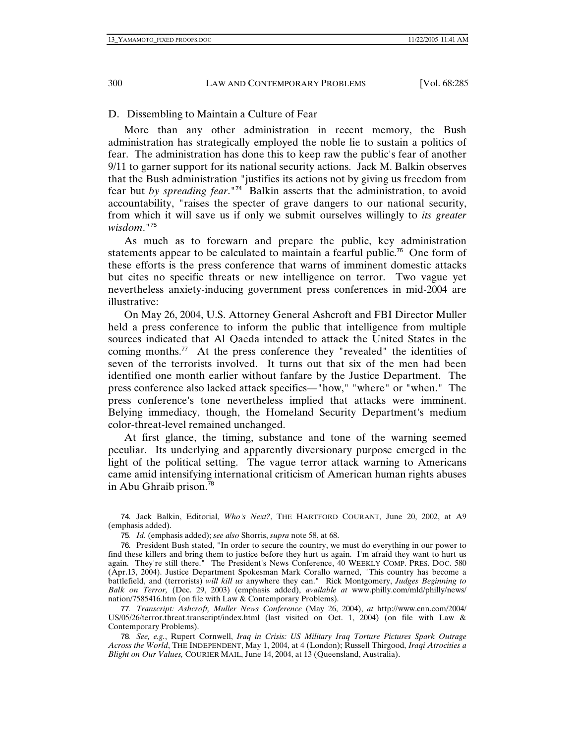### D. Dissembling to Maintain a Culture of Fear

More than any other administration in recent memory, the Bush administration has strategically employed the noble lie to sustain a politics of fear. The administration has done this to keep raw the public's fear of another 9/11 to garner support for its national security actions. Jack M. Balkin observes that the Bush administration "justifies its actions not by giving us freedom from fear but *by spreading fear*."<sup>74</sup>Balkin asserts that the administration, to avoid accountability, "raises the specter of grave dangers to our national security, from which it will save us if only we submit ourselves willingly to *its greater wisdom*."<sup>75</sup>

As much as to forewarn and prepare the public, key administration statements appear to be calculated to maintain a fearful public.<sup>76</sup> One form of these efforts is the press conference that warns of imminent domestic attacks but cites no specific threats or new intelligence on terror. Two vague yet nevertheless anxiety-inducing government press conferences in mid-2004 are illustrative:

On May 26, 2004, U.S. Attorney General Ashcroft and FBI Director Muller held a press conference to inform the public that intelligence from multiple sources indicated that Al Qaeda intended to attack the United States in the coming months.<sup>77</sup> At the press conference they "revealed" the identities of seven of the terrorists involved. It turns out that six of the men had been identified one month earlier without fanfare by the Justice Department. The press conference also lacked attack specifics—"how," "where" or "when." The press conference's tone nevertheless implied that attacks were imminent. Belying immediacy, though, the Homeland Security Department's medium color-threat-level remained unchanged.

At first glance, the timing, substance and tone of the warning seemed peculiar. Its underlying and apparently diversionary purpose emerged in the light of the political setting. The vague terror attack warning to Americans came amid intensifying international criticism of American human rights abuses in Abu Ghraib prison.<sup>78</sup>

<sup>74</sup>. Jack Balkin, Editorial, *Who's Next?*, THE HARTFORD COURANT, June 20, 2002, at A9 (emphasis added).

<sup>75</sup>*. Id.* (emphasis added); *see also* Shorris, *supra* note 58, at 68.

<sup>76</sup>. President Bush stated, "In order to secure the country, we must do everything in our power to find these killers and bring them to justice before they hurt us again. I'm afraid they want to hurt us again. They're still there." The President's News Conference, 40 WEEKLY COMP. PRES. DOC. 580 (Apr.13, 2004). Justice Department Spokesman Mark Corallo warned, "This country has become a battlefield, and (terrorists) *will kill us* anywhere they can." Rick Montgomery, *Judges Beginning to Balk on Terror,* (Dec. 29, 2003) (emphasis added), *available at* www.philly.com/mld/philly/news/ nation/7585416.htm (on file with Law & Contemporary Problems).

<sup>77</sup>*. Transcript: Ashcroft, Muller News Conference* (May 26, 2004), *at* http://www.cnn.com/2004/ US/05/26/terror.threat.transcript/index.html (last visited on Oct. 1, 2004) (on file with Law & Contemporary Problems).

<sup>78</sup>*. See, e.g.*, Rupert Cornwell, *Iraq in Crisis: US Military Iraq Torture Pictures Spark Outrage Across the World*, THE INDEPENDENT, May 1, 2004, at 4 (London); Russell Thirgood, *Iraqi Atrocities a Blight on Our Values,* COURIER MAIL, June 14, 2004, at 13 (Queensland, Australia).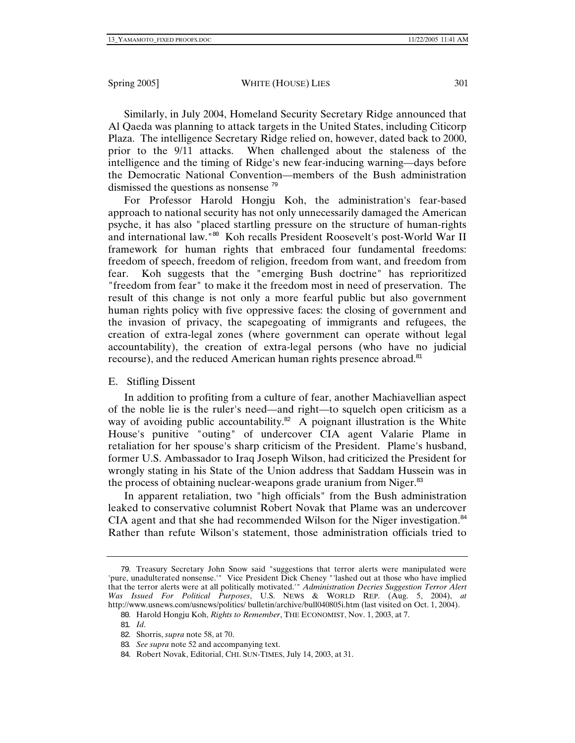Similarly, in July 2004, Homeland Security Secretary Ridge announced that Al Qaeda was planning to attack targets in the United States, including Citicorp Plaza. The intelligence Secretary Ridge relied on, however, dated back to 2000, prior to the 9/11 attacks. When challenged about the staleness of the intelligence and the timing of Ridge's new fear-inducing warning—days before the Democratic National Convention—members of the Bush administration dismissed the questions as nonsense <sup>79</sup>

For Professor Harold Hongju Koh, the administration's fear-based approach to national security has not only unnecessarily damaged the American psyche, it has also "placed startling pressure on the structure of human-rights and international law."<sup>80</sup> Koh recalls President Roosevelt's post-World War II framework for human rights that embraced four fundamental freedoms: freedom of speech, freedom of religion, freedom from want, and freedom from fear. Koh suggests that the "emerging Bush doctrine" has reprioritized "freedom from fear" to make it the freedom most in need of preservation. The result of this change is not only a more fearful public but also government human rights policy with five oppressive faces: the closing of government and the invasion of privacy, the scapegoating of immigrants and refugees, the creation of extra-legal zones (where government can operate without legal accountability), the creation of extra-legal persons (who have no judicial recourse), and the reduced American human rights presence abroad.<sup>81</sup>

# E. Stifling Dissent

In addition to profiting from a culture of fear, another Machiavellian aspect of the noble lie is the ruler's need—and right—to squelch open criticism as a way of avoiding public accountability.<sup>82</sup> A poignant illustration is the White House's punitive "outing" of undercover CIA agent Valarie Plame in retaliation for her spouse's sharp criticism of the President. Plame's husband, former U.S. Ambassador to Iraq Joseph Wilson, had criticized the President for wrongly stating in his State of the Union address that Saddam Hussein was in the process of obtaining nuclear-weapons grade uranium from Niger.<sup>83</sup>

In apparent retaliation, two "high officials" from the Bush administration leaked to conservative columnist Robert Novak that Plame was an undercover CIA agent and that she had recommended Wilson for the Niger investigation. $84$ Rather than refute Wilson's statement, those administration officials tried to

<sup>79</sup>. Treasury Secretary John Snow said "suggestions that terror alerts were manipulated were 'pure, unadulterated nonsense.'" Vice President Dick Cheney "'lashed out at those who have implied that the terror alerts were at all politically motivated.'" *Administration Decries Suggestion Terror Alert Was Issued For Political Purposes*, U.S. NEWS & WORLD REP. (Aug. 5, 2004), *at* http://www.usnews.com/usnews/politics/ bulletin/archive/bull040805i.htm (last visited on Oct. 1, 2004).

<sup>80</sup>. Harold Hongju Koh, *Rights to Remember*, THE ECONOMIST, Nov. 1, 2003, at 7.

<sup>81</sup>*. Id*.

<sup>82</sup>. Shorris, *supra* note 58, at 70.

<sup>83</sup>*. See supra* note 52 and accompanying text.

<sup>84</sup>. Robert Novak, Editorial, CHI. SUN-TIMES, July 14, 2003, at 31.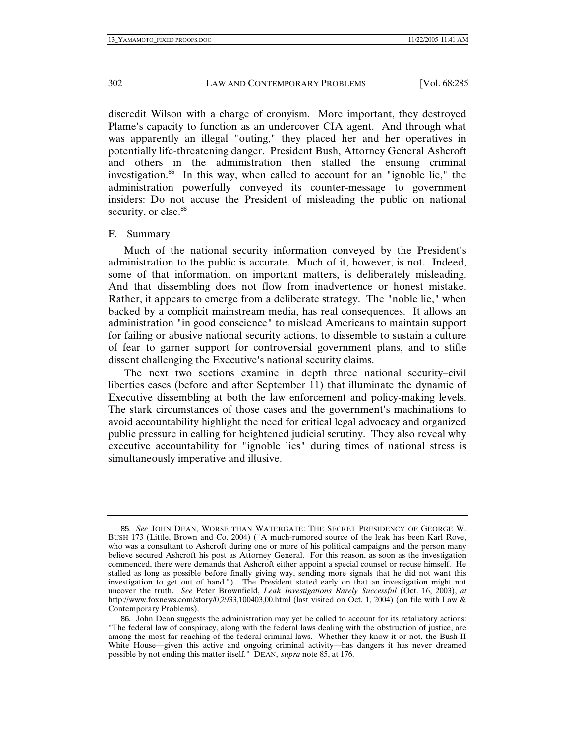discredit Wilson with a charge of cronyism. More important, they destroyed Plame's capacity to function as an undercover CIA agent. And through what was apparently an illegal "outing," they placed her and her operatives in potentially life-threatening danger. President Bush, Attorney General Ashcroft and others in the administration then stalled the ensuing criminal investigation.<sup>85</sup> In this way, when called to account for an "ignoble lie," the administration powerfully conveyed its counter-message to government insiders: Do not accuse the President of misleading the public on national security, or else.<sup>86</sup>

#### F. Summary

Much of the national security information conveyed by the President's administration to the public is accurate. Much of it, however, is not. Indeed, some of that information, on important matters, is deliberately misleading. And that dissembling does not flow from inadvertence or honest mistake. Rather, it appears to emerge from a deliberate strategy. The "noble lie," when backed by a complicit mainstream media, has real consequences. It allows an administration "in good conscience" to mislead Americans to maintain support for failing or abusive national security actions, to dissemble to sustain a culture of fear to garner support for controversial government plans, and to stifle dissent challenging the Executive's national security claims.

The next two sections examine in depth three national security–civil liberties cases (before and after September 11) that illuminate the dynamic of Executive dissembling at both the law enforcement and policy-making levels. The stark circumstances of those cases and the government's machinations to avoid accountability highlight the need for critical legal advocacy and organized public pressure in calling for heightened judicial scrutiny. They also reveal why executive accountability for "ignoble lies" during times of national stress is simultaneously imperative and illusive.

<sup>85</sup>*. See* JOHN DEAN, WORSE THAN WATERGATE: THE SECRET PRESIDENCY OF GEORGE W. BUSH 173 (Little, Brown and Co. 2004) ("A much-rumored source of the leak has been Karl Rove, who was a consultant to Ashcroft during one or more of his political campaigns and the person many believe secured Ashcroft his post as Attorney General. For this reason, as soon as the investigation commenced, there were demands that Ashcroft either appoint a special counsel or recuse himself. He stalled as long as possible before finally giving way, sending more signals that he did not want this investigation to get out of hand."). The President stated early on that an investigation might not uncover the truth. *See* Peter Brownfield, *Leak Investigations Rarely Successful* (Oct. 16, 2003), *at* http://www.foxnews.com/story/0,2933,100403,00.html (last visited on Oct. 1, 2004) (on file with Law & Contemporary Problems).

<sup>86</sup>. John Dean suggests the administration may yet be called to account for its retaliatory actions: "The federal law of conspiracy, along with the federal laws dealing with the obstruction of justice, are among the most far-reaching of the federal criminal laws. Whether they know it or not, the Bush II White House—given this active and ongoing criminal activity—has dangers it has never dreamed possible by not ending this matter itself." DEAN, *supra* note 85, at 176.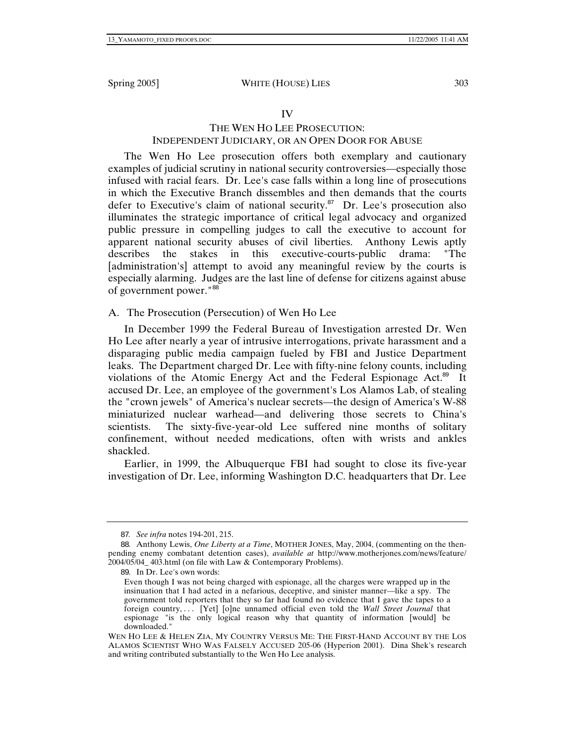## IV

# THE WEN HO LEE PROSECUTION: INDEPENDENT JUDICIARY, OR AN OPEN DOOR FOR ABUSE

The Wen Ho Lee prosecution offers both exemplary and cautionary examples of judicial scrutiny in national security controversies—especially those infused with racial fears. Dr. Lee's case falls within a long line of prosecutions in which the Executive Branch dissembles and then demands that the courts defer to Executive's claim of national security.<sup>87</sup> Dr. Lee's prosecution also illuminates the strategic importance of critical legal advocacy and organized public pressure in compelling judges to call the executive to account for apparent national security abuses of civil liberties. Anthony Lewis aptly describes the stakes in this executive-courts-public drama: "The [administration's] attempt to avoid any meaningful review by the courts is especially alarming. Judges are the last line of defense for citizens against abuse of government power."<sup>88</sup>

## A. The Prosecution (Persecution) of Wen Ho Lee

In December 1999 the Federal Bureau of Investigation arrested Dr. Wen Ho Lee after nearly a year of intrusive interrogations, private harassment and a disparaging public media campaign fueled by FBI and Justice Department leaks. The Department charged Dr. Lee with fifty-nine felony counts, including violations of the Atomic Energy Act and the Federal Espionage Act.<sup>89</sup> It accused Dr. Lee, an employee of the government's Los Alamos Lab, of stealing the "crown jewels" of America's nuclear secrets—the design of America's W-88 miniaturized nuclear warhead—and delivering those secrets to China's scientists. The sixty-five-year-old Lee suffered nine months of solitary confinement, without needed medications, often with wrists and ankles shackled.

Earlier, in 1999, the Albuquerque FBI had sought to close its five-year investigation of Dr. Lee, informing Washington D.C. headquarters that Dr. Lee

<sup>87</sup>*. See infra* notes 194-201, 215.

<sup>88</sup>. Anthony Lewis, *One Liberty at a Time*, MOTHER JONES, May, 2004, (commenting on the thenpending enemy combatant detention cases), *available at* http://www.motherjones.com/news/feature/ 2004/05/04\_ 403.html (on file with Law & Contemporary Problems).

<sup>89</sup>. In Dr. Lee's own words:

Even though I was not being charged with espionage, all the charges were wrapped up in the insinuation that I had acted in a nefarious, deceptive, and sinister manner—like a spy. The government told reporters that they so far had found no evidence that I gave the tapes to a foreign country, . . . [Yet] [o]ne unnamed official even told the *Wall Street Journal* that espionage "is the only logical reason why that quantity of information [would] be downloaded."

WEN HO LEE & HELEN ZIA, MY COUNTRY VERSUS ME: THE FIRST-HAND ACCOUNT BY THE LOS ALAMOS SCIENTIST WHO WAS FALSELY ACCUSED 205-06 (Hyperion 2001). Dina Shek's research and writing contributed substantially to the Wen Ho Lee analysis.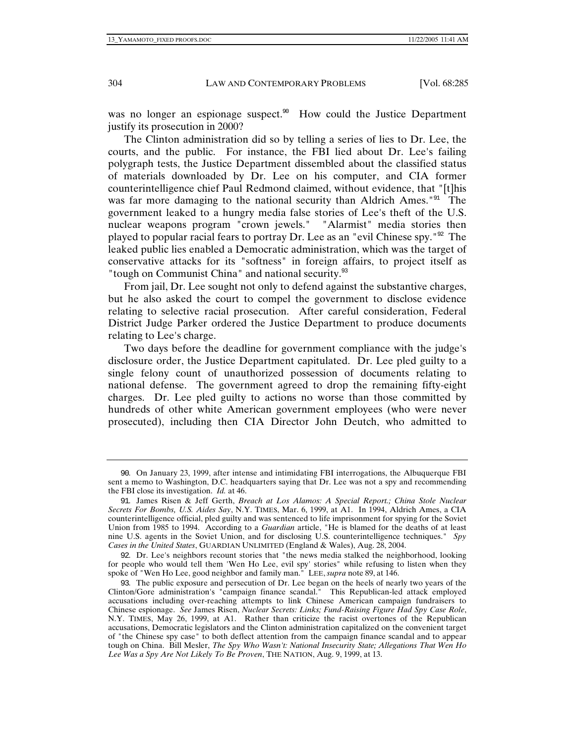was no longer an espionage suspect.<sup>90</sup> How could the Justice Department justify its prosecution in 2000?

The Clinton administration did so by telling a series of lies to Dr. Lee, the courts, and the public. For instance, the FBI lied about Dr. Lee's failing polygraph tests, the Justice Department dissembled about the classified status of materials downloaded by Dr. Lee on his computer, and CIA former counterintelligence chief Paul Redmond claimed, without evidence, that "[t]his was far more damaging to the national security than Aldrich Ames.<sup>"91</sup> The government leaked to a hungry media false stories of Lee's theft of the U.S. nuclear weapons program "crown jewels." "Alarmist" media stories then played to popular racial fears to portray Dr. Lee as an "evil Chinese spy."<sup>92</sup> The leaked public lies enabled a Democratic administration, which was the target of conservative attacks for its "softness" in foreign affairs, to project itself as "tough on Communist China" and national security.<sup>93</sup>

From jail, Dr. Lee sought not only to defend against the substantive charges, but he also asked the court to compel the government to disclose evidence relating to selective racial prosecution. After careful consideration, Federal District Judge Parker ordered the Justice Department to produce documents relating to Lee's charge.

Two days before the deadline for government compliance with the judge's disclosure order, the Justice Department capitulated. Dr. Lee pled guilty to a single felony count of unauthorized possession of documents relating to national defense. The government agreed to drop the remaining fifty-eight charges. Dr. Lee pled guilty to actions no worse than those committed by hundreds of other white American government employees (who were never prosecuted), including then CIA Director John Deutch, who admitted to

92. Dr. Lee's neighbors recount stories that "the news media stalked the neighborhood, looking for people who would tell them 'Wen Ho Lee, evil spy' stories" while refusing to listen when they spoke of "Wen Ho Lee, good neighbor and family man." LEE, *supra* note 89, at 146.

<sup>90</sup>. On January 23, 1999, after intense and intimidating FBI interrogations, the Albuquerque FBI sent a memo to Washington, D.C. headquarters saying that Dr. Lee was not a spy and recommending the FBI close its investigation. *Id.* at 46.

<sup>91</sup>. James Risen & Jeff Gerth, *Breach at Los Alamos: A Special Report.; China Stole Nuclear Secrets For Bombs, U.S. Aides Say*, N.Y. TIMES, Mar. 6, 1999, at A1. In 1994, Aldrich Ames, a CIA counterintelligence official, pled guilty and was sentenced to life imprisonment for spying for the Soviet Union from 1985 to 1994. According to a *Guardian* article, "He is blamed for the deaths of at least nine U.S. agents in the Soviet Union, and for disclosing U.S. counterintelligence techniques." *Spy Cases in the United States*, GUARDIAN UNLIMITED (England & Wales), Aug. 28, 2004.

<sup>93</sup>. The public exposure and persecution of Dr. Lee began on the heels of nearly two years of the Clinton/Gore administration's "campaign finance scandal." This Republican-led attack employed accusations including over-reaching attempts to link Chinese American campaign fundraisers to Chinese espionage. *See* James Risen, *Nuclear Secrets: Links; Fund-Raising Figure Had Spy Case Role*, N.Y. TIMES, May 26, 1999, at A1. Rather than criticize the racist overtones of the Republican accusations, Democratic legislators and the Clinton administration capitalized on the convenient target of "the Chinese spy case" to both deflect attention from the campaign finance scandal and to appear tough on China. Bill Mesler, *The Spy Who Wasn't: National Insecurity State; Allegations That Wen Ho Lee Was a Spy Are Not Likely To Be Proven*, THE NATION, Aug. 9, 1999, at 13.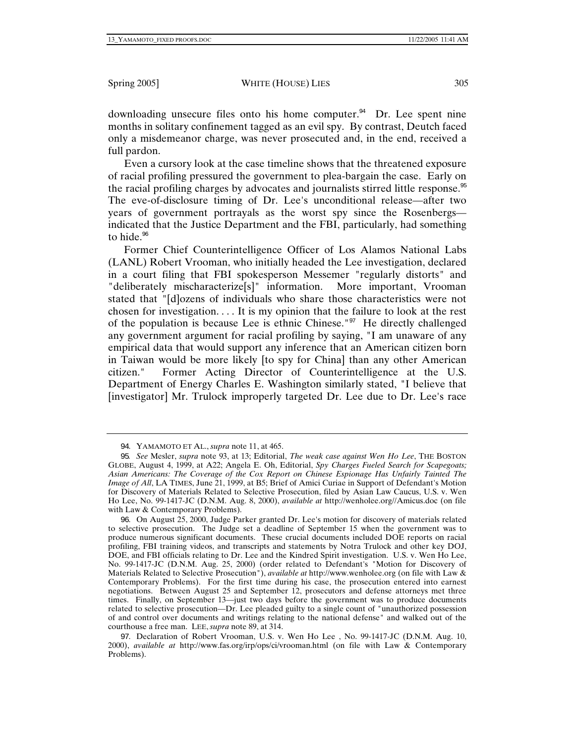downloading unsecure files onto his home computer.<sup>94</sup> Dr. Lee spent nine months in solitary confinement tagged as an evil spy. By contrast, Deutch faced only a misdemeanor charge, was never prosecuted and, in the end, received a full pardon.

Even a cursory look at the case timeline shows that the threatened exposure of racial profiling pressured the government to plea-bargain the case. Early on the racial profiling charges by advocates and journalists stirred little response.<sup>95</sup> The eve-of-disclosure timing of Dr. Lee's unconditional release—after two years of government portrayals as the worst spy since the Rosenbergs indicated that the Justice Department and the FBI, particularly, had something to hide. $96$ 

Former Chief Counterintelligence Officer of Los Alamos National Labs (LANL) Robert Vrooman, who initially headed the Lee investigation, declared in a court filing that FBI spokesperson Messemer "regularly distorts" and "deliberately mischaracterize[s]" information. More important, Vrooman stated that "[d]ozens of individuals who share those characteristics were not chosen for investigation. . . . It is my opinion that the failure to look at the rest of the population is because Lee is ethnic Chinese."<sup>97</sup> He directly challenged any government argument for racial profiling by saying, "I am unaware of any empirical data that would support any inference that an American citizen born in Taiwan would be more likely [to spy for China] than any other American citizen." Former Acting Director of Counterintelligence at the U.S. Department of Energy Charles E. Washington similarly stated, "I believe that [investigator] Mr. Trulock improperly targeted Dr. Lee due to Dr. Lee's race

97. Declaration of Robert Vrooman, U.S. v. Wen Ho Lee , No. 99-1417-JC (D.N.M. Aug. 10, 2000), *available at* http://www.fas.org/irp/ops/ci/vrooman.html (on file with Law & Contemporary Problems).

<sup>94</sup>. YAMAMOTO ET AL., *supra* note 11, at 465.

<sup>95</sup>*. See* Mesler, *supra* note 93, at 13; Editorial, *The weak case against Wen Ho Lee*, THE BOSTON GLOBE, August 4, 1999, at A22; Angela E. Oh, Editorial, *Spy Charges Fueled Search for Scapegoats; Asian Americans: The Coverage of the Cox Report on Chinese Espionage Has Unfairly Tainted The Image of All*, LA TIMES, June 21, 1999, at B5; Brief of Amici Curiae in Support of Defendant's Motion for Discovery of Materials Related to Selective Prosecution, filed by Asian Law Caucus, U.S. v. Wen Ho Lee, No. 99-1417-JC (D.N.M. Aug. 8, 2000), *available at* http://wenholee.org//Amicus.doc (on file with Law & Contemporary Problems).

<sup>96</sup>. On August 25, 2000, Judge Parker granted Dr. Lee's motion for discovery of materials related to selective prosecution. The Judge set a deadline of September 15 when the government was to produce numerous significant documents. These crucial documents included DOE reports on racial profiling, FBI training videos, and transcripts and statements by Notra Trulock and other key DOJ, DOE, and FBI officials relating to Dr. Lee and the Kindred Spirit investigation. U.S. v. Wen Ho Lee, No. 99-1417-JC (D.N.M. Aug. 25, 2000) (order related to Defendant's "Motion for Discovery of Materials Related to Selective Prosecution"), *available at* http://www.wenholee.org (on file with Law & Contemporary Problems). For the first time during his case, the prosecution entered into earnest negotiations. Between August 25 and September 12, prosecutors and defense attorneys met three times. Finally, on September 13—just two days before the government was to produce documents related to selective prosecution—Dr. Lee pleaded guilty to a single count of "unauthorized possession of and control over documents and writings relating to the national defense" and walked out of the courthouse a free man. LEE, *supra* note 89, at 314.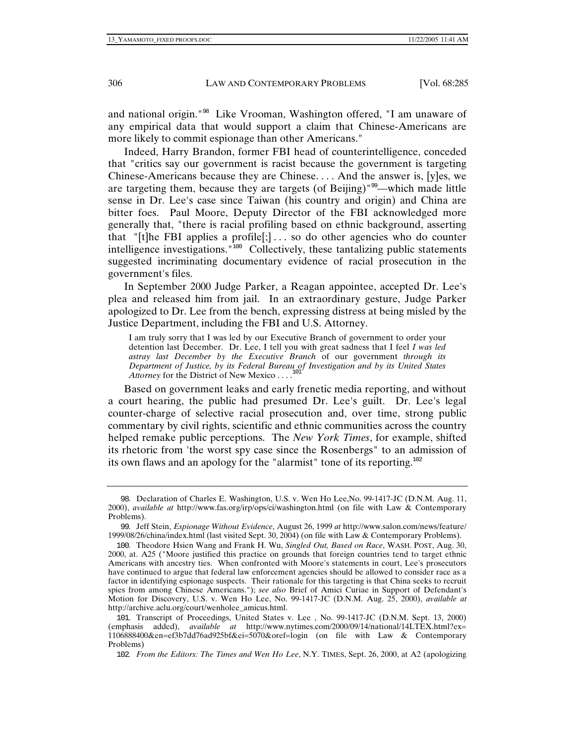and national origin."<sup>98</sup> Like Vrooman, Washington offered, "I am unaware of any empirical data that would support a claim that Chinese-Americans are more likely to commit espionage than other Americans."

Indeed, Harry Brandon, former FBI head of counterintelligence, conceded that "critics say our government is racist because the government is targeting Chinese-Americans because they are Chinese. . . . And the answer is, [y]es, we are targeting them, because they are targets (of Beijing)"<sup>99</sup>—which made little sense in Dr. Lee's case since Taiwan (his country and origin) and China are bitter foes. Paul Moore, Deputy Director of the FBI acknowledged more generally that, "there is racial profiling based on ethnic background, asserting that "[t]he FBI applies a profile[;]... so do other agencies who do counter intelligence investigations."<sup>100</sup> Collectively, these tantalizing public statements suggested incriminating documentary evidence of racial prosecution in the government's files.

In September 2000 Judge Parker, a Reagan appointee, accepted Dr. Lee's plea and released him from jail. In an extraordinary gesture, Judge Parker apologized to Dr. Lee from the bench, expressing distress at being misled by the Justice Department, including the FBI and U.S. Attorney.

I am truly sorry that I was led by our Executive Branch of government to order your detention last December. Dr. Lee, I tell you with great sadness that I feel *I was led astray last December by the Executive Branch* of our government *through its Department of Justice, by its Federal Bureau of Investigation and by its United States Attorney* for the District of New Mexico . . .<sup>101</sup>

Based on government leaks and early frenetic media reporting, and without a court hearing, the public had presumed Dr. Lee's guilt. Dr. Lee's legal counter-charge of selective racial prosecution and, over time, strong public commentary by civil rights, scientific and ethnic communities across the country helped remake public perceptions. The *New York Times*, for example, shifted its rhetoric from 'the worst spy case since the Rosenbergs" to an admission of its own flaws and an apology for the "alarmist" tone of its reporting.<sup>102</sup>

<sup>98</sup>. Declaration of Charles E. Washington, U.S. v. Wen Ho Lee,No. 99-1417-JC (D.N.M. Aug. 11, 2000), *available at* http://www.fas.org/irp/ops/ci/washington.html (on file with Law & Contemporary Problems).

<sup>99</sup>. Jeff Stein, *Espionage Without Evidence*, August 26, 1999 *at* http://www.salon.com/news/feature/ 1999/08/26/china/index.html (last visited Sept. 30, 2004) (on file with Law & Contemporary Problems).

<sup>100</sup>. Theodore Hsien Wang and Frank H. Wu, *Singled Out, Based on Race*, WASH. POST, Aug. 30, 2000, at. A25 ("Moore justified this practice on grounds that foreign countries tend to target ethnic Americans with ancestry ties. When confronted with Moore's statements in court, Lee's prosecutors have continued to argue that federal law enforcement agencies should be allowed to consider race as a factor in identifying espionage suspects. Their rationale for this targeting is that China seeks to recruit spies from among Chinese Americans."); *see also* Brief of Amici Curiae in Support of Defendant's Motion for Discovery, U.S. v. Wen Ho Lee, No. 99-1417-JC (D.N.M. Aug. 25, 2000), *available at*  http://archive.aclu.org/court/wenholee\_amicus.html.

<sup>101</sup>. Transcript of Proceedings, United States v. Lee , No. 99-1417-JC (D.N.M. Sept. 13, 2000) (emphasis added), *available at* http://www.nytimes.com/2000/09/14/national/14LTEX.html?ex= 1106888400&en=ef3b7dd76ad925bf&ei=5070&oref=login (on file with Law & Contemporary Problems)

<sup>102</sup>*. From the Editors: The Times and Wen Ho Lee*, N.Y. TIMES, Sept. 26, 2000, at A2 (apologizing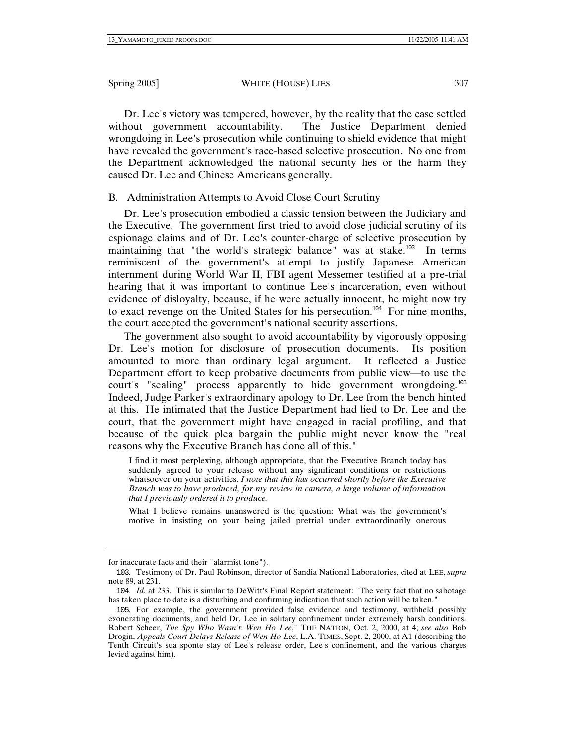Dr. Lee's victory was tempered, however, by the reality that the case settled without government accountability. The Justice Department denied wrongdoing in Lee's prosecution while continuing to shield evidence that might have revealed the government's race-based selective prosecution. No one from the Department acknowledged the national security lies or the harm they caused Dr. Lee and Chinese Americans generally.

## B. Administration Attempts to Avoid Close Court Scrutiny

Dr. Lee's prosecution embodied a classic tension between the Judiciary and the Executive. The government first tried to avoid close judicial scrutiny of its espionage claims and of Dr. Lee's counter-charge of selective prosecution by maintaining that "the world's strategic balance" was at stake.<sup>103</sup> In terms reminiscent of the government's attempt to justify Japanese American internment during World War II, FBI agent Messemer testified at a pre-trial hearing that it was important to continue Lee's incarceration, even without evidence of disloyalty, because, if he were actually innocent, he might now try to exact revenge on the United States for his persecution.<sup>104</sup> For nine months, the court accepted the government's national security assertions.

The government also sought to avoid accountability by vigorously opposing Dr. Lee's motion for disclosure of prosecution documents. Its position amounted to more than ordinary legal argument. It reflected a Justice Department effort to keep probative documents from public view—to use the court's "sealing" process apparently to hide government wrongdoing.<sup>105</sup> Indeed, Judge Parker's extraordinary apology to Dr. Lee from the bench hinted at this. He intimated that the Justice Department had lied to Dr. Lee and the court, that the government might have engaged in racial profiling, and that because of the quick plea bargain the public might never know the "real reasons why the Executive Branch has done all of this."

I find it most perplexing, although appropriate, that the Executive Branch today has suddenly agreed to your release without any significant conditions or restrictions whatsoever on your activities. *I note that this has occurred shortly before the Executive Branch was to have produced, for my review in camera, a large volume of information that I previously ordered it to produce.*

What I believe remains unanswered is the question: What was the government's motive in insisting on your being jailed pretrial under extraordinarily onerous

for inaccurate facts and their "alarmist tone").

<sup>103</sup>. Testimony of Dr. Paul Robinson, director of Sandia National Laboratories, cited at LEE, *supra* note 89, at 231.

<sup>104</sup>*. Id.* at 233. This is similar to DeWitt's Final Report statement: "The very fact that no sabotage has taken place to date is a disturbing and confirming indication that such action will be taken."

<sup>105</sup>. For example, the government provided false evidence and testimony, withheld possibly exonerating documents, and held Dr. Lee in solitary confinement under extremely harsh conditions. Robert Scheer, *The Spy Who Wasn't: Wen Ho Lee*," THE NATION, Oct. 2, 2000, at 4; *see also* Bob Drogin, *Appeals Court Delays Release of Wen Ho Lee*, L.A. TIMES, Sept. 2, 2000, at A1 (describing the Tenth Circuit's sua sponte stay of Lee's release order, Lee's confinement, and the various charges levied against him).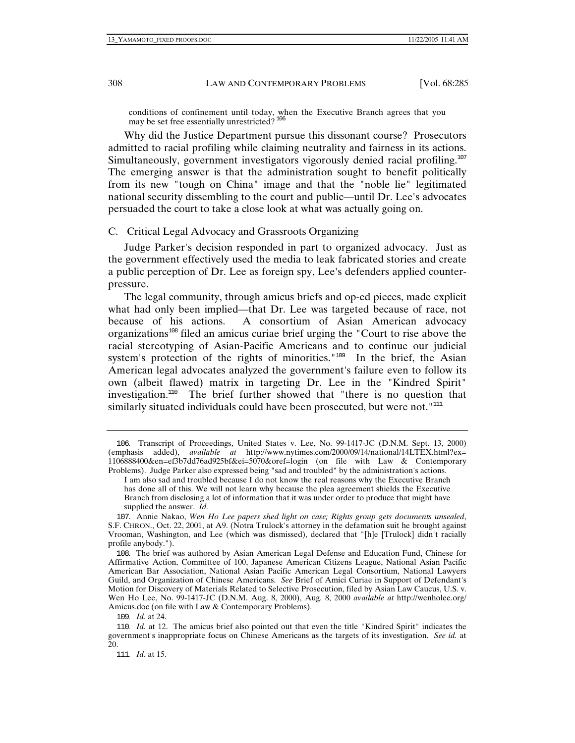conditions of confinement until today, when the Executive Branch agrees that you may be set free essentially unrestricted?  $106$ 

Why did the Justice Department pursue this dissonant course? Prosecutors admitted to racial profiling while claiming neutrality and fairness in its actions. Simultaneously, government investigators vigorously denied racial profiling.<sup>107</sup> The emerging answer is that the administration sought to benefit politically from its new "tough on China" image and that the "noble lie" legitimated national security dissembling to the court and public—until Dr. Lee's advocates persuaded the court to take a close look at what was actually going on.

## C. Critical Legal Advocacy and Grassroots Organizing

Judge Parker's decision responded in part to organized advocacy. Just as the government effectively used the media to leak fabricated stories and create a public perception of Dr. Lee as foreign spy, Lee's defenders applied counterpressure.

The legal community, through amicus briefs and op-ed pieces, made explicit what had only been implied—that Dr. Lee was targeted because of race, not because of his actions. A consortium of Asian American advocacy organizations<sup>108</sup> filed an amicus curiae brief urging the "Court to rise above the racial stereotyping of Asian-Pacific Americans and to continue our judicial system's protection of the rights of minorities."<sup>109</sup> In the brief, the Asian American legal advocates analyzed the government's failure even to follow its own (albeit flawed) matrix in targeting Dr. Lee in the "Kindred Spirit" investigation.<sup>110</sup> The brief further showed that "there is no question that similarly situated individuals could have been prosecuted, but were not."<sup>111</sup>

<sup>106</sup>. Transcript of Proceedings, United States v. Lee, No. 99-1417-JC (D.N.M. Sept. 13, 2000) (emphasis added), *available at* http://www.nytimes.com/2000/09/14/national/14LTEX.html?ex= 1106888400&en=ef3b7dd76ad925bf&ei=5070&oref=login (on file with Law & Contemporary Problems). Judge Parker also expressed being "sad and troubled" by the administration's actions.

I am also sad and troubled because I do not know the real reasons why the Executive Branch has done all of this. We will not learn why because the plea agreement shields the Executive Branch from disclosing a lot of information that it was under order to produce that might have supplied the answer. *Id.*

<sup>107</sup>. Annie Nakao, *Wen Ho Lee papers shed light on case; Rights group gets documents unsealed*, S.F. CHRON., Oct. 22, 2001, at A9. (Notra Trulock's attorney in the defamation suit he brought against Vrooman, Washington, and Lee (which was dismissed), declared that "[h]e [Trulock] didn't racially profile anybody.").

<sup>108</sup>. The brief was authored by Asian American Legal Defense and Education Fund, Chinese for Affirmative Action, Committee of 100, Japanese American Citizens League, National Asian Pacific American Bar Association, National Asian Pacific American Legal Consortium, National Lawyers Guild, and Organization of Chinese Americans. *See* Brief of Amici Curiae in Support of Defendant's Motion for Discovery of Materials Related to Selective Prosecution, filed by Asian Law Caucus, U.S. v. Wen Ho Lee, No. 99-1417-JC (D.N.M. Aug. 8, 2000), Aug. 8, 2000 *available at* http://wenholee.org/ Amicus.doc (on file with Law & Contemporary Problems).

<sup>109</sup>*. Id*. at 24.

<sup>110</sup>*. Id.* at 12. The amicus brief also pointed out that even the title "Kindred Spirit" indicates the government's inappropriate focus on Chinese Americans as the targets of its investigation. *See id.* at 20.

<sup>111</sup>*. Id.* at 15.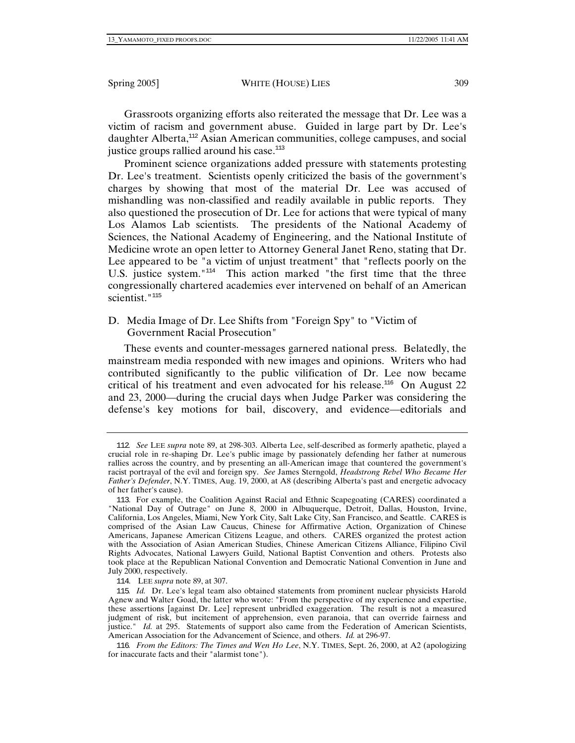Grassroots organizing efforts also reiterated the message that Dr. Lee was a victim of racism and government abuse. Guided in large part by Dr. Lee's daughter Alberta,<sup>112</sup> Asian American communities, college campuses, and social justice groups rallied around his case.<sup>113</sup>

Prominent science organizations added pressure with statements protesting Dr. Lee's treatment. Scientists openly criticized the basis of the government's charges by showing that most of the material Dr. Lee was accused of mishandling was non-classified and readily available in public reports. They also questioned the prosecution of Dr. Lee for actions that were typical of many Los Alamos Lab scientists. The presidents of the National Academy of Sciences, the National Academy of Engineering, and the National Institute of Medicine wrote an open letter to Attorney General Janet Reno, stating that Dr. Lee appeared to be "a victim of unjust treatment" that "reflects poorly on the U.S. justice system."<sup>114</sup> This action marked "the first time that the three congressionally chartered academies ever intervened on behalf of an American scientist."<sup>115</sup>

D. Media Image of Dr. Lee Shifts from "Foreign Spy" to "Victim of Government Racial Prosecution"

These events and counter-messages garnered national press. Belatedly, the mainstream media responded with new images and opinions. Writers who had contributed significantly to the public vilification of Dr. Lee now became critical of his treatment and even advocated for his release.<sup>116</sup> On August 22 and 23, 2000—during the crucial days when Judge Parker was considering the defense's key motions for bail, discovery, and evidence—editorials and

114. LEE *supra* note 89, at 307.

116*. From the Editors: The Times and Wen Ho Lee*, N.Y. TIMES, Sept. 26, 2000, at A2 (apologizing for inaccurate facts and their "alarmist tone").

<sup>112</sup>*. See* LEE *supra* note 89, at 298-303. Alberta Lee, self-described as formerly apathetic, played a crucial role in re-shaping Dr. Lee's public image by passionately defending her father at numerous rallies across the country, and by presenting an all-American image that countered the government's racist portrayal of the evil and foreign spy. *See* James Sterngold, *Headstrong Rebel Who Became Her Father's Defender*, N.Y. TIMES, Aug. 19, 2000, at A8 (describing Alberta's past and energetic advocacy of her father's cause).

<sup>113</sup>. For example, the Coalition Against Racial and Ethnic Scapegoating (CARES) coordinated a "National Day of Outrage" on June 8, 2000 in Albuquerque, Detroit, Dallas, Houston, Irvine, California, Los Angeles, Miami, New York City, Salt Lake City, San Francisco, and Seattle. CARES is comprised of the Asian Law Caucus, Chinese for Affirmative Action, Organization of Chinese Americans, Japanese American Citizens League, and others. CARES organized the protest action with the Association of Asian American Studies, Chinese American Citizens Alliance, Filipino Civil Rights Advocates, National Lawyers Guild, National Baptist Convention and others. Protests also took place at the Republican National Convention and Democratic National Convention in June and July 2000, respectively.

<sup>115</sup>*. Id.* Dr. Lee's legal team also obtained statements from prominent nuclear physicists Harold Agnew and Walter Goad, the latter who wrote: "From the perspective of my experience and expertise, these assertions [against Dr. Lee] represent unbridled exaggeration. The result is not a measured judgment of risk, but incitement of apprehension, even paranoia, that can override fairness and justice." *Id.* at 295. Statements of support also came from the Federation of American Scientists, American Association for the Advancement of Science, and others. *Id.* at 296-97.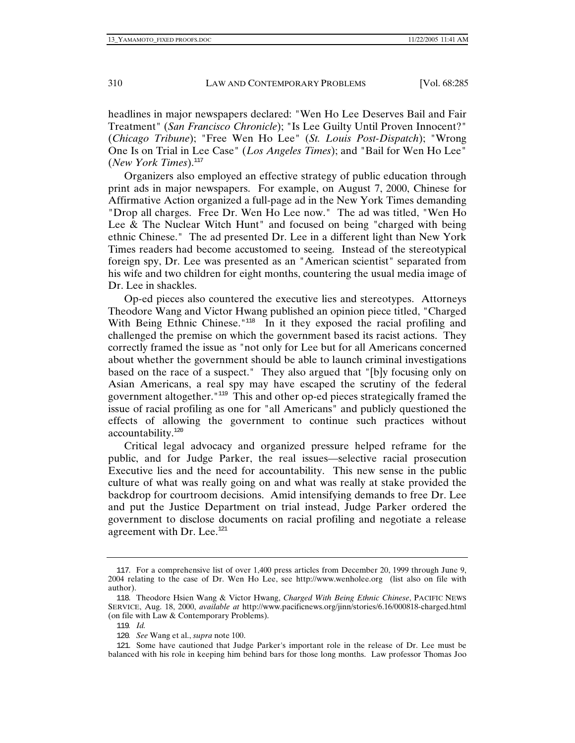headlines in major newspapers declared: "Wen Ho Lee Deserves Bail and Fair Treatment" (*San Francisco Chronicle*); "Is Lee Guilty Until Proven Innocent?" (*Chicago Tribune*); "Free Wen Ho Lee" (*St. Louis Post-Dispatch*); "Wrong One Is on Trial in Lee Case" (*Los Angeles Times*); and "Bail for Wen Ho Lee" (*New York Times*).<sup>117</sup>

Organizers also employed an effective strategy of public education through print ads in major newspapers. For example, on August 7, 2000, Chinese for Affirmative Action organized a full-page ad in the New York Times demanding "Drop all charges. Free Dr. Wen Ho Lee now." The ad was titled, "Wen Ho Lee & The Nuclear Witch Hunt" and focused on being "charged with being ethnic Chinese." The ad presented Dr. Lee in a different light than New York Times readers had become accustomed to seeing. Instead of the stereotypical foreign spy, Dr. Lee was presented as an "American scientist" separated from his wife and two children for eight months, countering the usual media image of Dr. Lee in shackles.

Op-ed pieces also countered the executive lies and stereotypes. Attorneys Theodore Wang and Victor Hwang published an opinion piece titled, "Charged With Being Ethnic Chinese."<sup>118</sup> In it they exposed the racial profiling and challenged the premise on which the government based its racist actions. They correctly framed the issue as "not only for Lee but for all Americans concerned about whether the government should be able to launch criminal investigations based on the race of a suspect." They also argued that "[b]y focusing only on Asian Americans, a real spy may have escaped the scrutiny of the federal government altogether."<sup>119</sup> This and other op-ed pieces strategically framed the issue of racial profiling as one for "all Americans" and publicly questioned the effects of allowing the government to continue such practices without accountability.<sup>120</sup>

Critical legal advocacy and organized pressure helped reframe for the public, and for Judge Parker, the real issues—selective racial prosecution Executive lies and the need for accountability. This new sense in the public culture of what was really going on and what was really at stake provided the backdrop for courtroom decisions. Amid intensifying demands to free Dr. Lee and put the Justice Department on trial instead, Judge Parker ordered the government to disclose documents on racial profiling and negotiate a release agreement with Dr. Lee.<sup>121</sup>

<sup>117</sup>. For a comprehensive list of over 1,400 press articles from December 20, 1999 through June 9, 2004 relating to the case of Dr. Wen Ho Lee, see http://www.wenholee.org (list also on file with author).

<sup>118</sup>. Theodore Hsien Wang & Victor Hwang, *Charged With Being Ethnic Chinese*, PACIFIC NEWS SERVICE, Aug. 18, 2000, *available at* http://www.pacificnews.org/jinn/stories/6.16/000818-charged.html (on file with Law & Contemporary Problems).

<sup>119</sup>*. Id.*

<sup>120</sup>*. See* Wang et al., *supra* note 100.

<sup>121</sup>. Some have cautioned that Judge Parker's important role in the release of Dr. Lee must be balanced with his role in keeping him behind bars for those long months. Law professor Thomas Joo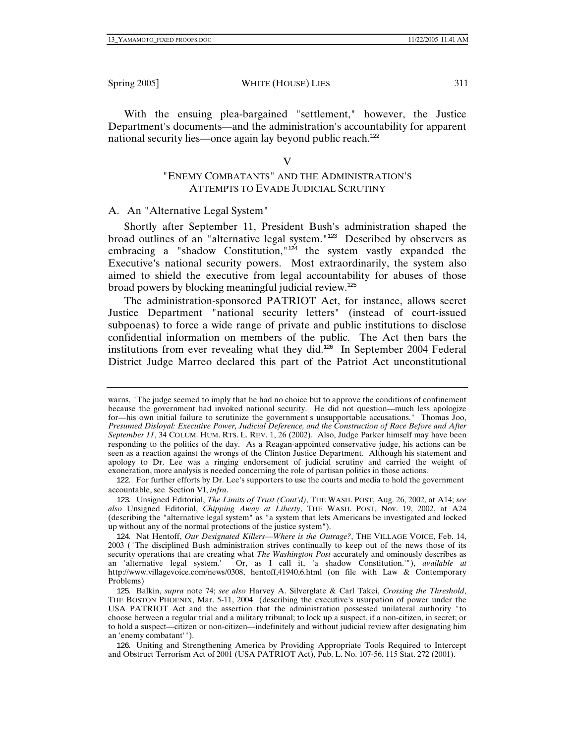With the ensuing plea-bargained "settlement," however, the Justice Department's documents—and the administration's accountability for apparent national security lies—once again lay beyond public reach.<sup>122</sup>

## V

# "ENEMY COMBATANTS" AND THE ADMINISTRATION'S ATTEMPTS TO EVADE JUDICIAL SCRUTINY

A. An "Alternative Legal System"

Shortly after September 11, President Bush's administration shaped the broad outlines of an "alternative legal system."<sup>123</sup> Described by observers as embracing a "shadow Constitution,"<sup>124</sup> the system vastly expanded the Executive's national security powers. Most extraordinarily, the system also aimed to shield the executive from legal accountability for abuses of those broad powers by blocking meaningful judicial review.<sup>125</sup>

The administration-sponsored PATRIOT Act, for instance, allows secret Justice Department "national security letters" (instead of court-issued subpoenas) to force a wide range of private and public institutions to disclose confidential information on members of the public. The Act then bars the institutions from ever revealing what they did. $126$  In September 2004 Federal District Judge Marreo declared this part of the Patriot Act unconstitutional

warns, "The judge seemed to imply that he had no choice but to approve the conditions of confinement because the government had invoked national security. He did not question—much less apologize for—his own initial failure to scrutinize the government's unsupportable accusations." Thomas Joo, *Presumed Disloyal: Executive Power, Judicial Deference, and the Construction of Race Before and After September 11*, 34 COLUM. HUM. RTS. L. REV. 1, 26 (2002). Also, Judge Parker himself may have been responding to the politics of the day. As a Reagan-appointed conservative judge, his actions can be seen as a reaction against the wrongs of the Clinton Justice Department. Although his statement and apology to Dr. Lee was a ringing endorsement of judicial scrutiny and carried the weight of exoneration, more analysis is needed concerning the role of partisan politics in those actions.

<sup>122</sup>. For further efforts by Dr. Lee's supporters to use the courts and media to hold the government accountable, see Section VI, *infra*.

<sup>123</sup>. Unsigned Editorial, *The Limits of Trust (Cont'd)*, THE WASH. POST, Aug. 26, 2002, at A14; *see also* Unsigned Editorial, *Chipping Away at Liberty*, THE WASH. POST, Nov. 19, 2002, at A24 (describing the "alternative legal system" as "a system that lets Americans be investigated and locked up without any of the normal protections of the justice system").

<sup>124</sup>. Nat Hentoff, *Our Designated Killers—Where is the Outrage?*, THE VILLAGE VOICE, Feb. 14, 2003 ("The disciplined Bush administration strives continually to keep out of the news those of its security operations that are creating what *The Washington Post* accurately and ominously describes as an 'alternative legal system.' Or, as I call it, 'a shadow Constitution.'"), *available at* http://www.villagevoice.com/news/0308, hentoff,41940,6.html (on file with Law & Contemporary Problems)

<sup>125</sup>. Balkin, *supra* note 74; *see also* Harvey A. Silverglate & Carl Takei, *Crossing the Threshold*, THE BOSTON PHOENIX, Mar. 5-11, 2004 (describing the executive's usurpation of power under the USA PATRIOT Act and the assertion that the administration possessed unilateral authority "to choose between a regular trial and a military tribunal; to lock up a suspect, if a non-citizen, in secret; or to hold a suspect—citizen or non-citizen—indefinitely and without judicial review after designating him an 'enemy combatant'").

<sup>126</sup>. Uniting and Strengthening America by Providing Appropriate Tools Required to Intercept and Obstruct Terrorism Act of 2001 (USA PATRIOT Act), Pub. L. No. 107-56, 115 Stat. 272 (2001).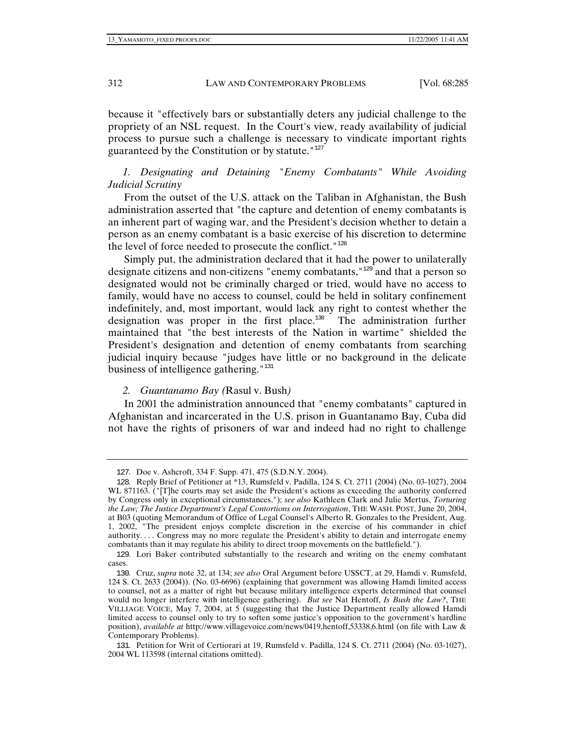because it "effectively bars or substantially deters any judicial challenge to the propriety of an NSL request. In the Court's view, ready availability of judicial process to pursue such a challenge is necessary to vindicate important rights guaranteed by the Constitution or by statute." $127$ 

## *1. Designating and Detaining "Enemy Combatants" While Avoiding Judicial Scrutiny*

From the outset of the U.S. attack on the Taliban in Afghanistan, the Bush administration asserted that "the capture and detention of enemy combatants is an inherent part of waging war, and the President's decision whether to detain a person as an enemy combatant is a basic exercise of his discretion to determine the level of force needed to prosecute the conflict."<sup>128</sup>

Simply put, the administration declared that it had the power to unilaterally designate citizens and non-citizens "enemy combatants,"<sup>129</sup> and that a person so designated would not be criminally charged or tried, would have no access to family, would have no access to counsel, could be held in solitary confinement indefinitely, and, most important, would lack any right to contest whether the designation was proper in the first place.<sup>130</sup> The administration further maintained that "the best interests of the Nation in wartime" shielded the President's designation and detention of enemy combatants from searching judicial inquiry because "judges have little or no background in the delicate business of intelligence gathering."<sup>131</sup>

#### *2. Guantanamo Bay (*Rasul v. Bush*)*

In 2001 the administration announced that "enemy combatants" captured in Afghanistan and incarcerated in the U.S. prison in Guantanamo Bay, Cuba did not have the rights of prisoners of war and indeed had no right to challenge

<sup>127</sup>. Doe v. Ashcroft, 334 F. Supp. 471, 475 (S.D.N.Y. 2004).

<sup>128</sup>. Reply Brief of Petitioner at \*13, Rumsfeld v. Padilla, 124 S. Ct. 2711 (2004) (No. 03-1027), 2004 WL 871163. ("[T]he courts may set aside the President's actions as exceeding the authority conferred by Congress only in exceptional circumstances."); *see also* Kathleen Clark and Julie Mertus, *Torturing the Law; The Justice Department's Legal Contortions on Interrogation*, THE WASH. POST, June 20, 2004, at B03 (quoting Memorandum of Office of Legal Counsel's Alberto R. Gonzales to the President, Aug. 1, 2002, "The president enjoys complete discretion in the exercise of his commander in chief authority. . . . Congress may no more regulate the President's ability to detain and interrogate enemy combatants than it may regulate his ability to direct troop movements on the battlefield.").

<sup>129</sup>. Lori Baker contributed substantially to the research and writing on the enemy combatant cases.

<sup>130</sup>. Cruz, *supra* note 32, at 134; *see also* Oral Argument before USSCT, at 29, Hamdi v. Rumsfeld, 124 S. Ct. 2633 (2004)). (No. 03-6696) (explaining that government was allowing Hamdi limited access to counsel, not as a matter of right but because military intelligence experts determined that counsel would no longer interfere with intelligence gathering). *But see* Nat Hentoff, *Is Bush the Law?*, THE VILLIAGE VOICE, May 7, 2004, at 5 (suggesting that the Justice Department really allowed Hamdi limited access to counsel only to try to soften some justice's opposition to the government's hardline position), *available at* http://www.villagevoice.com/news/0419,hentoff,53338,6.html (on file with Law & Contemporary Problems).

<sup>131</sup>. Petition for Writ of Certiorari at 19, Rumsfeld v. Padilla, 124 S. Ct. 2711 (2004) (No. 03-1027), 2004 WL 113598 (internal citations omitted).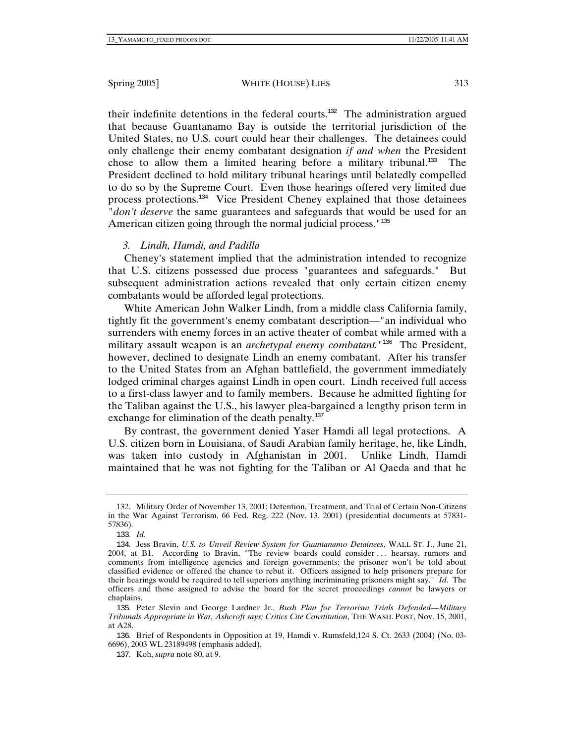their indefinite detentions in the federal courts.<sup>132</sup> The administration argued that because Guantanamo Bay is outside the territorial jurisdiction of the United States, no U.S. court could hear their challenges. The detainees could only challenge their enemy combatant designation *if and when* the President chose to allow them a limited hearing before a military tribunal.<sup>133</sup> The President declined to hold military tribunal hearings until belatedly compelled to do so by the Supreme Court. Even those hearings offered very limited due process protections.<sup>134</sup> Vice President Cheney explained that those detainees "*don't deserve* the same guarantees and safeguards that would be used for an American citizen going through the normal judicial process."<sup>135</sup>

# *3. Lindh, Hamdi, and Padilla*

Cheney's statement implied that the administration intended to recognize that U.S. citizens possessed due process "guarantees and safeguards." But subsequent administration actions revealed that only certain citizen enemy combatants would be afforded legal protections.

White American John Walker Lindh, from a middle class California family, tightly fit the government's enemy combatant description—"an individual who surrenders with enemy forces in an active theater of combat while armed with a military assault weapon is an *archetypal enemy combatant.*"<sup>136</sup> The President, however, declined to designate Lindh an enemy combatant. After his transfer to the United States from an Afghan battlefield, the government immediately lodged criminal charges against Lindh in open court. Lindh received full access to a first-class lawyer and to family members. Because he admitted fighting for the Taliban against the U.S., his lawyer plea-bargained a lengthy prison term in exchange for elimination of the death penalty. $137$ 

By contrast, the government denied Yaser Hamdi all legal protections. A U.S. citizen born in Louisiana, of Saudi Arabian family heritage, he, like Lindh, was taken into custody in Afghanistan in 2001. Unlike Lindh, Hamdi maintained that he was not fighting for the Taliban or Al Qaeda and that he

 <sup>132.</sup> Military Order of November 13, 2001: Detention, Treatment, and Trial of Certain Non-Citizens in the War Against Terrorism, 66 Fed. Reg. 222 (Nov. 13, 2001) (presidential documents at 57831- 57836).

<sup>133</sup>*. Id*.

<sup>134</sup>. Jess Bravin, *U.S. to Unveil Review System for Guantanamo Detainees*, WALL ST. J., June 21, 2004, at B1. According to Bravin, "The review boards could consider . . . hearsay, rumors and comments from intelligence agencies and foreign governments; the prisoner won't be told about classified evidence or offered the chance to rebut it. Officers assigned to help prisoners prepare for their hearings would be required to tell superiors anything incriminating prisoners might say." *Id*. The officers and those assigned to advise the board for the secret proceedings *cannot* be lawyers or chaplains.

<sup>135</sup>. Peter Slevin and George Lardner Jr., *Bush Plan for Terrorism Trials Defended—Military Tribunals Appropriate in War, Ashcroft says; Critics Cite Constitution*, THE WASH. POST, Nov. 15, 2001, at A28.

<sup>136</sup>. Brief of Respondents in Opposition at 19, Hamdi v. Rumsfeld,124 S. Ct. 2633 (2004) (No. 03- 6696), 2003 WL 23189498 (emphasis added).

<sup>137</sup>. Koh, *supra* note 80, at 9.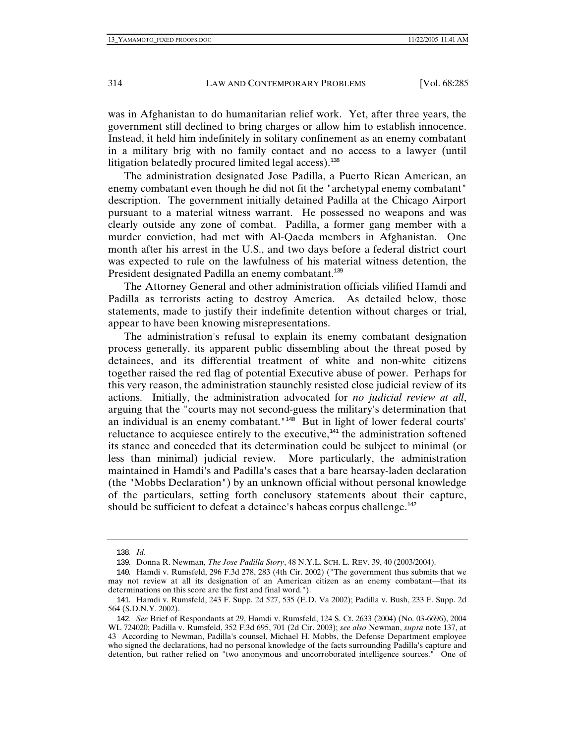was in Afghanistan to do humanitarian relief work. Yet, after three years, the government still declined to bring charges or allow him to establish innocence. Instead, it held him indefinitely in solitary confinement as an enemy combatant in a military brig with no family contact and no access to a lawyer (until litigation belatedly procured limited legal access).<sup>138</sup>

The administration designated Jose Padilla, a Puerto Rican American, an enemy combatant even though he did not fit the "archetypal enemy combatant" description. The government initially detained Padilla at the Chicago Airport pursuant to a material witness warrant. He possessed no weapons and was clearly outside any zone of combat. Padilla, a former gang member with a murder conviction, had met with Al-Qaeda members in Afghanistan. One month after his arrest in the U.S., and two days before a federal district court was expected to rule on the lawfulness of his material witness detention, the President designated Padilla an enemy combatant.<sup>139</sup>

The Attorney General and other administration officials vilified Hamdi and Padilla as terrorists acting to destroy America. As detailed below, those statements, made to justify their indefinite detention without charges or trial, appear to have been knowing misrepresentations.

The administration's refusal to explain its enemy combatant designation process generally, its apparent public dissembling about the threat posed by detainees, and its differential treatment of white and non-white citizens together raised the red flag of potential Executive abuse of power. Perhaps for this very reason, the administration staunchly resisted close judicial review of its actions. Initially, the administration advocated for *no judicial review at all*, arguing that the "courts may not second-guess the military's determination that an individual is an enemy combatant."<sup>140</sup> But in light of lower federal courts' reluctance to acquiesce entirely to the executive, $141$  the administration softened its stance and conceded that its determination could be subject to minimal (or less than minimal) judicial review. More particularly, the administration maintained in Hamdi's and Padilla's cases that a bare hearsay-laden declaration (the "Mobbs Declaration") by an unknown official without personal knowledge of the particulars, setting forth conclusory statements about their capture, should be sufficient to defeat a detainee's habeas corpus challenge. $^{142}$ 

<sup>138</sup>*. Id*.

<sup>139</sup>. Donna R. Newman, *The Jose Padilla Story*, 48 N.Y.L. SCH. L. REV. 39, 40 (2003/2004).

<sup>140</sup>. Hamdi v. Rumsfeld, 296 F.3d 278, 283 (4th Cir. 2002) ("The government thus submits that we may not review at all its designation of an American citizen as an enemy combatant—that its determinations on this score are the first and final word.").

<sup>141</sup>. Hamdi v. Rumsfeld, 243 F. Supp. 2d 527, 535 (E.D. Va 2002); Padilla v. Bush, 233 F. Supp. 2d 564 (S.D.N.Y. 2002).

<sup>142</sup>*. See* Brief of Respondants at 29, Hamdi v. Rumsfeld, 124 S. Ct. 2633 (2004) (No. 03-6696), 2004 WL 724020; Padilla v. Rumsfeld, 352 F.3d 695, 701 (2d Cir. 2003); *see also* Newman, *supra* note 137, at 43 According to Newman, Padilla's counsel, Michael H. Mobbs, the Defense Department employee who signed the declarations, had no personal knowledge of the facts surrounding Padilla's capture and detention, but rather relied on "two anonymous and uncorroborated intelligence sources." One of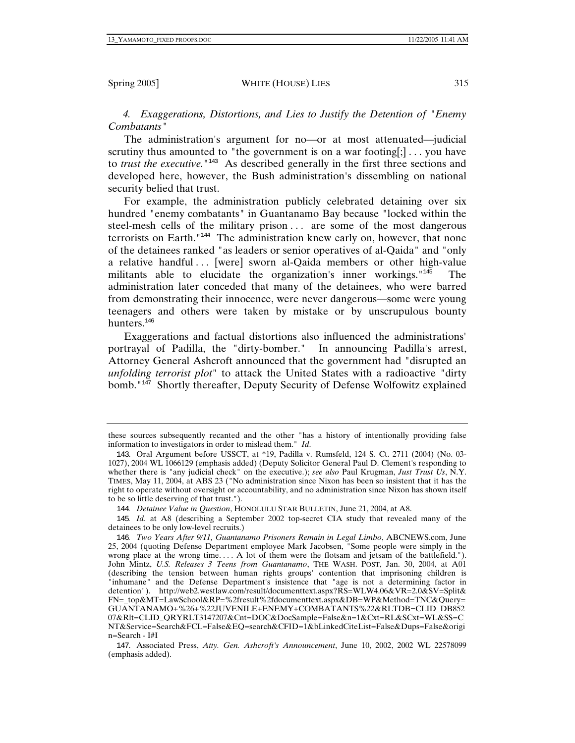*4. Exaggerations, Distortions, and Lies to Justify the Detention of "Enemy Combatants"* 

The administration's argument for no—or at most attenuated—judicial scrutiny thus amounted to "the government is on a war footing[;]... you have to *trust the executive*.<sup>"143</sup> As described generally in the first three sections and developed here, however, the Bush administration's dissembling on national security belied that trust.

For example, the administration publicly celebrated detaining over six hundred "enemy combatants" in Guantanamo Bay because "locked within the steel-mesh cells of the military prison . . . are some of the most dangerous terrorists on Earth."<sup>144</sup> The administration knew early on, however, that none of the detainees ranked "as leaders or senior operatives of al-Qaida" and "only a relative handful ... [were] sworn al-Qaida members or other high-value militants able to elucidate the organization's inner workings."<sup>145</sup> The administration later conceded that many of the detainees, who were barred from demonstrating their innocence, were never dangerous—some were young teenagers and others were taken by mistake or by unscrupulous bounty hunters.<sup>146</sup>

Exaggerations and factual distortions also influenced the administrations' portrayal of Padilla, the "dirty-bomber." In announcing Padilla's arrest, Attorney General Ashcroft announced that the government had "disrupted an *unfolding terrorist plot*" to attack the United States with a radioactive "dirty bomb."<sup>147</sup> Shortly thereafter, Deputy Security of Defense Wolfowitz explained

147. Associated Press, *Atty. Gen. Ashcroft's Announcement*, June 10, 2002, 2002 WL 22578099 (emphasis added).

these sources subsequently recanted and the other "has a history of intentionally providing false information to investigators in order to mislead them." *Id*.

<sup>143</sup>. Oral Argument before USSCT, at \*19, Padilla v. Rumsfeld, 124 S. Ct. 2711 (2004) (No. 03- 1027), 2004 WL 1066129 (emphasis added) (Deputy Solicitor General Paul D. Clement's responding to whether there is "any judicial check" on the executive.); *see also* Paul Krugman, *Just Trust Us*, N.Y. TIMES, May 11, 2004, at ABS 23 ("No administration since Nixon has been so insistent that it has the right to operate without oversight or accountability, and no administration since Nixon has shown itself to be so little deserving of that trust.").

<sup>144</sup>*. Detainee Value in Question*, HONOLULU STAR BULLETIN, June 21, 2004, at A8.

<sup>145</sup>*. Id*. at A8 (describing a September 2002 top-secret CIA study that revealed many of the detainees to be only low-level recruits.)

<sup>146</sup>*. Two Years After 9/11, Guantanamo Prisoners Remain in Legal Limbo*, ABCNEWS.com, June 25, 2004 (quoting Defense Department employee Mark Jacobsen, "Some people were simply in the wrong place at the wrong time.... A lot of them were the flotsam and jetsam of the battlefield."). John Mintz, *U.S. Releases 3 Teens from Guantanamo*, THE WASH. POST, Jan. 30, 2004, at A01 (describing the tension between human rights groups' contention that imprisoning children is "inhumane" and the Defense Department's insistence that "age is not a determining factor in detention"). http://web2.westlaw.com/result/documenttext.aspx?RS=WLW4.06&VR=2.0&SV=Split& FN=\_top&MT=LawSchool&RP=%2fresult%2fdocumenttext.aspx&DB=WP&Method=TNC&Query= GUANTANAMO+%26+%22JUVENILE+ENEMY+COMBATANTS%22&RLTDB=CLID\_DB852 07&Rlt=CLID\_QRYRLT3147207&Cnt=DOC&DocSample=False&n=1&Cxt=RL&SCxt=WL&SS=C NT&Service=Search&FCL=False&EQ=search&CFID=1&bLinkedCiteList=False&Dups=False&origi n=Search - I#I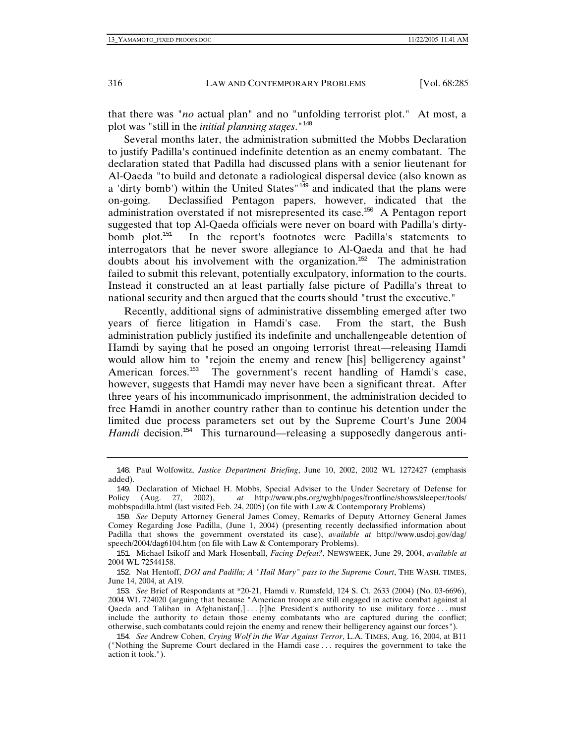that there was "*no* actual plan" and no "unfolding terrorist plot." At most, a plot was "still in the *initial planning stages*."<sup>148</sup>

Several months later, the administration submitted the Mobbs Declaration to justify Padilla's continued indefinite detention as an enemy combatant. The declaration stated that Padilla had discussed plans with a senior lieutenant for Al-Qaeda "to build and detonate a radiological dispersal device (also known as a 'dirty bomb') within the United States<sup>"149</sup> and indicated that the plans were on-going. Declassified Pentagon papers, however, indicated that the administration overstated if not misrepresented its case.<sup>150</sup> A Pentagon report suggested that top Al-Qaeda officials were never on board with Padilla's dirtybomb plot.<sup>151</sup> In the report's footnotes were Padilla's statements to interrogators that he never swore allegiance to Al-Qaeda and that he had doubts about his involvement with the organization.<sup>152</sup> The administration failed to submit this relevant, potentially exculpatory, information to the courts. Instead it constructed an at least partially false picture of Padilla's threat to national security and then argued that the courts should "trust the executive."

Recently, additional signs of administrative dissembling emerged after two years of fierce litigation in Hamdi's case. From the start, the Bush administration publicly justified its indefinite and unchallengeable detention of Hamdi by saying that he posed an ongoing terrorist threat—releasing Hamdi would allow him to "rejoin the enemy and renew [his] belligerency against" American forces.<sup>153</sup> The government's recent handling of Hamdi's case, however, suggests that Hamdi may never have been a significant threat. After three years of his incommunicado imprisonment, the administration decided to free Hamdi in another country rather than to continue his detention under the limited due process parameters set out by the Supreme Court's June 2004 Hamdi decision.<sup>154</sup> This turnaround—releasing a supposedly dangerous anti-

<sup>148</sup>. Paul Wolfowitz, *Justice Department Briefing*, June 10, 2002, 2002 WL 1272427 (emphasis added).

<sup>149</sup>. Declaration of Michael H. Mobbs, Special Adviser to the Under Secretary of Defense for Policy (Aug. 27, 2002), *at* http://www.pbs.org/wgbh/pages/frontline/shows/sleeper/tools/ mobbspadilla.html (last visited Feb. 24, 2005) (on file with Law & Contemporary Problems)

<sup>150</sup>*. See* Deputy Attorney General James Comey, Remarks of Deputy Attorney General James Comey Regarding Jose Padilla, (June 1, 2004) (presenting recently declassified information about Padilla that shows the government overstated its case), *available at* http://www.usdoj.gov/dag/ speech/2004/dag6104.htm (on file with Law & Contemporary Problems).

<sup>151</sup>. Michael Isikoff and Mark Hosenball, *Facing Defeat?*, NEWSWEEK, June 29, 2004, *available at* 2004 WL 72544158.

<sup>152</sup>. Nat Hentoff, *DOJ and Padilla; A "Hail Mary" pass to the Supreme Court*, THE WASH. TIMES, June 14, 2004, at A19.

<sup>153</sup>*. See* Brief of Respondants at \*20-21, Hamdi v. Rumsfeld, 124 S. Ct. 2633 (2004) (No. 03-6696), 2004 WL 724020 (arguing that because "American troops are still engaged in active combat against al Qaeda and Taliban in Afghanistan[,] ... [t]he President's authority to use military force ... must include the authority to detain those enemy combatants who are captured during the conflict; otherwise, such combatants could rejoin the enemy and renew their belligerency against our forces").

<sup>154</sup>*. See* Andrew Cohen, *Crying Wolf in the War Against Terror*, L.A. TIMES, Aug. 16, 2004, at B11 ("Nothing the Supreme Court declared in the Hamdi case . . . requires the government to take the action it took.").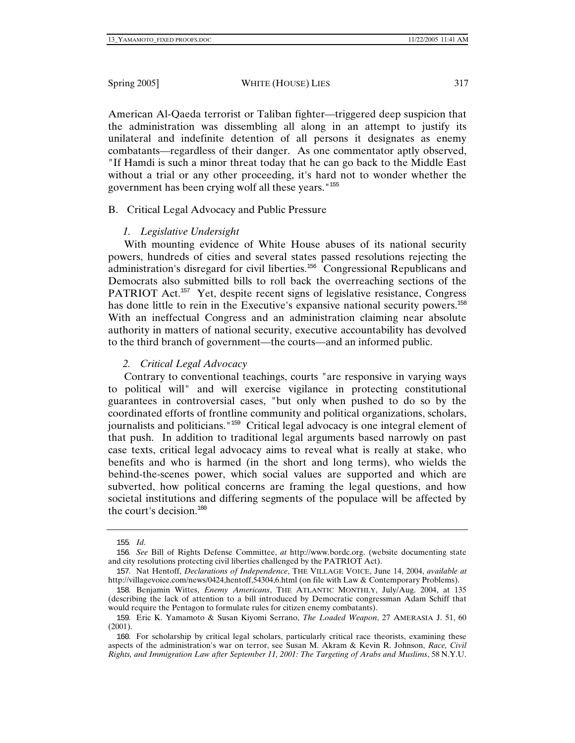American Al-Qaeda terrorist or Taliban fighter—triggered deep suspicion that the administration was dissembling all along in an attempt to justify its unilateral and indefinite detention of all persons it designates as enemy combatants—regardless of their danger. As one commentator aptly observed, "If Hamdi is such a minor threat today that he can go back to the Middle East without a trial or any other proceeding, it's hard not to wonder whether the government has been crying wolf all these years."<sup>155</sup>

# B. Critical Legal Advocacy and Public Pressure

## *1. Legislative Undersight*

With mounting evidence of White House abuses of its national security powers, hundreds of cities and several states passed resolutions rejecting the administration's disregard for civil liberties.<sup>156</sup> Congressional Republicans and Democrats also submitted bills to roll back the overreaching sections of the PATRIOT Act.<sup>157</sup> Yet, despite recent signs of legislative resistance, Congress has done little to rein in the Executive's expansive national security powers.<sup>158</sup> With an ineffectual Congress and an administration claiming near absolute authority in matters of national security, executive accountability has devolved to the third branch of government—the courts—and an informed public.

## *2. Critical Legal Advocacy*

Contrary to conventional teachings, courts "are responsive in varying ways to political will" and will exercise vigilance in protecting constitutional guarantees in controversial cases, "but only when pushed to do so by the coordinated efforts of frontline community and political organizations, scholars, journalists and politicians."<sup>159</sup> Critical legal advocacy is one integral element of that push. In addition to traditional legal arguments based narrowly on past case texts, critical legal advocacy aims to reveal what is really at stake, who benefits and who is harmed (in the short and long terms), who wields the behind-the-scenes power, which social values are supported and which are subverted, how political concerns are framing the legal questions, and how societal institutions and differing segments of the populace will be affected by the court's decision. $160$ 

<sup>155</sup>*. Id*.

<sup>156</sup>*. See* Bill of Rights Defense Committee, *at* http://www.bordc.org. (website documenting state and city resolutions protecting civil liberties challenged by the PATRIOT Act).

<sup>157</sup>. Nat Hentoff, *Declarations of Independence*, THE VILLAGE VOICE, June 14, 2004, *available at* http://villagevoice.com/news/0424,hentoff,54304,6.html (on file with Law & Contemporary Problems).

<sup>158</sup>. Benjamin Wittes, *Enemy Americans*, THE ATLANTIC MONTHLY, July/Aug. 2004, at 135 (describing the lack of attention to a bill introduced by Democratic congressman Adam Schiff that would require the Pentagon to formulate rules for citizen enemy combatants).

<sup>159</sup>. Eric K. Yamamoto & Susan Kiyomi Serrano, *The Loaded Weapon*, 27 AMERASIA J. 51, 60 (2001).

<sup>160</sup>. For scholarship by critical legal scholars, particularly critical race theorists, examining these aspects of the administration's war on terror, see Susan M. Akram & Kevin R. Johnson, *Race, Civil Rights, and Immigration Law after September 11, 2001: The Targeting of Arabs and Muslims*, 58 N.Y.U.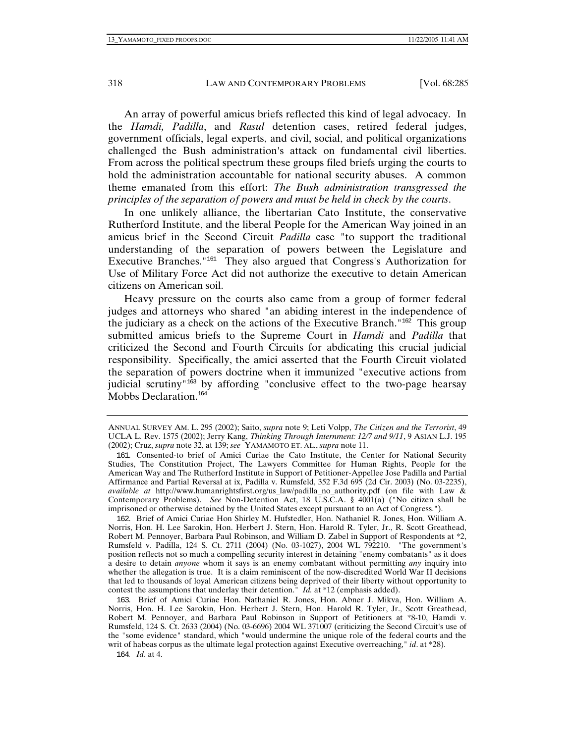An array of powerful amicus briefs reflected this kind of legal advocacy. In the *Hamdi, Padilla*, and *Rasul* detention cases, retired federal judges, government officials, legal experts, and civil, social, and political organizations challenged the Bush administration's attack on fundamental civil liberties. From across the political spectrum these groups filed briefs urging the courts to hold the administration accountable for national security abuses. A common theme emanated from this effort: *The Bush administration transgressed the principles of the separation of powers and must be held in check by the courts*.

In one unlikely alliance, the libertarian Cato Institute, the conservative Rutherford Institute, and the liberal People for the American Way joined in an amicus brief in the Second Circuit *Padilla* case "to support the traditional understanding of the separation of powers between the Legislature and Executive Branches."<sup>161</sup> They also argued that Congress's Authorization for Use of Military Force Act did not authorize the executive to detain American citizens on American soil.

Heavy pressure on the courts also came from a group of former federal judges and attorneys who shared "an abiding interest in the independence of the judiciary as a check on the actions of the Executive Branch."<sup>162</sup> This group submitted amicus briefs to the Supreme Court in *Hamdi* and *Padilla* that criticized the Second and Fourth Circuits for abdicating this crucial judicial responsibility. Specifically, the amici asserted that the Fourth Circuit violated the separation of powers doctrine when it immunized "executive actions from judicial scrutiny<sup>"163</sup> by affording "conclusive effect to the two-page hearsay Mobbs Declaration.<sup>164</sup>

163. Brief of Amici Curiae Hon. Nathaniel R. Jones, Hon. Abner J. Mikva, Hon. William A. Norris, Hon. H. Lee Sarokin, Hon. Herbert J. Stern, Hon. Harold R. Tyler, Jr., Scott Greathead, Robert M. Pennoyer, and Barbara Paul Robinson in Support of Petitioners at \*8-10, Hamdi v. Rumsfeld, 124 S. Ct. 2633 (2004) (No. 03-6696) 2004 WL 371007 (criticizing the Second Circuit's use of the "some evidence" standard, which "would undermine the unique role of the federal courts and the writ of habeas corpus as the ultimate legal protection against Executive overreaching," *id*. at \*28).

164*. Id*. at 4.

ANNUAL SURVEY AM. L. 295 (2002); Saito, *supra* note 9; Leti Volpp, *The Citizen and the Terrorist*, 49 UCLA L. Rev. 1575 (2002); Jerry Kang, *Thinking Through Internment: 12/7 and 9/11*, 9 ASIAN L.J. 195 (2002); Cruz, *supra* note 32, at 139; *see* YAMAMOTO ET. AL., *supra* note 11.

<sup>161</sup>. Consented-to brief of Amici Curiae the Cato Institute, the Center for National Security Studies, The Constitution Project, The Lawyers Committee for Human Rights, People for the American Way and The Rutherford Institute in Support of Petitioner-Appellee Jose Padilla and Partial Affirmance and Partial Reversal at ix, Padilla v. Rumsfeld, 352 F.3d 695 (2d Cir. 2003) (No. 03-2235), *available at* http://www.humanrightsfirst.org/us\_law/padilla\_no\_authority.pdf (on file with Law & Contemporary Problems). *See* Non-Detention Act, 18 U.S.C.A. § 4001(a) ("No citizen shall be imprisoned or otherwise detained by the United States except pursuant to an Act of Congress.").

<sup>162</sup>. Brief of Amici Curiae Hon Shirley M. Hufstedler, Hon. Nathaniel R. Jones, Hon. William A. Norris, Hon. H. Lee Sarokin, Hon. Herbert J. Stern, Hon. Harold R. Tyler, Jr., R. Scott Greathead, Robert M. Pennoyer, Barbara Paul Robinson, and William D. Zabel in Support of Respondents at \*2, Rumsfeld v. Padilla, 124 S. Ct. 2711 (2004) (No. 03-1027), 2004 WL 792210. "The government's position reflects not so much a compelling security interest in detaining "enemy combatants" as it does a desire to detain *anyone* whom it says is an enemy combatant without permitting *any* inquiry into whether the allegation is true. It is a claim reminiscent of the now-discredited World War II decisions that led to thousands of loyal American citizens being deprived of their liberty without opportunity to contest the assumptions that underlay their detention." *Id.* at \*12 (emphasis added).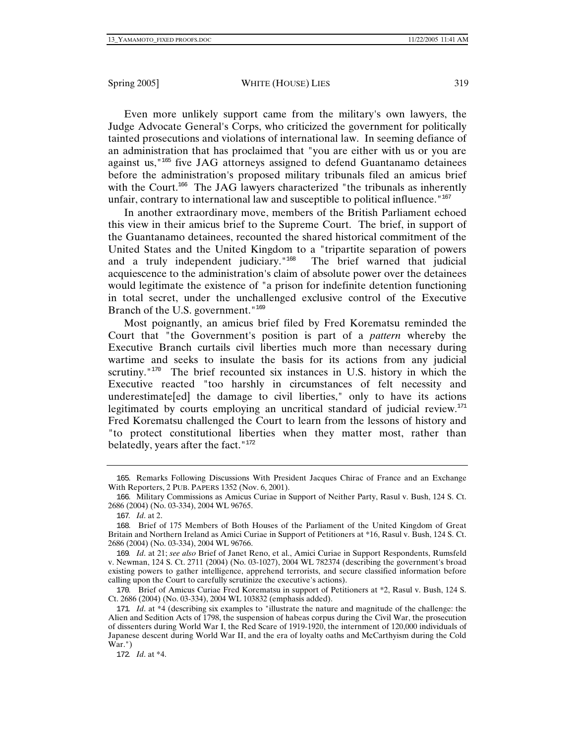#### Spring 2005] WHITE (HOUSE) LIES 319

Even more unlikely support came from the military's own lawyers, the Judge Advocate General's Corps, who criticized the government for politically tainted prosecutions and violations of international law. In seeming defiance of an administration that has proclaimed that "you are either with us or you are against us,"<sup>165</sup> five JAG attorneys assigned to defend Guantanamo detainees before the administration's proposed military tribunals filed an amicus brief with the Court.<sup>166</sup> The JAG lawyers characterized "the tribunals as inherently unfair, contrary to international law and susceptible to political influence."<sup>167</sup>

In another extraordinary move, members of the British Parliament echoed this view in their amicus brief to the Supreme Court. The brief, in support of the Guantanamo detainees, recounted the shared historical commitment of the United States and the United Kingdom to a "tripartite separation of powers and a truly independent judiciary."<sup>168</sup> The brief warned that judicial acquiescence to the administration's claim of absolute power over the detainees would legitimate the existence of "a prison for indefinite detention functioning in total secret, under the unchallenged exclusive control of the Executive Branch of the U.S. government." $169$ 

Most poignantly, an amicus brief filed by Fred Korematsu reminded the Court that "the Government's position is part of a *pattern* whereby the Executive Branch curtails civil liberties much more than necessary during wartime and seeks to insulate the basis for its actions from any judicial scrutiny." $170$  The brief recounted six instances in U.S. history in which the Executive reacted "too harshly in circumstances of felt necessity and underestimate[ed] the damage to civil liberties," only to have its actions legitimated by courts employing an uncritical standard of judicial review.<sup>171</sup> Fred Korematsu challenged the Court to learn from the lessons of history and "to protect constitutional liberties when they matter most, rather than belatedly, years after the fact.  $172$ 

<sup>165</sup>. Remarks Following Discussions With President Jacques Chirac of France and an Exchange With Reporters, 2 PUB. PAPERS 1352 (Nov. 6, 2001).

<sup>166</sup>. Military Commissions as Amicus Curiae in Support of Neither Party, Rasul v. Bush, 124 S. Ct. 2686 (2004) (No. 03-334), 2004 WL 96765.

<sup>167</sup>*. Id*. at 2.

<sup>168</sup>. Brief of 175 Members of Both Houses of the Parliament of the United Kingdom of Great Britain and Northern Ireland as Amici Curiae in Support of Petitioners at \*16, Rasul v. Bush, 124 S. Ct. 2686 (2004) (No. 03-334), 2004 WL 96766.

<sup>169</sup>*. Id*. at 21; *see also* Brief of Janet Reno, et al., Amici Curiae in Support Respondents, Rumsfeld v. Newman, 124 S. Ct. 2711 (2004) (No. 03-1027), 2004 WL 782374 (describing the government's broad existing powers to gather intelligence, apprehend terrorists, and secure classified information before calling upon the Court to carefully scrutinize the executive's actions).

<sup>170</sup>. Brief of Amicus Curiae Fred Korematsu in support of Petitioners at \*2, Rasul v. Bush, 124 S. Ct. 2686 (2004) (No. 03-334), 2004 WL 103832 (emphasis added).

<sup>171</sup>*. Id*. at \*4 (describing six examples to "illustrate the nature and magnitude of the challenge: the Alien and Sedition Acts of 1798, the suspension of habeas corpus during the Civil War, the prosecution of dissenters during World War I, the Red Scare of 1919-1920, the internment of 120,000 individuals of Japanese descent during World War II, and the era of loyalty oaths and McCarthyism during the Cold War.")

<sup>172</sup>*. Id*. at \*4.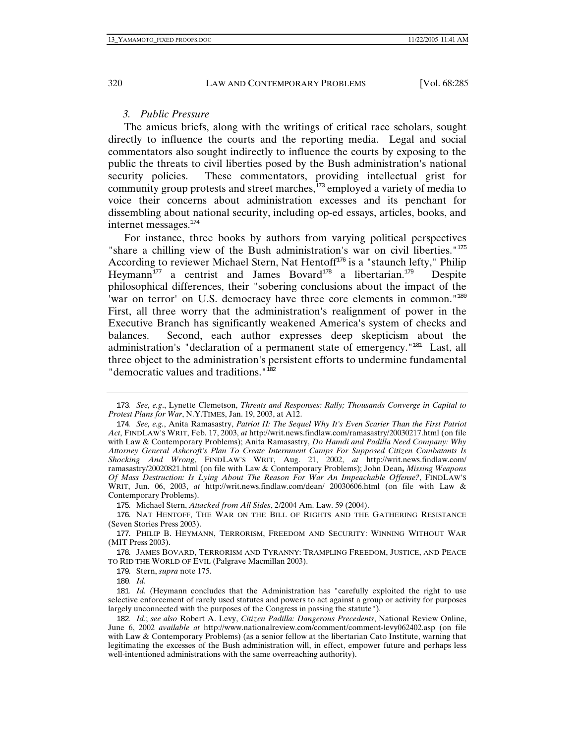## *3. Public Pressure*

The amicus briefs, along with the writings of critical race scholars, sought directly to influence the courts and the reporting media. Legal and social commentators also sought indirectly to influence the courts by exposing to the public the threats to civil liberties posed by the Bush administration's national security policies. These commentators, providing intellectual grist for community group protests and street marches, $173$  employed a variety of media to voice their concerns about administration excesses and its penchant for dissembling about national security, including op-ed essays, articles, books, and internet messages.<sup>174</sup>

For instance, three books by authors from varying political perspectives "share a chilling view of the Bush administration's war on civil liberties."<sup>175</sup> According to reviewer Michael Stern, Nat Hentoff $176$  is a "staunch lefty," Philip Heymann<sup>177</sup> a centrist and James Bovard<sup>178</sup> a libertarian.<sup>179</sup> Despite philosophical differences, their "sobering conclusions about the impact of the 'war on terror' on U.S. democracy have three core elements in common."<sup>180</sup> First, all three worry that the administration's realignment of power in the Executive Branch has significantly weakened America's system of checks and balances. Second, each author expresses deep skepticism about the administration's "declaration of a permanent state of emergency."<sup>181</sup> Last, all three object to the administration's persistent efforts to undermine fundamental " democratic values and traditions. "<sup>182</sup>

<sup>173</sup>*. See, e.g*., Lynette Clemetson, *Threats and Responses: Rally; Thousands Converge in Capital to Protest Plans for War*, N.Y.TIMES, Jan. 19, 2003, at A12.

<sup>174</sup>*. See, e.g.*, Anita Ramasastry, *Patriot II: The Sequel Why It's Even Scarier Than the First Patriot Act*, FINDLAW'S WRIT, Feb. 17, 2003, *at* http://writ.news.findlaw.com/ramasastry/20030217.html (on file with Law & Contemporary Problems); Anita Ramasastry, *Do Hamdi and Padilla Need Company: Why Attorney General Ashcroft's Plan To Create Internment Camps For Supposed Citizen Combatants Is Shocking And Wrong*, FINDLAW'S WRIT, Aug. 21, 2002, *at* http://writ.news.findlaw.com/ ramasastry/20020821.html (on file with Law & Contemporary Problems); John Dean**,** *Missing Weapons Of Mass Destruction: Is Lying About The Reason For War An Impeachable Offense?*, FINDLAW'S WRIT, Jun. 06, 2003, *at* http://writ.news.findlaw.com/dean/ 20030606.html (on file with Law & Contemporary Problems).

<sup>175</sup>. Michael Stern, *Attacked from All Sides*, 2/2004 Am. Law. 59 (2004).

<sup>176</sup>. NAT HENTOFF, THE WAR ON THE BILL OF RIGHTS AND THE GATHERING RESISTANCE (Seven Stories Press 2003).

<sup>177</sup>. PHILIP B. HEYMANN, TERRORISM, FREEDOM AND SECURITY: WINNING WITHOUT WAR (MIT Press 2003).

<sup>178</sup>. JAMES BOVARD, TERRORISM AND TYRANNY: TRAMPLING FREEDOM, JUSTICE, AND PEACE TO RID THE WORLD OF EVIL (Palgrave Macmillan 2003).

<sup>179</sup>. Stern, *supra* note 175.

<sup>180</sup>*. Id*.

<sup>181</sup>*. Id.* (Heymann concludes that the Administration has "carefully exploited the right to use selective enforcement of rarely used statutes and powers to act against a group or activity for purposes largely unconnected with the purposes of the Congress in passing the statute").

<sup>182</sup>*. Id*.; *see also* Robert A. Levy, *Citizen Padilla: Dangerous Precedents*, National Review Online, June 6, 2002 *available at* http://www.nationalreview.com/comment/comment-levy062402.asp (on file with Law & Contemporary Problems) (as a senior fellow at the libertarian Cato Institute, warning that legitimating the excesses of the Bush administration will, in effect, empower future and perhaps less well-intentioned administrations with the same overreaching authority).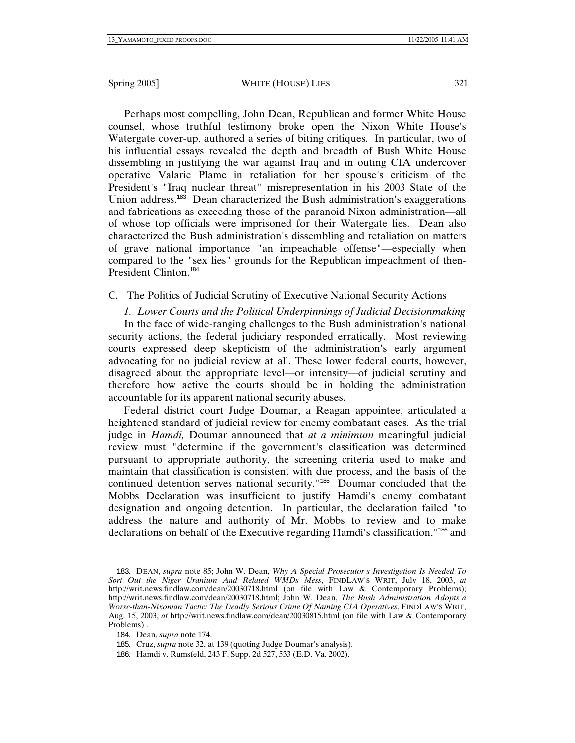Perhaps most compelling, John Dean, Republican and former White House counsel, whose truthful testimony broke open the Nixon White House's Watergate cover-up, authored a series of biting critiques. In particular, two of his influential essays revealed the depth and breadth of Bush White House dissembling in justifying the war against Iraq and in outing CIA undercover operative Valarie Plame in retaliation for her spouse's criticism of the President's "Iraq nuclear threat" misrepresentation in his 2003 State of the Union address. $183$  Dean characterized the Bush administration's exaggerations and fabrications as exceeding those of the paranoid Nixon administration—all of whose top officials were imprisoned for their Watergate lies. Dean also characterized the Bush administration's dissembling and retaliation on matters of grave national importance "an impeachable offense"—especially when compared to the "sex lies" grounds for the Republican impeachment of then-President Clinton.<sup>184</sup>

C. The Politics of Judicial Scrutiny of Executive National Security Actions

*1. Lower Courts and the Political Underpinnings of Judicial Decisionmaking*

In the face of wide-ranging challenges to the Bush administration's national security actions, the federal judiciary responded erratically. Most reviewing courts expressed deep skepticism of the administration's early argument advocating for no judicial review at all. These lower federal courts, however, disagreed about the appropriate level—or intensity—of judicial scrutiny and therefore how active the courts should be in holding the administration accountable for its apparent national security abuses.

Federal district court Judge Doumar, a Reagan appointee, articulated a heightened standard of judicial review for enemy combatant cases. As the trial judge in *Hamdi,* Doumar announced that *at a minimum* meaningful judicial review must "determine if the government's classification was determined pursuant to appropriate authority, the screening criteria used to make and maintain that classification is consistent with due process, and the basis of the continued detention serves national security."<sup>185</sup> Doumar concluded that the Mobbs Declaration was insufficient to justify Hamdi's enemy combatant designation and ongoing detention. In particular, the declaration failed "to address the nature and authority of Mr. Mobbs to review and to make declarations on behalf of the Executive regarding Hamdi's classification,"<sup>186</sup> and

<sup>183</sup>. DEAN, *supra* note 85; John W. Dean, *Why A Special Prosecutor's Investigation Is Needed To Sort Out the Niger Uranium And Related WMDs Mess*, FINDLAW'S WRIT, July 18, 2003, *at* http://writ.news.findlaw.com/dean/20030718.html (on file with Law & Contemporary Problems); http://writ.news.findlaw.com/dean/20030718.html; John W. Dean, *The Bush Administration Adopts a Worse-than-Nixonian Tactic: The Deadly Serious Crime Of Naming CIA Operatives*, FINDLAW'S WRIT, Aug. 15, 2003, *at* http://writ.news.findlaw.com/dean/20030815.html (on file with Law & Contemporary Problems) .

<sup>184</sup>. Dean, *supra* note 174.

<sup>185</sup>. Cruz, *supra* note 32, at 139 (quoting Judge Doumar's analysis).

<sup>186</sup>. Hamdi v. Rumsfeld, 243 F. Supp. 2d 527, 533 (E.D. Va. 2002).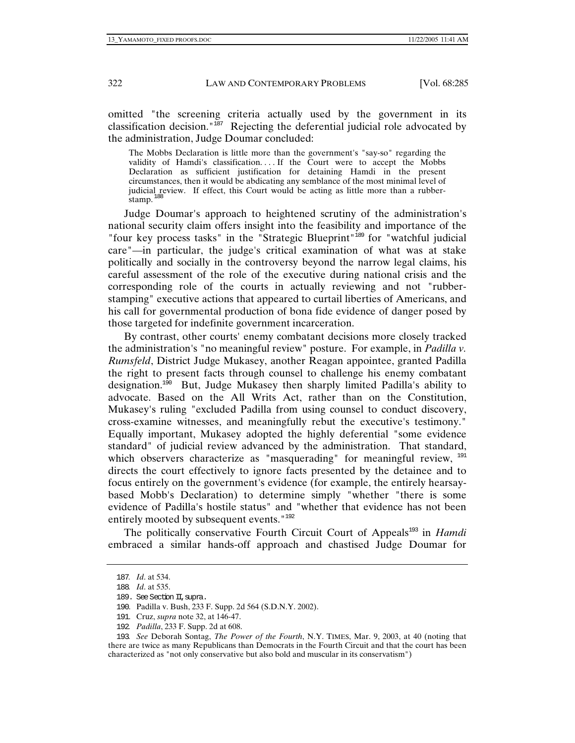omitted "the screening criteria actually used by the government in its classification decision."<sup>187</sup> Rejecting the deferential judicial role advocated by the administration, Judge Doumar concluded:

The Mobbs Declaration is little more than the government's "say-so" regarding the validity of Hamdi's classification. . . . If the Court were to accept the Mobbs Declaration as sufficient justification for detaining Hamdi in the present circumstances, then it would be abdicating any semblance of the most minimal level of judicial review. If effect, this Court would be acting as little more than a rubberstamp.<sup>188</sup>

Judge Doumar's approach to heightened scrutiny of the administration's national security claim offers insight into the feasibility and importance of the "four key process tasks" in the "Strategic Blueprint"<sup>189</sup> for "watchful judicial" care"—in particular, the judge's critical examination of what was at stake politically and socially in the controversy beyond the narrow legal claims, his careful assessment of the role of the executive during national crisis and the corresponding role of the courts in actually reviewing and not "rubberstamping" executive actions that appeared to curtail liberties of Americans, and his call for governmental production of bona fide evidence of danger posed by those targeted for indefinite government incarceration.

By contrast, other courts' enemy combatant decisions more closely tracked the administration's "no meaningful review" posture. For example, in *Padilla v. Rumsfeld*, District Judge Mukasey, another Reagan appointee, granted Padilla the right to present facts through counsel to challenge his enemy combatant designation.<sup>190</sup> But, Judge Mukasey then sharply limited Padilla's ability to advocate. Based on the All Writs Act, rather than on the Constitution, Mukasey's ruling "excluded Padilla from using counsel to conduct discovery, cross-examine witnesses, and meaningfully rebut the executive's testimony." Equally important, Mukasey adopted the highly deferential "some evidence standard" of judicial review advanced by the administration. That standard, which observers characterize as "masquerading" for meaningful review, 191 directs the court effectively to ignore facts presented by the detainee and to focus entirely on the government's evidence (for example, the entirely hearsaybased Mobb's Declaration) to determine simply "whether "there is some evidence of Padilla's hostile status" and "whether that evidence has not been entirely mooted by subsequent events."<sup>192</sup>

The politically conservative Fourth Circuit Court of Appeals<sup>193</sup> in *Hamdi* embraced a similar hands-off approach and chastised Judge Doumar for

<sup>187</sup>*. Id*. at 534.

<sup>188</sup>*. Id*. at 535.

<sup>189.</sup> See Section II, supra.

<sup>190</sup>. Padilla v. Bush, 233 F. Supp. 2d 564 (S.D.N.Y. 2002).

<sup>191</sup>. Cruz, *supra* note 32, at 146-47.

<sup>192</sup>*. Padilla*, 233 F. Supp. 2d at 608.

<sup>193</sup>*. See* Deborah Sontag, *The Power of the Fourth*, N.Y. TIMES, Mar. 9, 2003, at 40 (noting that there are twice as many Republicans than Democrats in the Fourth Circuit and that the court has been characterized as "not only conservative but also bold and muscular in its conservatism")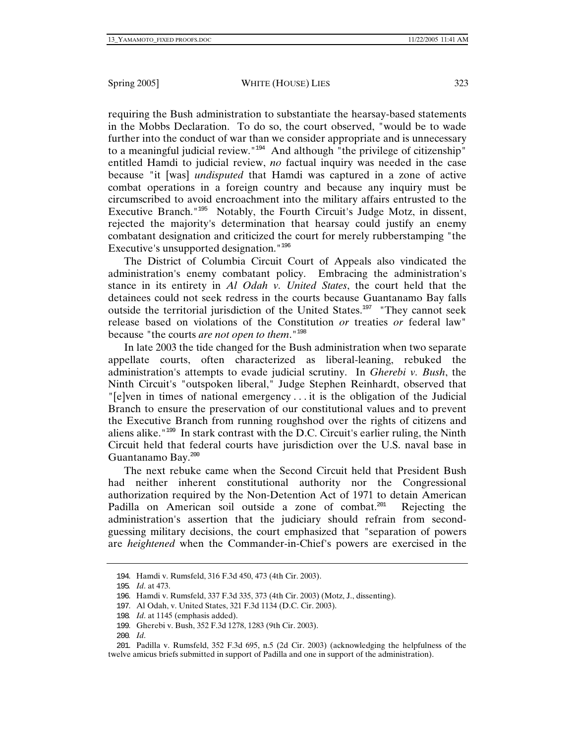requiring the Bush administration to substantiate the hearsay-based statements in the Mobbs Declaration. To do so, the court observed, "would be to wade further into the conduct of war than we consider appropriate and is unnecessary to a meaningful judicial review."<sup>194</sup> And although "the privilege of citizenship" entitled Hamdi to judicial review, *no* factual inquiry was needed in the case because "it [was] *undisputed* that Hamdi was captured in a zone of active combat operations in a foreign country and because any inquiry must be circumscribed to avoid encroachment into the military affairs entrusted to the Executive Branch."<sup>195</sup> Notably, the Fourth Circuit's Judge Motz, in dissent, rejected the majority's determination that hearsay could justify an enemy combatant designation and criticized the court for merely rubberstamping "the Executive's unsupported designation."<sup>196</sup>

The District of Columbia Circuit Court of Appeals also vindicated the administration's enemy combatant policy. Embracing the administration's stance in its entirety in *Al Odah v. United States*, the court held that the detainees could not seek redress in the courts because Guantanamo Bay falls outside the territorial jurisdiction of the United States.<sup>197</sup> "They cannot seek release based on violations of the Constitution *or* treaties *or* federal law" because "the courts *are not open to them*."<sup>198</sup>

In late 2003 the tide changed for the Bush administration when two separate appellate courts, often characterized as liberal-leaning, rebuked the administration's attempts to evade judicial scrutiny. In *Gherebi v. Bush*, the Ninth Circuit's "outspoken liberal," Judge Stephen Reinhardt, observed that "[e]ven in times of national emergency . . . it is the obligation of the Judicial Branch to ensure the preservation of our constitutional values and to prevent the Executive Branch from running roughshod over the rights of citizens and aliens alike."<sup>199</sup> In stark contrast with the D.C. Circuit's earlier ruling, the Ninth Circuit held that federal courts have jurisdiction over the U.S. naval base in Guantanamo Bay.<sup>200</sup>

The next rebuke came when the Second Circuit held that President Bush had neither inherent constitutional authority nor the Congressional authorization required by the Non-Detention Act of 1971 to detain American Padilla on American soil outside a zone of combat.<sup>201</sup> Rejecting the administration's assertion that the judiciary should refrain from secondguessing military decisions, the court emphasized that "separation of powers are *heightened* when the Commander-in-Chief's powers are exercised in the

<sup>194</sup>. Hamdi v. Rumsfeld, 316 F.3d 450, 473 (4th Cir. 2003).

<sup>195</sup>*. Id*. at 473.

<sup>196</sup>. Hamdi v. Rumsfeld, 337 F.3d 335, 373 (4th Cir. 2003) (Motz, J., dissenting).

<sup>197</sup>. Al Odah, v. United States, 321 F.3d 1134 (D.C. Cir. 2003).

<sup>198</sup>*. Id*. at 1145 (emphasis added).

<sup>199</sup>. Gherebi v. Bush, 352 F.3d 1278, 1283 (9th Cir. 2003).

<sup>200</sup>*. Id*.

<sup>201</sup>. Padilla v. Rumsfeld, 352 F.3d 695, n.5 (2d Cir. 2003) (acknowledging the helpfulness of the twelve amicus briefs submitted in support of Padilla and one in support of the administration).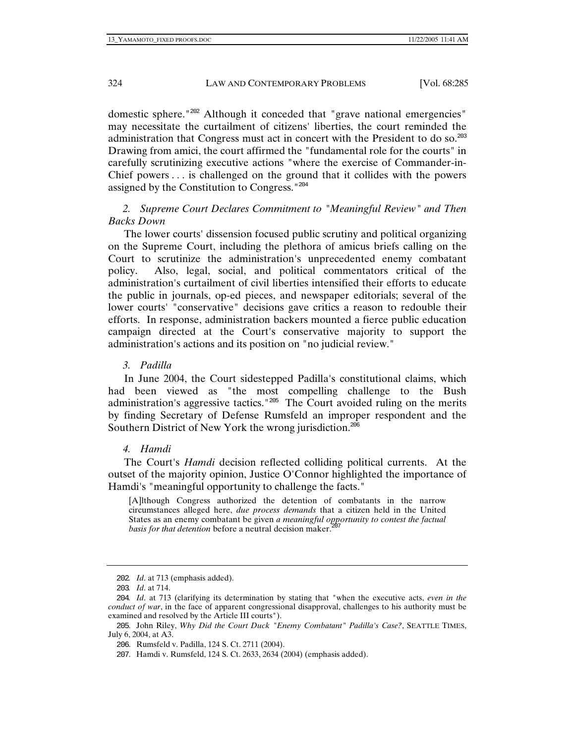domestic sphere."<sup>202</sup> Although it conceded that "grave national emergencies" may necessitate the curtailment of citizens' liberties, the court reminded the administration that Congress must act in concert with the President to do so.<sup>203</sup> Drawing from amici, the court affirmed the "fundamental role for the courts" in carefully scrutinizing executive actions "where the exercise of Commander-in-Chief powers . . . is challenged on the ground that it collides with the powers assigned by the Constitution to Congress."<sup>204</sup>

# *2. Supreme Court Declares Commitment to "Meaningful Review" and Then Backs Down*

The lower courts' dissension focused public scrutiny and political organizing on the Supreme Court, including the plethora of amicus briefs calling on the Court to scrutinize the administration's unprecedented enemy combatant policy. Also, legal, social, and political commentators critical of the administration's curtailment of civil liberties intensified their efforts to educate the public in journals, op-ed pieces, and newspaper editorials; several of the lower courts' "conservative" decisions gave critics a reason to redouble their efforts. In response, administration backers mounted a fierce public education campaign directed at the Court's conservative majority to support the administration's actions and its position on "no judicial review."

*3. Padilla* 

In June 2004, the Court sidestepped Padilla's constitutional claims, which had been viewed as "the most compelling challenge to the Bush administration's aggressive tactics."<sup>205</sup> The Court avoided ruling on the merits by finding Secretary of Defense Rumsfeld an improper respondent and the Southern District of New York the wrong jurisdiction.<sup>206</sup>

*4. Hamdi* 

The Court's *Hamdi* decision reflected colliding political currents. At the outset of the majority opinion, Justice O'Connor highlighted the importance of Hamdi's "meaningful opportunity to challenge the facts."

[A]lthough Congress authorized the detention of combatants in the narrow circumstances alleged here, *due process demands* that a citizen held in the United States as an enemy combatant be given *a meaningful opportunity to contest the factual basis for that detention before a neutral decision maker.* 

<sup>202</sup>*. Id*. at 713 (emphasis added).

<sup>203</sup>*. Id*. at 714.

<sup>204</sup>*. Id*. at 713 (clarifying its determination by stating that "when the executive acts, *even in the conduct of war*, in the face of apparent congressional disapproval, challenges to his authority must be examined and resolved by the Article III courts").

<sup>205</sup>. John Riley, *Why Did the Court Duck "Enemy Combatant" Padilla's Case?*, SEATTLE TIMES, July 6, 2004, at A3.

<sup>206</sup>. Rumsfeld v. Padilla, 124 S. Ct. 2711 (2004).

<sup>207</sup>. Hamdi v. Rumsfeld, 124 S. Ct. 2633, 2634 (2004) (emphasis added).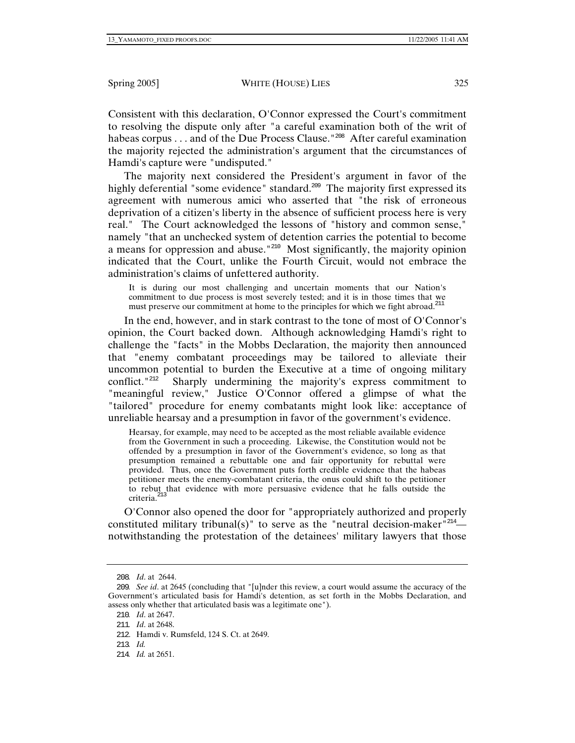Consistent with this declaration, O'Connor expressed the Court's commitment to resolving the dispute only after "a careful examination both of the writ of habeas corpus . . . and of the Due Process Clause."<sup>208</sup> After careful examination the majority rejected the administration's argument that the circumstances of Hamdi's capture were "undisputed."

The majority next considered the President's argument in favor of the highly deferential "some evidence" standard.<sup>209</sup> The majority first expressed its agreement with numerous amici who asserted that "the risk of erroneous deprivation of a citizen's liberty in the absence of sufficient process here is very real." The Court acknowledged the lessons of "history and common sense," namely "that an unchecked system of detention carries the potential to become a means for oppression and abuse."<sup>210</sup> Most significantly, the majority opinion indicated that the Court, unlike the Fourth Circuit, would not embrace the administration's claims of unfettered authority.

It is during our most challenging and uncertain moments that our Nation's commitment to due process is most severely tested; and it is in those times that we must preserve our commitment at home to the principles for which we fight abroad.<sup>211</sup>

In the end, however, and in stark contrast to the tone of most of O'Connor's opinion, the Court backed down. Although acknowledging Hamdi's right to challenge the "facts" in the Mobbs Declaration, the majority then announced that "enemy combatant proceedings may be tailored to alleviate their uncommon potential to burden the Executive at a time of ongoing military conflict.<sup>"212</sup> Sharply undermining the majority's express commitment to "meaningful review," Justice O'Connor offered a glimpse of what the "tailored" procedure for enemy combatants might look like: acceptance of unreliable hearsay and a presumption in favor of the government's evidence.

Hearsay, for example, may need to be accepted as the most reliable available evidence from the Government in such a proceeding. Likewise, the Constitution would not be offended by a presumption in favor of the Government's evidence, so long as that presumption remained a rebuttable one and fair opportunity for rebuttal were provided. Thus, once the Government puts forth credible evidence that the habeas petitioner meets the enemy-combatant criteria, the onus could shift to the petitioner to rebut that evidence with more persuasive evidence that he falls outside the criteria.<sup>21</sup>

O'Connor also opened the door for "appropriately authorized and properly constituted military tribunal(s)" to serve as the "neutral decision-maker" $214$  notwithstanding the protestation of the detainees' military lawyers that those

<sup>208</sup>*. Id*. at 2644.

<sup>209</sup>*. See id*. at 2645 (concluding that "[u]nder this review, a court would assume the accuracy of the Government's articulated basis for Hamdi's detention, as set forth in the Mobbs Declaration, and assess only whether that articulated basis was a legitimate one").

<sup>210</sup>*. Id*. at 2647.

<sup>211</sup>*. Id*. at 2648.

<sup>212</sup>. Hamdi v. Rumsfeld, 124 S. Ct. at 2649.

<sup>213</sup>*. Id.*

<sup>214</sup>*. Id.* at 2651.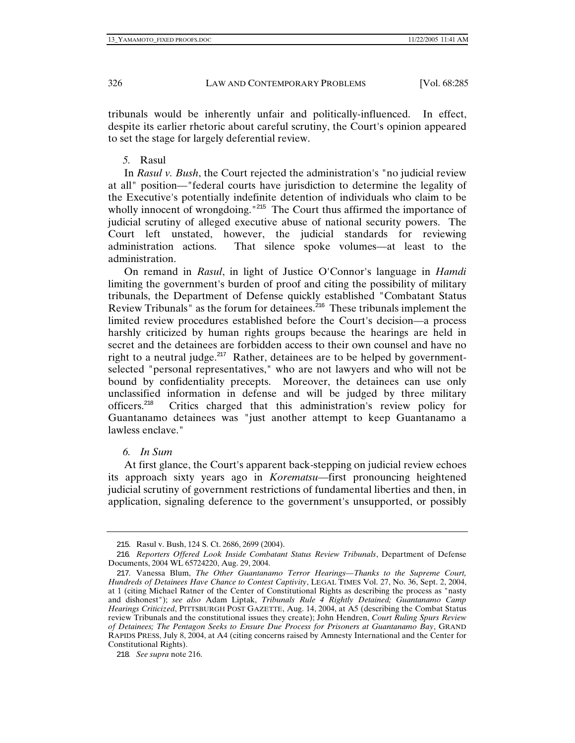tribunals would be inherently unfair and politically-influenced. In effect, despite its earlier rhetoric about careful scrutiny, the Court's opinion appeared to set the stage for largely deferential review.

## *5.* Rasul

In *Rasul v. Bush*, the Court rejected the administration's "no judicial review at all" position—"federal courts have jurisdiction to determine the legality of the Executive's potentially indefinite detention of individuals who claim to be wholly innocent of wrongdoing."<sup>215</sup> The Court thus affirmed the importance of judicial scrutiny of alleged executive abuse of national security powers. The Court left unstated, however, the judicial standards for reviewing administration actions. That silence spoke volumes—at least to the administration.

On remand in *Rasul*, in light of Justice O'Connor's language in *Hamdi* limiting the government's burden of proof and citing the possibility of military tribunals, the Department of Defense quickly established "Combatant Status Review Tribunals" as the forum for detainees.<sup>216</sup> These tribunals implement the limited review procedures established before the Court's decision—a process harshly criticized by human rights groups because the hearings are held in secret and the detainees are forbidden access to their own counsel and have no right to a neutral judge. $217$  Rather, detainees are to be helped by governmentselected "personal representatives," who are not lawyers and who will not be bound by confidentiality precepts. Moreover, the detainees can use only unclassified information in defense and will be judged by three military officers.<sup>218</sup> Critics charged that this administration's review policy for Guantanamo detainees was "just another attempt to keep Guantanamo a lawless enclave."

## *6. In Sum*

At first glance, the Court's apparent back-stepping on judicial review echoes its approach sixty years ago in *Korematsu*—first pronouncing heightened judicial scrutiny of government restrictions of fundamental liberties and then, in application, signaling deference to the government's unsupported, or possibly

<sup>215</sup>. Rasul v. Bush, 124 S. Ct. 2686, 2699 (2004).

<sup>216</sup>*. Reporters Offered Look Inside Combatant Status Review Tribunals*, Department of Defense Documents, 2004 WL 65724220, Aug. 29, 2004.

<sup>217</sup>. Vanessa Blum, *The Other Guantanamo Terror Hearings—Thanks to the Supreme Court, Hundreds of Detainees Have Chance to Contest Captivity*, LEGAL TIMES Vol. 27, No. 36, Sept. 2, 2004, at 1 (citing Michael Ratner of the Center of Constitutional Rights as describing the process as "nasty and dishonest"); *see also* Adam Liptak, *Tribunals Rule 4 Rightly Detained; Guantanamo Camp Hearings Criticized*, PITTSBURGH POST GAZETTE, Aug. 14, 2004, at A5 (describing the Combat Status review Tribunals and the constitutional issues they create); John Hendren, *Court Ruling Spurs Review of Detainees; The Pentagon Seeks to Ensure Due Process for Prisoners at Guantanamo Bay*, GRAND RAPIDS PRESS, July 8, 2004, at A4 (citing concerns raised by Amnesty International and the Center for Constitutional Rights).

<sup>218</sup>*. See supra* note 216.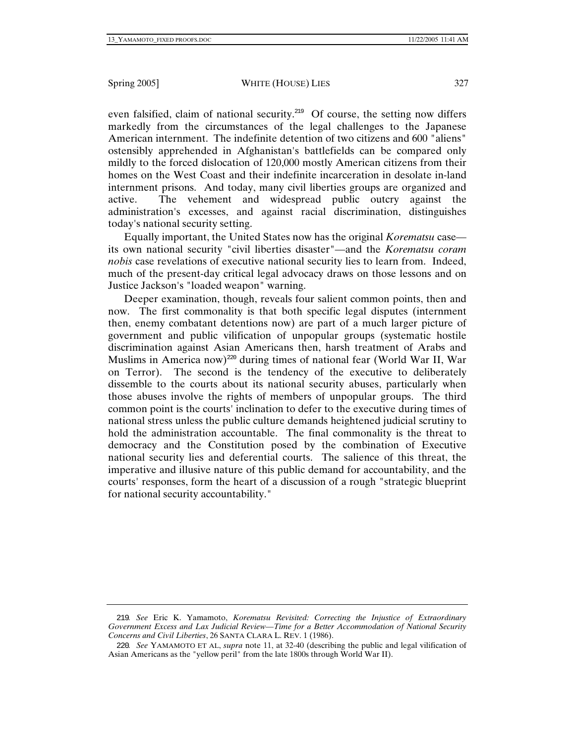even falsified, claim of national security.<sup>219</sup> Of course, the setting now differs markedly from the circumstances of the legal challenges to the Japanese American internment. The indefinite detention of two citizens and 600 "aliens" ostensibly apprehended in Afghanistan's battlefields can be compared only mildly to the forced dislocation of 120,000 mostly American citizens from their homes on the West Coast and their indefinite incarceration in desolate in-land internment prisons. And today, many civil liberties groups are organized and active. The vehement and widespread public outcry against the administration's excesses, and against racial discrimination, distinguishes today's national security setting.

Equally important, the United States now has the original *Korematsu* case its own national security "civil liberties disaster"—and the *Korematsu coram nobis* case revelations of executive national security lies to learn from. Indeed, much of the present-day critical legal advocacy draws on those lessons and on Justice Jackson's "loaded weapon" warning.

Deeper examination, though, reveals four salient common points, then and now. The first commonality is that both specific legal disputes (internment then, enemy combatant detentions now) are part of a much larger picture of government and public vilification of unpopular groups (systematic hostile discrimination against Asian Americans then, harsh treatment of Arabs and Muslims in America now)<sup>220</sup> during times of national fear (World War II, War on Terror). The second is the tendency of the executive to deliberately dissemble to the courts about its national security abuses, particularly when those abuses involve the rights of members of unpopular groups. The third common point is the courts' inclination to defer to the executive during times of national stress unless the public culture demands heightened judicial scrutiny to hold the administration accountable. The final commonality is the threat to democracy and the Constitution posed by the combination of Executive national security lies and deferential courts. The salience of this threat, the imperative and illusive nature of this public demand for accountability, and the courts' responses, form the heart of a discussion of a rough "strategic blueprint for national security accountability."

<sup>219</sup>*. See* Eric K. Yamamoto, *Korematsu Revisited: Correcting the Injustice of Extraordinary Government Excess and Lax Judicial Review—Time for a Better Accommodation of National Security Concerns and Civil Liberties*, 26 SANTA CLARA L. REV. 1 (1986).

<sup>220</sup>*. See* YAMAMOTO ET AL, *supra* note 11, at 32-40 (describing the public and legal vilification of Asian Americans as the "yellow peril" from the late 1800s through World War II).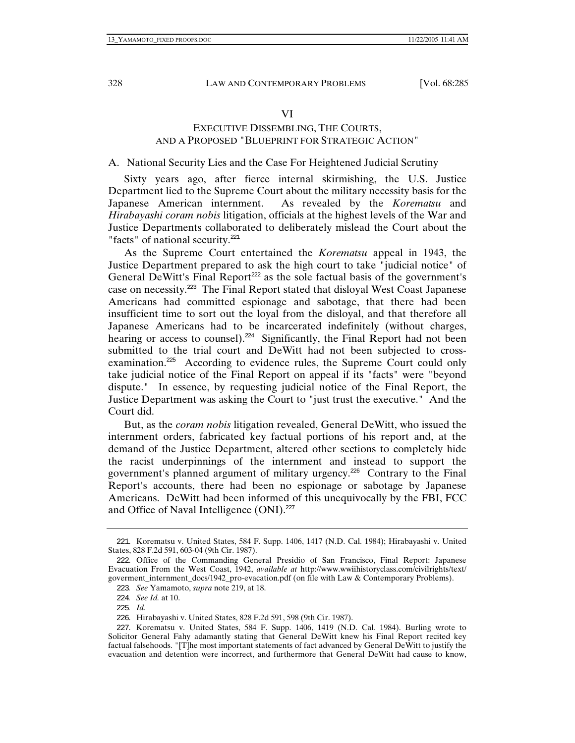#### VI

## EXECUTIVE DISSEMBLING, THE COURTS, AND A PROPOSED "BLUEPRINT FOR STRATEGIC ACTION"

## A. National Security Lies and the Case For Heightened Judicial Scrutiny

Sixty years ago, after fierce internal skirmishing, the U.S. Justice Department lied to the Supreme Court about the military necessity basis for the Japanese American internment. As revealed by the *Korematsu* and *Hirabayashi coram nobis* litigation, officials at the highest levels of the War and Justice Departments collaborated to deliberately mislead the Court about the "facts" of national security. $^{221}$ 

As the Supreme Court entertained the *Korematsu* appeal in 1943, the Justice Department prepared to ask the high court to take "judicial notice" of General DeWitt's Final Report<sup>222</sup> as the sole factual basis of the government's case on necessity.<sup>223</sup> The Final Report stated that disloyal West Coast Japanese Americans had committed espionage and sabotage, that there had been insufficient time to sort out the loyal from the disloyal, and that therefore all Japanese Americans had to be incarcerated indefinitely (without charges, hearing or access to counsel).<sup>224</sup> Significantly, the Final Report had not been submitted to the trial court and DeWitt had not been subjected to crossexamination.<sup>225</sup> According to evidence rules, the Supreme Court could only take judicial notice of the Final Report on appeal if its "facts" were "beyond dispute." In essence, by requesting judicial notice of the Final Report, the Justice Department was asking the Court to "just trust the executive." And the Court did.

But, as the *coram nobis* litigation revealed, General DeWitt, who issued the internment orders, fabricated key factual portions of his report and, at the demand of the Justice Department, altered other sections to completely hide the racist underpinnings of the internment and instead to support the government's planned argument of military urgency.<sup>226</sup> Contrary to the Final Report's accounts, there had been no espionage or sabotage by Japanese Americans. DeWitt had been informed of this unequivocally by the FBI, FCC and Office of Naval Intelligence  $(ONI).<sup>227</sup>$ 

<sup>221</sup>. Korematsu v. United States, 584 F. Supp. 1406, 1417 (N.D. Cal. 1984); Hirabayashi v. United States, 828 F.2d 591, 603-04 (9th Cir. 1987).

<sup>222</sup>. Office of the Commanding General Presidio of San Francisco, Final Report: Japanese Evacuation From the West Coast, 1942, *available at* http://www.wwiihistoryclass.com/civilrights/text/ goverment\_internment\_docs/1942\_pro-evacation.pdf (on file with Law & Contemporary Problems).

<sup>223</sup>*. See* Yamamoto, *supra* note 219, at 18.

<sup>224</sup>*. See Id.* at 10.

<sup>225</sup>*. Id*.

<sup>226</sup>. Hirabayashi v. United States, 828 F.2d 591, 598 (9th Cir. 1987).

<sup>227</sup>. Korematsu v. United States, 584 F. Supp. 1406, 1419 (N.D. Cal. 1984). Burling wrote to Solicitor General Fahy adamantly stating that General DeWitt knew his Final Report recited key factual falsehoods. "[T]he most important statements of fact advanced by General DeWitt to justify the evacuation and detention were incorrect, and furthermore that General DeWitt had cause to know,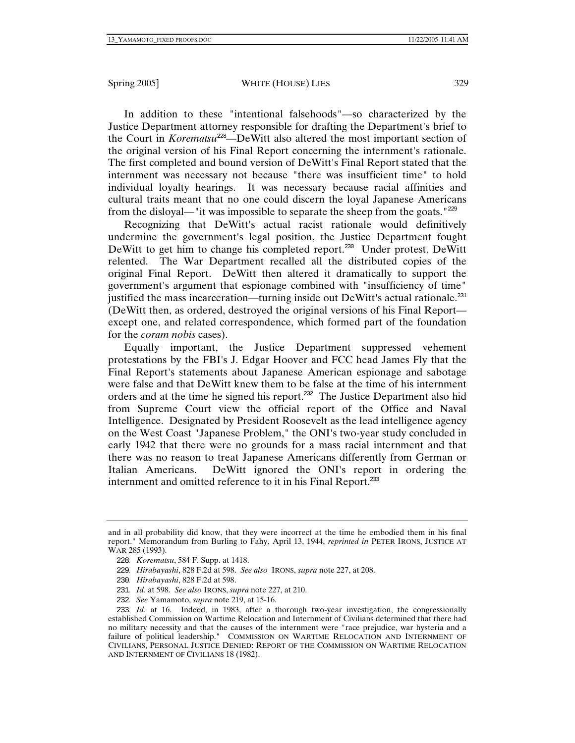In addition to these "intentional falsehoods"—so characterized by the Justice Department attorney responsible for drafting the Department's brief to the Court in *Korematsu*<sup>228</sup>—DeWitt also altered the most important section of the original version of his Final Report concerning the internment's rationale. The first completed and bound version of DeWitt's Final Report stated that the internment was necessary not because "there was insufficient time" to hold individual loyalty hearings. It was necessary because racial affinities and cultural traits meant that no one could discern the loyal Japanese Americans from the disloyal—"it was impossible to separate the sheep from the goats."<sup>229</sup>

Recognizing that DeWitt's actual racist rationale would definitively undermine the government's legal position, the Justice Department fought DeWitt to get him to change his completed report.<sup>230</sup> Under protest, DeWitt relented. The War Department recalled all the distributed copies of the original Final Report. DeWitt then altered it dramatically to support the government's argument that espionage combined with "insufficiency of time" justified the mass incarceration—turning inside out DeWitt's actual rationale.<sup>231</sup> (DeWitt then, as ordered, destroyed the original versions of his Final Report except one, and related correspondence, which formed part of the foundation for the *coram nobis* cases).

Equally important, the Justice Department suppressed vehement protestations by the FBI's J. Edgar Hoover and FCC head James Fly that the Final Report's statements about Japanese American espionage and sabotage were false and that DeWitt knew them to be false at the time of his internment orders and at the time he signed his report.<sup>232</sup> The Justice Department also hid from Supreme Court view the official report of the Office and Naval Intelligence. Designated by President Roosevelt as the lead intelligence agency on the West Coast "Japanese Problem," the ONI's two-year study concluded in early 1942 that there were no grounds for a mass racial internment and that there was no reason to treat Japanese Americans differently from German or Italian Americans. DeWitt ignored the ONI's report in ordering the internment and omitted reference to it in his Final Report.<sup>233</sup>

and in all probability did know, that they were incorrect at the time he embodied them in his final report." Memorandum from Burling to Fahy, April 13, 1944, *reprinted in* PETER IRONS, JUSTICE AT WAR 285 (1993).

<sup>228</sup>*. Korematsu*, 584 F. Supp. at 1418.

<sup>229</sup>*. Hirabayashi*, 828 F.2d at 598. *See also* IRONS, *supra* note 227, at 208.

<sup>230</sup>*. Hirabayashi*, 828 F.2d at 598.

<sup>231</sup>*. Id*. at 598. *See also* IRONS, *supra* note 227, at 210.

<sup>232</sup>*. See* Yamamoto, *supra* note 219, at 15-16.

<sup>233</sup>*. Id*. at 16. Indeed, in 1983, after a thorough two-year investigation, the congressionally established Commission on Wartime Relocation and Internment of Civilians determined that there had no military necessity and that the causes of the internment were "race prejudice, war hysteria and a failure of political leadership." COMMISSION ON WARTIME RELOCATION AND INTERNMENT OF CIVILIANS, PERSONAL JUSTICE DENIED: REPORT OF THE COMMISSION ON WARTIME RELOCATION AND INTERNMENT OF CIVILIANS 18 (1982).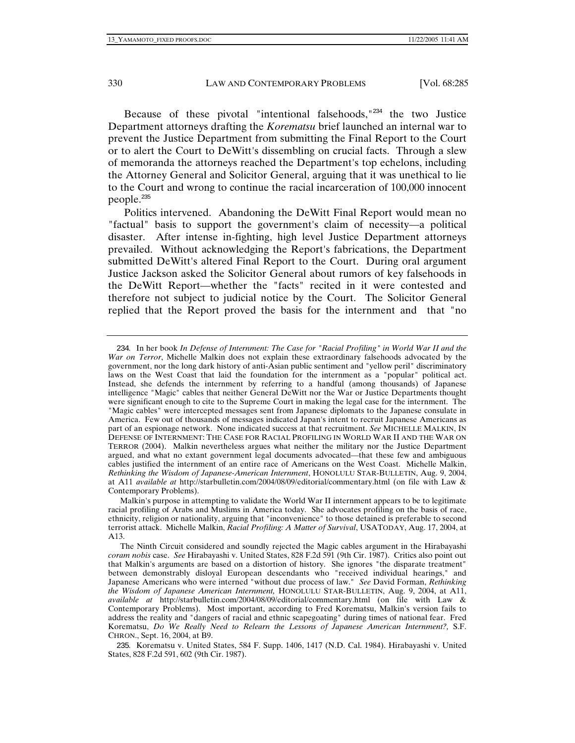Because of these pivotal "intentional falsehoods,"<sup>234</sup> the two Justice Department attorneys drafting the *Korematsu* brief launched an internal war to prevent the Justice Department from submitting the Final Report to the Court or to alert the Court to DeWitt's dissembling on crucial facts. Through a slew of memoranda the attorneys reached the Department's top echelons, including the Attorney General and Solicitor General, arguing that it was unethical to lie to the Court and wrong to continue the racial incarceration of 100,000 innocent people.<sup>235</sup>

Politics intervened. Abandoning the DeWitt Final Report would mean no "factual" basis to support the government's claim of necessity—a political disaster. After intense in-fighting, high level Justice Department attorneys prevailed. Without acknowledging the Report's fabrications, the Department submitted DeWitt's altered Final Report to the Court. During oral argument Justice Jackson asked the Solicitor General about rumors of key falsehoods in the DeWitt Report—whether the "facts" recited in it were contested and therefore not subject to judicial notice by the Court. The Solicitor General replied that the Report proved the basis for the internment and that "no

<sup>234</sup>. In her book *In Defense of Internment: The Case for "Racial Profiling" in World War II and the War on Terror*, Michelle Malkin does not explain these extraordinary falsehoods advocated by the government, nor the long dark history of anti-Asian public sentiment and "yellow peril" discriminatory laws on the West Coast that laid the foundation for the internment as a "popular" political act. Instead, she defends the internment by referring to a handful (among thousands) of Japanese intelligence "Magic" cables that neither General DeWitt nor the War or Justice Departments thought were significant enough to cite to the Supreme Court in making the legal case for the internment. The "Magic cables" were intercepted messages sent from Japanese diplomats to the Japanese consulate in America. Few out of thousands of messages indicated Japan's intent to recruit Japanese Americans as part of an espionage network. None indicated success at that recruitment. *See* MICHELLE MALKIN, IN DEFENSE OF INTERNMENT: THE CASE FOR RACIAL PROFILING IN WORLD WAR II AND THE WAR ON TERROR (2004). Malkin nevertheless argues what neither the military nor the Justice Department argued, and what no extant government legal documents advocated—that these few and ambiguous cables justified the internment of an entire race of Americans on the West Coast. Michelle Malkin, *Rethinking the Wisdom of Japanese-American Internment*, HONOLULU STAR-BULLETIN, Aug. 9, 2004, at A11 *available at* http://starbulletin.com/2004/08/09/editorial/commentary.html (on file with Law & Contemporary Problems).

Malkin's purpose in attempting to validate the World War II internment appears to be to legitimate racial profiling of Arabs and Muslims in America today. She advocates profiling on the basis of race, ethnicity, religion or nationality, arguing that "inconvenience" to those detained is preferable to second terrorist attack. Michelle Malkin, *Racial Profiling: A Matter of Survival*, USATODAY, Aug. 17, 2004, at A13.

The Ninth Circuit considered and soundly rejected the Magic cables argument in the Hirabayashi *coram nobis* case. *See* Hirabayashi v. United States, 828 F.2d 591 (9th Cir. 1987). Critics also point out that Malkin's arguments are based on a distortion of history. She ignores "the disparate treatment" between demonstrably disloyal European descendants who "received individual hearings," and Japanese Americans who were interned "without due process of law." *See* David Forman, *Rethinking the Wisdom of Japanese American Internment,* HONOLULU STAR-BULLETIN, Aug. 9, 2004, at A11, *available at* http://starbulletin.com/2004/08/09/editorial/commentary.html (on file with Law & Contemporary Problems). Most important, according to Fred Korematsu, Malkin's version fails to address the reality and "dangers of racial and ethnic scapegoating" during times of national fear. Fred Korematsu, *Do We Really Need to Relearn the Lessons of Japanese American Internment?,* S.F. CHRON., Sept. 16, 2004, at B9.

<sup>235</sup>. Korematsu v. United States, 584 F. Supp. 1406, 1417 (N.D. Cal. 1984). Hirabayashi v. United States, 828 F.2d 591, 602 (9th Cir. 1987).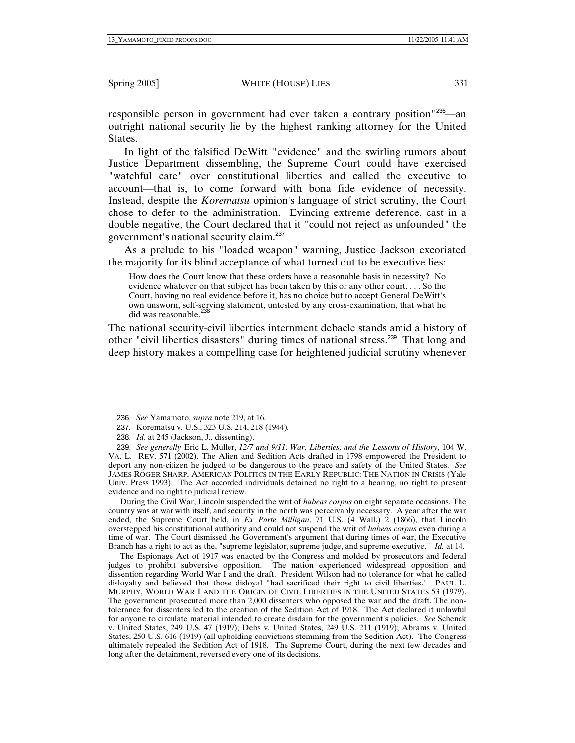responsible person in government had ever taken a contrary position <sup>236</sup>—an outright national security lie by the highest ranking attorney for the United States.

In light of the falsified DeWitt "evidence" and the swirling rumors about Justice Department dissembling, the Supreme Court could have exercised "watchful care" over constitutional liberties and called the executive to account—that is, to come forward with bona fide evidence of necessity. Instead, despite the *Korematsu* opinion's language of strict scrutiny, the Court chose to defer to the administration. Evincing extreme deference, cast in a double negative, the Court declared that it "could not reject as unfounded" the government's national security claim.<sup>237</sup>

As a prelude to his "loaded weapon" warning, Justice Jackson excoriated the majority for its blind acceptance of what turned out to be executive lies:

How does the Court know that these orders have a reasonable basis in necessity? No evidence whatever on that subject has been taken by this or any other court. . . . So the Court, having no real evidence before it, has no choice but to accept General DeWitt's own unsworn, self-serving statement, untested by any cross-examination, that what he did was reasonable.<sup>238</sup>

The national security-civil liberties internment debacle stands amid a history of other "civil liberties disasters" during times of national stress.<sup>239</sup> That long and deep history makes a compelling case for heightened judicial scrutiny whenever

During the Civil War, Lincoln suspended the writ of *habeas corpus* on eight separate occasions. The country was at war with itself, and security in the north was perceivably necessary. A year after the war ended, the Supreme Court held, in *Ex Parte Milligan*, 71 U.S. (4 Wall.) 2 (1866), that Lincoln overstepped his constitutional authority and could not suspend the writ of *habeas corpus* even during a time of war. The Court dismissed the Government's argument that during times of war, the Executive Branch has a right to act as the, "supreme legislator, supreme judge, and supreme executive." *Id.* at 14.

The Espionage Act of 1917 was enacted by the Congress and molded by prosecutors and federal judges to prohibit subversive opposition. The nation experienced widespread opposition and dissention regarding World War I and the draft. President Wilson had no tolerance for what he called disloyalty and believed that those disloyal "had sacrificed their right to civil liberties." PAUL L. MURPHY, WORLD WAR I AND THE ORIGIN OF CIVIL LIBERTIES IN THE UNITED STATES 53 (1979). The government prosecuted more than 2,000 dissenters who opposed the war and the draft. The nontolerance for dissenters led to the creation of the Sedition Act of 1918. The Act declared it unlawful for anyone to circulate material intended to create disdain for the government's policies. *See* Schenck v. United States, 249 U.S. 47 (1919); Debs v. United States, 249 U.S. 211 (1919); Abrams v. United States, 250 U.S. 616 (1919) (all upholding convictions stemming from the Sedition Act). The Congress ultimately repealed the Sedition Act of 1918. The Supreme Court, during the next few decades and long after the detainment, reversed every one of its decisions.

<sup>236</sup>*. See* Yamamoto, *supra* note 219, at 16.

<sup>237</sup>. Korematsu v. U.S., 323 U.S. 214, 218 (1944).

<sup>238</sup>*. Id*. at 245 (Jackson, J., dissenting).

<sup>239</sup>*. See generally* Eric L. Muller, *12/7 and 9/11: War, Liberties, and the Lessons of History*, 104 W. VA. L. REV. 571 (2002). The Alien and Sedition Acts drafted in 1798 empowered the President to deport any non-citizen he judged to be dangerous to the peace and safety of the United States. *See* JAMES ROGER SHARP, AMERICAN POLITICS IN THE EARLY REPUBLIC: THE NATION IN CRISIS (Yale Univ. Press 1993). The Act accorded individuals detained no right to a hearing, no right to present evidence and no right to judicial review.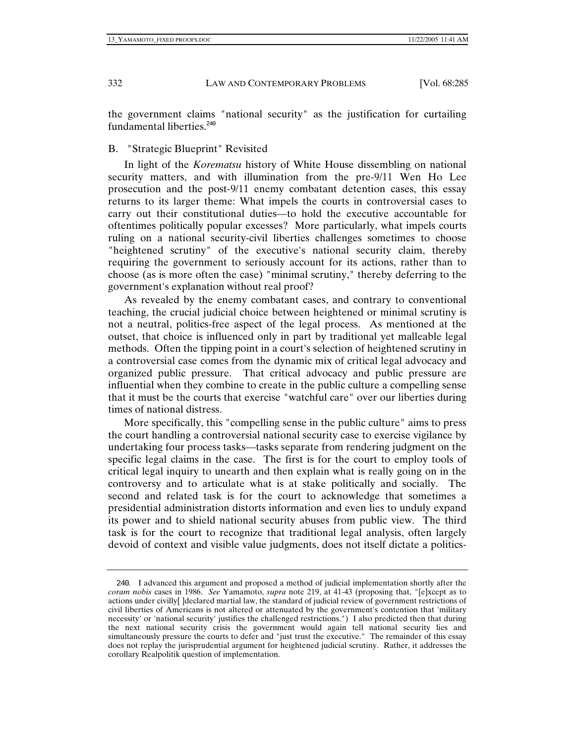the government claims "national security" as the justification for curtailing fundamental liberties.<sup>240</sup>

## B. "Strategic Blueprint" Revisited

In light of the *Korematsu* history of White House dissembling on national security matters, and with illumination from the pre-9/11 Wen Ho Lee prosecution and the post-9/11 enemy combatant detention cases, this essay returns to its larger theme: What impels the courts in controversial cases to carry out their constitutional duties—to hold the executive accountable for oftentimes politically popular excesses? More particularly, what impels courts ruling on a national security-civil liberties challenges sometimes to choose "heightened scrutiny" of the executive's national security claim, thereby requiring the government to seriously account for its actions, rather than to choose (as is more often the case) "minimal scrutiny," thereby deferring to the government's explanation without real proof?

As revealed by the enemy combatant cases, and contrary to conventional teaching, the crucial judicial choice between heightened or minimal scrutiny is not a neutral, politics-free aspect of the legal process. As mentioned at the outset, that choice is influenced only in part by traditional yet malleable legal methods. Often the tipping point in a court's selection of heightened scrutiny in a controversial case comes from the dynamic mix of critical legal advocacy and organized public pressure. That critical advocacy and public pressure are influential when they combine to create in the public culture a compelling sense that it must be the courts that exercise "watchful care" over our liberties during times of national distress.

More specifically, this "compelling sense in the public culture" aims to press the court handling a controversial national security case to exercise vigilance by undertaking four process tasks—tasks separate from rendering judgment on the specific legal claims in the case. The first is for the court to employ tools of critical legal inquiry to unearth and then explain what is really going on in the controversy and to articulate what is at stake politically and socially. The second and related task is for the court to acknowledge that sometimes a presidential administration distorts information and even lies to unduly expand its power and to shield national security abuses from public view. The third task is for the court to recognize that traditional legal analysis, often largely devoid of context and visible value judgments, does not itself dictate a politics-

<sup>240</sup>. I advanced this argument and proposed a method of judicial implementation shortly after the *coram nobis* cases in 1986. *See* Yamamoto, *supra* note 219, at 41-43 (proposing that, "[e]xcept as to actions under civilly[ ]declared martial law, the standard of judicial review of government restrictions of civil liberties of Americans is not altered or attenuated by the government's contention that 'military necessity' or 'national security' justifies the challenged restrictions.") I also predicted then that during the next national security crisis the government would again tell national security lies and simultaneously pressure the courts to defer and "just trust the executive." The remainder of this essay does not replay the jurisprudential argument for heightened judicial scrutiny. Rather, it addresses the corollary Realpolitik question of implementation.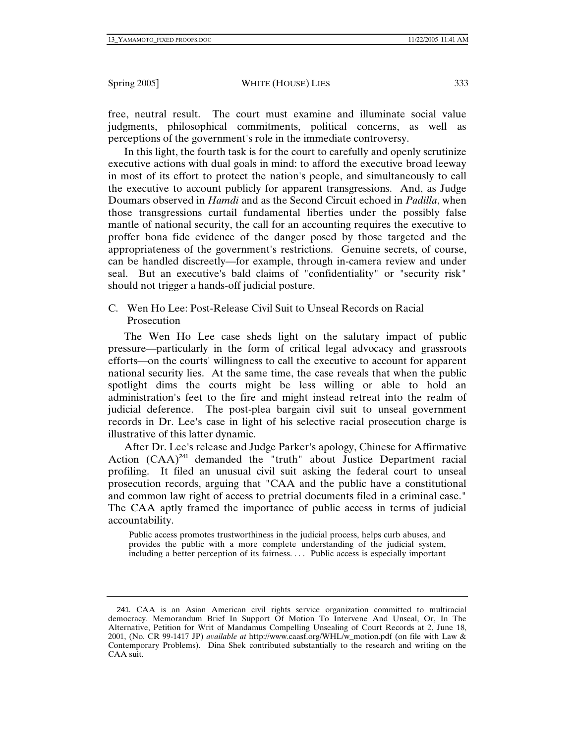free, neutral result. The court must examine and illuminate social value judgments, philosophical commitments, political concerns, as well as perceptions of the government's role in the immediate controversy.

In this light, the fourth task is for the court to carefully and openly scrutinize executive actions with dual goals in mind: to afford the executive broad leeway in most of its effort to protect the nation's people, and simultaneously to call the executive to account publicly for apparent transgressions. And, as Judge Doumars observed in *Hamdi* and as the Second Circuit echoed in *Padilla*, when those transgressions curtail fundamental liberties under the possibly false mantle of national security, the call for an accounting requires the executive to proffer bona fide evidence of the danger posed by those targeted and the appropriateness of the government's restrictions. Genuine secrets, of course, can be handled discreetly—for example, through in-camera review and under seal. But an executive's bald claims of "confidentiality" or "security risk" should not trigger a hands-off judicial posture.

C. Wen Ho Lee: Post-Release Civil Suit to Unseal Records on Racial Prosecution

The Wen Ho Lee case sheds light on the salutary impact of public pressure—particularly in the form of critical legal advocacy and grassroots efforts—on the courts' willingness to call the executive to account for apparent national security lies. At the same time, the case reveals that when the public spotlight dims the courts might be less willing or able to hold an administration's feet to the fire and might instead retreat into the realm of judicial deference. The post-plea bargain civil suit to unseal government records in Dr. Lee's case in light of his selective racial prosecution charge is illustrative of this latter dynamic.

After Dr. Lee's release and Judge Parker's apology, Chinese for Affirmative Action  $(CAA)^{241}$  demanded the "truth" about Justice Department racial profiling. It filed an unusual civil suit asking the federal court to unseal prosecution records, arguing that "CAA and the public have a constitutional and common law right of access to pretrial documents filed in a criminal case." The CAA aptly framed the importance of public access in terms of judicial accountability.

Public access promotes trustworthiness in the judicial process, helps curb abuses, and provides the public with a more complete understanding of the judicial system, including a better perception of its fairness. . . . Public access is especially important

<sup>241</sup>. CAA is an Asian American civil rights service organization committed to multiracial democracy. Memorandum Brief In Support Of Motion To Intervene And Unseal, Or, In The Alternative, Petition for Writ of Mandamus Compelling Unsealing of Court Records at 2, June 18, 2001, (No. CR 99-1417 JP) *available at* http://www.caasf.org/WHL/w\_motion.pdf (on file with Law & Contemporary Problems). Dina Shek contributed substantially to the research and writing on the CAA suit.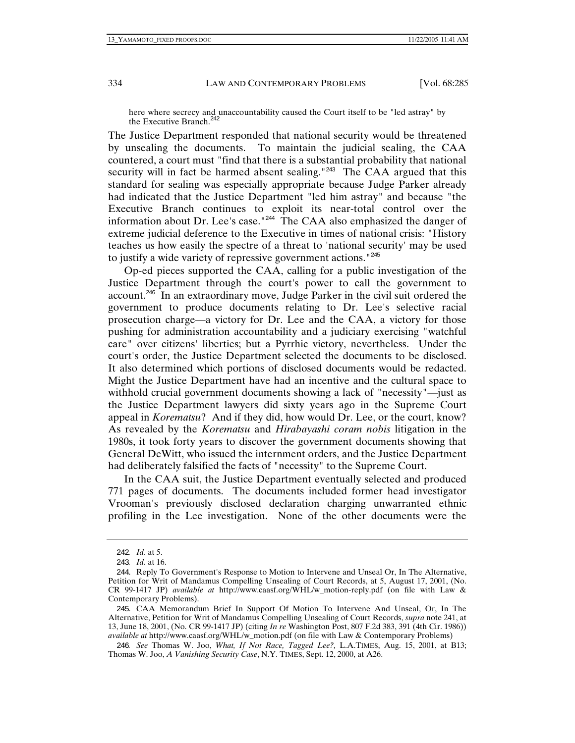here where secrecy and unaccountability caused the Court itself to be "led astray" by the Executive Branch.<sup>24</sup>

The Justice Department responded that national security would be threatened by unsealing the documents. To maintain the judicial sealing, the CAA countered, a court must "find that there is a substantial probability that national security will in fact be harmed absent sealing."<sup>243</sup> The CAA argued that this standard for sealing was especially appropriate because Judge Parker already had indicated that the Justice Department "led him astray" and because "the Executive Branch continues to exploit its near-total control over the information about Dr. Lee's case."<sup>244</sup> The CAA also emphasized the danger of extreme judicial deference to the Executive in times of national crisis: "History teaches us how easily the spectre of a threat to 'national security' may be used to justify a wide variety of repressive government actions."<sup>245</sup>

Op-ed pieces supported the CAA, calling for a public investigation of the Justice Department through the court's power to call the government to account.<sup>246</sup> In an extraordinary move, Judge Parker in the civil suit ordered the government to produce documents relating to Dr. Lee's selective racial prosecution charge—a victory for Dr. Lee and the CAA, a victory for those pushing for administration accountability and a judiciary exercising "watchful care" over citizens' liberties; but a Pyrrhic victory, nevertheless. Under the court's order, the Justice Department selected the documents to be disclosed. It also determined which portions of disclosed documents would be redacted. Might the Justice Department have had an incentive and the cultural space to withhold crucial government documents showing a lack of "necessity"—just as the Justice Department lawyers did sixty years ago in the Supreme Court appeal in *Korematsu*? And if they did, how would Dr. Lee, or the court, know? As revealed by the *Korematsu* and *Hirabayashi coram nobis* litigation in the 1980s, it took forty years to discover the government documents showing that General DeWitt, who issued the internment orders, and the Justice Department had deliberately falsified the facts of "necessity" to the Supreme Court.

In the CAA suit, the Justice Department eventually selected and produced 771 pages of documents. The documents included former head investigator Vrooman's previously disclosed declaration charging unwarranted ethnic profiling in the Lee investigation. None of the other documents were the

<sup>242</sup>*. Id*. at 5.

<sup>243</sup>*. Id.* at 16.

<sup>244</sup>. Reply To Government's Response to Motion to Intervene and Unseal Or, In The Alternative, Petition for Writ of Mandamus Compelling Unsealing of Court Records, at 5, August 17, 2001, (No. CR 99-1417 JP) *available at* http://www.caasf.org/WHL/w\_motion-reply.pdf (on file with Law & Contemporary Problems).

<sup>245</sup>. CAA Memorandum Brief In Support Of Motion To Intervene And Unseal, Or, In The Alternative, Petition for Writ of Mandamus Compelling Unsealing of Court Records, *supra* note 241, at 13, June 18, 2001, (No. CR 99-1417 JP) (citing *In re* Washington Post, 807 F.2d 383, 391 (4th Cir. 1986)) *available at* http://www.caasf.org/WHL/w\_motion.pdf (on file with Law & Contemporary Problems)

<sup>246</sup>*. See* Thomas W. Joo, *What, If Not Race, Tagged Lee?,* L.A.TIMES, Aug. 15, 2001, at B13; Thomas W. Joo, *A Vanishing Security Case*, N.Y. TIMES, Sept. 12, 2000, at A26.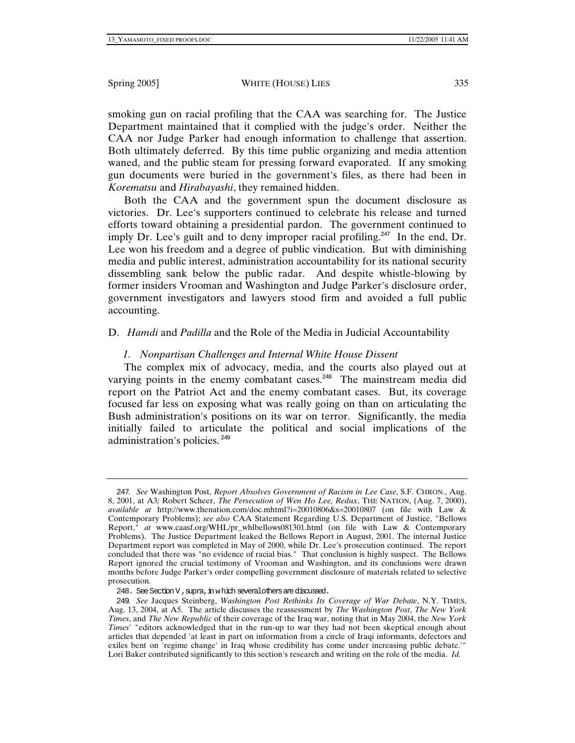smoking gun on racial profiling that the CAA was searching for. The Justice Department maintained that it complied with the judge's order. Neither the CAA nor Judge Parker had enough information to challenge that assertion. Both ultimately deferred. By this time public organizing and media attention waned, and the public steam for pressing forward evaporated. If any smoking gun documents were buried in the government's files, as there had been in *Korematsu* and *Hirabayashi*, they remained hidden.

Both the CAA and the government spun the document disclosure as victories. Dr. Lee's supporters continued to celebrate his release and turned efforts toward obtaining a presidential pardon. The government continued to imply Dr. Lee's guilt and to deny improper racial profiling.<sup>247</sup> In the end, Dr. Lee won his freedom and a degree of public vindication. But with diminishing media and public interest, administration accountability for its national security dissembling sank below the public radar. And despite whistle-blowing by former insiders Vrooman and Washington and Judge Parker's disclosure order, government investigators and lawyers stood firm and avoided a full public accounting.

# D. *Hamdi* and *Padilla* and the Role of the Media in Judicial Accountability

# *1. Nonpartisan Challenges and Internal White House Dissent*

The complex mix of advocacy, media, and the courts also played out at varying points in the enemy combatant cases.<sup>248</sup> The mainstream media did report on the Patriot Act and the enemy combatant cases. But, its coverage focused far less on exposing what was really going on than on articulating the Bush administration's positions on its war on terror. Significantly, the media initially failed to articulate the political and social implications of the administration's policies. <sup>249</sup>

<sup>247</sup>*. See* Washington Post, *Report Absolves Government of Racism in Lee Case*, S.F. CHRON., Aug. 8, 2001, at A3*;* Robert Scheer, *The Persecution of Wen Ho Lee, Redux*, THE NATION, (Aug. 7, 2000), *available at* http://www.thenation.com/doc.mhtml?i=20010806&s=20010807 (on file with Law & Contemporary Problems); *see also* CAA Statement Regarding U.S. Department of Justice, "Bellows Report," *at* www.caasf.org/WHL/pr\_whlbellows081301.html (on file with Law & Contemporary Problems). The Justice Department leaked the Bellows Report in August, 2001. The internal Justice Department report was completed in May of 2000, while Dr. Lee's prosecution continued. The report concluded that there was "no evidence of racial bias." That conclusion is highly suspect. The Bellows Report ignored the crucial testimony of Vrooman and Washington, and its conclusions were drawn months before Judge Parker's order compelling government disclosure of materials related to selective prosecution.

<sup>248.</sup> See Section V, supra, in which several others are discussed.

<sup>249</sup>*. See* Jacques Steinberg, *Washington Post Rethinks Its Coverage of War Debate*, N.Y. TIMES, Aug. 13, 2004, at A5. The article discusses the reassessment by *The Washington Post*, *The New York Times*, and *The New Republic* of their coverage of the Iraq war, noting that in May 2004, the *New York Times*' "editors acknowledged that in the run-up to war they had not been skeptical enough about articles that depended 'at least in part on information from a circle of Iraqi informants, defectors and exiles bent on 'regime change' in Iraq whose credibility has come under increasing public debate.'" Lori Baker contributed significantly to this section's research and writing on the role of the media. *Id.*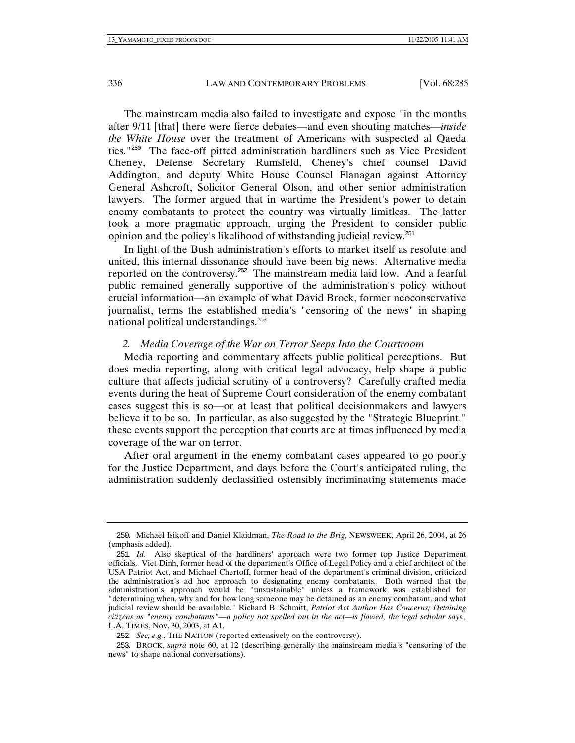The mainstream media also failed to investigate and expose "in the months after 9/11 [that] there were fierce debates—and even shouting matches—*inside the White House* over the treatment of Americans with suspected al Qaeda ties."<sup>250</sup> The face-off pitted administration hardliners such as Vice President Cheney, Defense Secretary Rumsfeld, Cheney's chief counsel David Addington, and deputy White House Counsel Flanagan against Attorney General Ashcroft, Solicitor General Olson, and other senior administration lawyers. The former argued that in wartime the President's power to detain enemy combatants to protect the country was virtually limitless. The latter took a more pragmatic approach, urging the President to consider public opinion and the policy's likelihood of withstanding judicial review.<sup>251</sup>

In light of the Bush administration's efforts to market itself as resolute and united, this internal dissonance should have been big news. Alternative media reported on the controversy.<sup>252</sup> The mainstream media laid low. And a fearful public remained generally supportive of the administration's policy without crucial information—an example of what David Brock, former neoconservative journalist, terms the established media's "censoring of the news" in shaping national political understandings.<sup>253</sup>

### *2. Media Coverage of the War on Terror Seeps Into the Courtroom*

Media reporting and commentary affects public political perceptions. But does media reporting, along with critical legal advocacy, help shape a public culture that affects judicial scrutiny of a controversy? Carefully crafted media events during the heat of Supreme Court consideration of the enemy combatant cases suggest this is so—or at least that political decisionmakers and lawyers believe it to be so. In particular, as also suggested by the "Strategic Blueprint," these events support the perception that courts are at times influenced by media coverage of the war on terror.

After oral argument in the enemy combatant cases appeared to go poorly for the Justice Department, and days before the Court's anticipated ruling, the administration suddenly declassified ostensibly incriminating statements made

<sup>250</sup>. Michael Isikoff and Daniel Klaidman, *The Road to the Brig*, NEWSWEEK, April 26, 2004, at 26 (emphasis added).

<sup>251</sup>*. Id.* Also skeptical of the hardliners' approach were two former top Justice Department officials. Viet Dinh, former head of the department's Office of Legal Policy and a chief architect of the USA Patriot Act, and Michael Chertoff, former head of the department's criminal division, criticized the administration's ad hoc approach to designating enemy combatants. Both warned that the administration's approach would be "unsustainable" unless a framework was established for "determining when, why and for how long someone may be detained as an enemy combatant, and what judicial review should be available." Richard B. Schmitt, *Patriot Act Author Has Concerns; Detaining citizens as "enemy combatants"—a policy not spelled out in the act—is flawed, the legal scholar says.,* L.A. TIMES, Nov. 30, 2003, at A1.

<sup>252</sup>*. See, e.g.*, THE NATION (reported extensively on the controversy).

<sup>253</sup>. BROCK, *supra* note 60, at 12 (describing generally the mainstream media's "censoring of the news" to shape national conversations).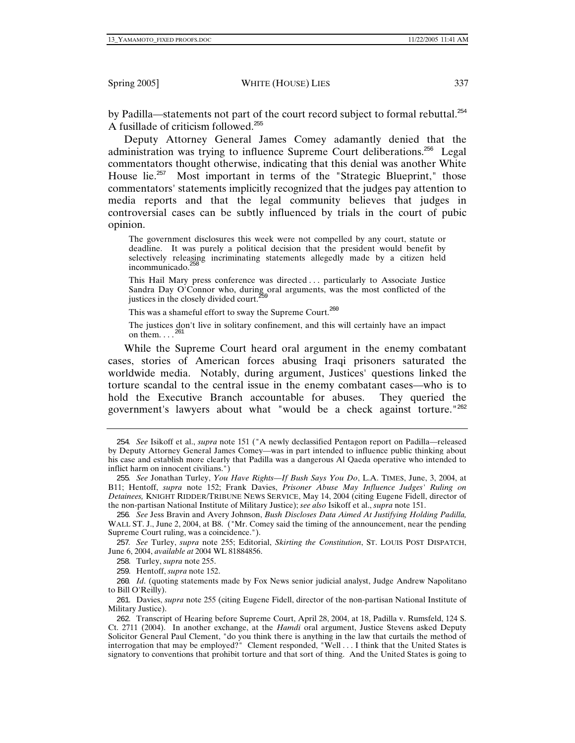by Padilla—statements not part of the court record subject to formal rebuttal.<sup>254</sup> A fusillade of criticism followed.<sup>255</sup>

Deputy Attorney General James Comey adamantly denied that the administration was trying to influence Supreme Court deliberations.<sup>256</sup> Legal commentators thought otherwise, indicating that this denial was another White House lie.<sup>257</sup> Most important in terms of the "Strategic Blueprint," those commentators' statements implicitly recognized that the judges pay attention to media reports and that the legal community believes that judges in controversial cases can be subtly influenced by trials in the court of pubic opinion.

The government disclosures this week were not compelled by any court, statute or deadline. It was purely a political decision that the president would benefit by selectively releasing incriminating statements allegedly made by a citizen held incommunicado.<sup>258</sup>

This Hail Mary press conference was directed . . . particularly to Associate Justice Sandra Day O'Connor who, during oral arguments, was the most conflicted of the justices in the closely divided court.<sup>2</sup>

This was a shameful effort to sway the Supreme Court.<sup>260</sup>

The justices don't live in solitary confinement, and this will certainly have an impact on them.  $\ldots$ 

While the Supreme Court heard oral argument in the enemy combatant cases, stories of American forces abusing Iraqi prisoners saturated the worldwide media. Notably, during argument, Justices' questions linked the torture scandal to the central issue in the enemy combatant cases—who is to hold the Executive Branch accountable for abuses. They queried the government's lawyers about what "would be a check against torture."<sup>262</sup>

258. Turley, *supra* note 255.

259. Hentoff, *supra* note 152.

<sup>254</sup>*. See* Isikoff et al., *supra* note 151 ("A newly declassified Pentagon report on Padilla—released by Deputy Attorney General James Comey—was in part intended to influence public thinking about his case and establish more clearly that Padilla was a dangerous Al Qaeda operative who intended to inflict harm on innocent civilians.")

<sup>255</sup>*. See* Jonathan Turley, *You Have Rights—If Bush Says You Do*, L.A. TIMES, June, 3, 2004, at B11; Hentoff, *supra* note 152; Frank Davies, *Prisoner Abuse May Influence Judges' Ruling on Detainees,* KNIGHT RIDDER/TRIBUNE NEWS SERVICE, May 14, 2004 (citing Eugene Fidell, director of the non-partisan National Institute of Military Justice); *see also* Isikoff et al., *supra* note 151.

<sup>256</sup>*. See* Jess Bravin and Avery Johnson, *Bush Discloses Data Aimed At Justifying Holding Padilla,* WALL ST. J., June 2, 2004, at B8. ("Mr. Comey said the timing of the announcement, near the pending Supreme Court ruling, was a coincidence.").

<sup>257</sup>*. See* Turley, *supra* note 255; Editorial, *Skirting the Constitution*, ST. LOUIS POST DISPATCH, June 6, 2004, *available at* 2004 WL 81884856.

<sup>260</sup>*. Id*. (quoting statements made by Fox News senior judicial analyst, Judge Andrew Napolitano to Bill O'Reilly).

<sup>261</sup>. Davies, *supra* note 255 (citing Eugene Fidell, director of the non-partisan National Institute of Military Justice).

<sup>262</sup>. Transcript of Hearing before Supreme Court, April 28, 2004, at 18, Padilla v. Rumsfeld, 124 S. Ct. 2711 (2004). In another exchange, at the *Hamdi* oral argument, Justice Stevens asked Deputy Solicitor General Paul Clement, "do you think there is anything in the law that curtails the method of interrogation that may be employed?" Clement responded, "Well . . . I think that the United States is signatory to conventions that prohibit torture and that sort of thing. And the United States is going to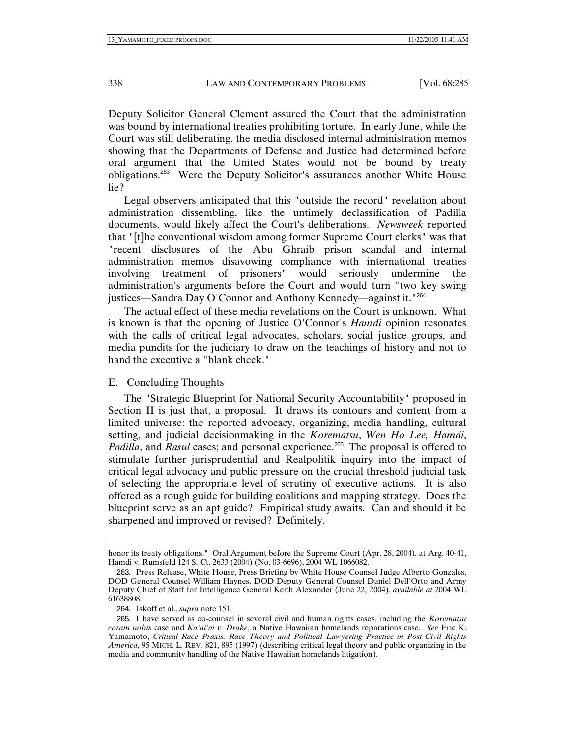Deputy Solicitor General Clement assured the Court that the administration was bound by international treaties prohibiting torture. In early June, while the Court was still deliberating, the media disclosed internal administration memos showing that the Departments of Defense and Justice had determined before oral argument that the United States would not be bound by treaty obligations.<sup>263</sup> Were the Deputy Solicitor's assurances another White House lie?

Legal observers anticipated that this "outside the record" revelation about administration dissembling, like the untimely declassification of Padilla documents, would likely affect the Court's deliberations. *Newsweek* reported that "[t]he conventional wisdom among former Supreme Court clerks" was that "recent disclosures of the Abu Ghraib prison scandal and internal administration memos disavowing compliance with international treaties involving treatment of prisoners" would seriously undermine the administration's arguments before the Court and would turn "two key swing justices—Sandra Day O'Connor and Anthony Kennedy—against it."<sup>264</sup>

The actual effect of these media revelations on the Court is unknown. What is known is that the opening of Justice O'Connor's *Hamdi* opinion resonates with the calls of critical legal advocates, scholars, social justice groups, and media pundits for the judiciary to draw on the teachings of history and not to hand the executive a "blank check."

## E. Concluding Thoughts

The "Strategic Blueprint for National Security Accountability" proposed in Section II is just that, a proposal. It draws its contours and content from a limited universe: the reported advocacy, organizing, media handling, cultural setting, and judicial decisionmaking in the *Korematsu*, *Wen Ho Lee, Hamdi*, *Padilla*, and *Rasul* cases; and personal experience.<sup>265</sup> The proposal is offered to stimulate further jurisprudential and Realpolitik inquiry into the impact of critical legal advocacy and public pressure on the crucial threshold judicial task of selecting the appropriate level of scrutiny of executive actions. It is also offered as a rough guide for building coalitions and mapping strategy. Does the blueprint serve as an apt guide? Empirical study awaits. Can and should it be sharpened and improved or revised? Definitely.

honor its treaty obligations." Oral Argument before the Supreme Court (Apr. 28, 2004), at Arg. 40-41, Hamdi v. Rumsfeld 124 S. Ct. 2633 (2004) (No. 03-6696), 2004 WL 1066082.

<sup>263</sup>. Press Release, White House, Press Briefing by White House Counsel Judge Alberto Gonzales, DOD General Counsel William Haynes, DOD Deputy General Counsel Daniel Dell'Orto and Army Deputy Chief of Staff for Intelligence General Keith Alexander (June 22, 2004), *available at* 2004 WL 61638808.

<sup>264</sup>. Iskoff et al., *supra* note 151.

<sup>265</sup>. I have served as co-counsel in several civil and human rights cases, including the *Korematsu coram nobis* case and *Ka'ai'ai v. Drake*, a Native Hawaiian homelands reparations case. *See* Eric K. Yamamoto, *Critical Race Praxis: Race Theory and Political Lawyering Practice in Post-Civil Rights America*, 95 MICH. L. REV. 821, 895 (1997) (describing critical legal theory and public organizing in the media and community handling of the Native Hawaiian homelands litigation).